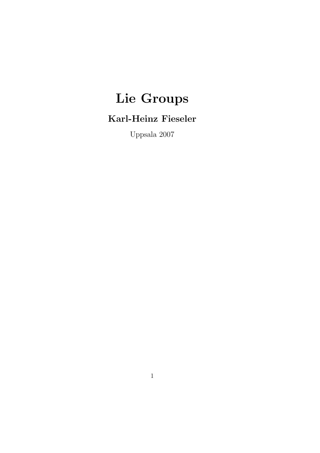# Lie Groups

## Karl-Heinz Fieseler

Uppsala 2007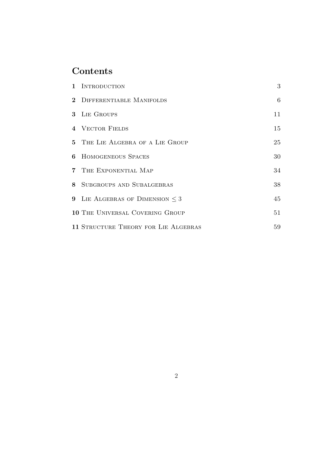## Contents

| 1 INTRODUCTION                       | 3       |
|--------------------------------------|---------|
| 2 DIFFERENTIABLE MANIFOLDS           | $\,6\,$ |
| 3 LIE GROUPS                         | 11      |
| 4 VECTOR FIELDS                      | 15      |
| 5 THE LIE ALGEBRA OF A LIE GROUP     | 25      |
| <b>6 HOMOGENEOUS SPACES</b>          | 30      |
| 7 THE EXPONENTIAL MAP                | 34      |
| 8 SUBGROUPS AND SUBALGEBRAS          | 38      |
| 9 LIE ALGEBRAS OF DIMENSION $\leq 3$ | 45      |
| 10 THE UNIVERSAL COVERING GROUP      | 51      |
| 11 STRUCTURE THEORY FOR LIE ALGEBRAS | 59      |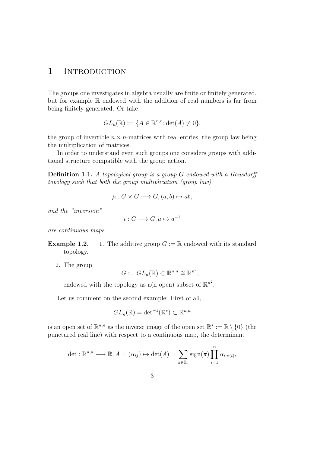#### 1 INTRODUCTION

The groups one investigates in algebra usually are finite or finitely generated, but for example R endowed with the addition of real numbers is far from being finitely generated. Or take

$$
GL_n(\mathbb{R}) := \{ A \in \mathbb{R}^{n,n}; \det(A) \neq 0 \},
$$

the group of invertible  $n \times n$ -matrices with real entries, the group law being the multiplication of matrices.

In order to understand even such groups one considers groups with additional structure compatible with the group action.

Definition 1.1. A topological group is a group G endowed with a Hausdorff topology such that both the group multiplication (group law)

$$
\mu: G \times G \longrightarrow G, (a, b) \mapsto ab,
$$

and the "inversion"

$$
\iota: G \longrightarrow G, a \mapsto a^{-1}
$$

are continuous maps.

- **Example 1.2.** 1. The additive group  $G := \mathbb{R}$  endowed with its standard topology.
	- 2. The group

$$
G := GL_n(\mathbb{R}) \subset \mathbb{R}^{n,n} \cong \mathbb{R}^{n^2},
$$

endowed with the topology as a(n open) subset of  $\mathbb{R}^{n^2}$ .

Let us comment on the second example: First of all,

$$
GL_n(\mathbb{R}) = \det^{-1}(\mathbb{R}^*) \subset \mathbb{R}^{n,n}
$$

is an open set of  $\mathbb{R}^{n,n}$  as the inverse image of the open set  $\mathbb{R}^* := \mathbb{R} \setminus \{0\}$  (the punctured real line) with respect to a continuous map, the determinant

$$
\det: \mathbb{R}^{n,n} \longrightarrow \mathbb{R}, A = (\alpha_{ij}) \mapsto \det(A) = \sum_{\pi \in \mathbb{S}_n} \text{sign}(\pi) \prod_{i=1}^n \alpha_{i,\pi(i)},
$$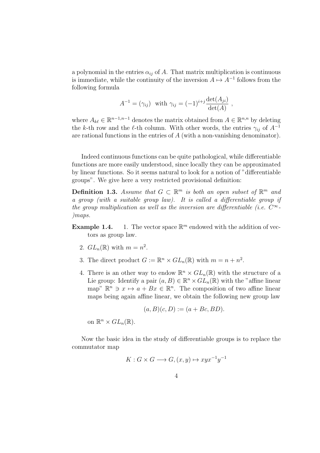a polynomial in the entries  $\alpha_{ij}$  of A. That matrix multiplication is continuous is immediate, while the continuity of the inversion  $A \mapsto A^{-1}$  follows from the following formula

$$
A^{-1} = (\gamma_{ij}) \text{ with } \gamma_{ij} = (-1)^{i+j} \frac{\det(A_{ji})}{\det(A)},
$$

where  $A_{k\ell} \in \mathbb{R}^{n-1,n-1}$  denotes the matrix obtained from  $A \in \mathbb{R}^{n,n}$  by deleting the k-th row and the  $\ell$ -th column. With other words, the entries  $\gamma_{ij}$  of  $A^{-1}$ are rational functions in the entries of A (with a non-vanishing denominator).

Indeed continuous functions can be quite pathological, while differentiable functions are more easily understood, since locally they can be approximated by linear functions. So it seems natural to look for a notion of "differentiable groups". We give here a very restricted provisional definition:

**Definition 1.3.** Assume that  $G \subset \mathbb{R}^m$  is both an open subset of  $\mathbb{R}^m$  and a group (with a suitable group law). It is called a differentiable group if the group multiplication as well as the inversion are differentiable (i.e.  $C^{\infty}$ . )maps.

- **Example 1.4.** 1. The vector space  $\mathbb{R}^m$  endowed with the addition of vectors as group law.
	- 2.  $GL_n(\mathbb{R})$  with  $m = n^2$ .
	- 3. The direct product  $G := \mathbb{R}^n \times GL_n(\mathbb{R})$  with  $m = n + n^2$ .
	- 4. There is an other way to endow  $\mathbb{R}^n \times GL_n(\mathbb{R})$  with the structure of a Lie group: Identify a pair  $(a, B) \in \mathbb{R}^n \times GL_n(\mathbb{R})$  with the "affine linear map"  $\mathbb{R}^n \ni x \mapsto a + Bx \in \mathbb{R}^n$ . The composition of two affine linear maps being again affine linear, we obtain the following new group law

$$
(a, B)(c, D) := (a + Bc, BD).
$$

on  $\mathbb{R}^n \times GL_n(\mathbb{R})$ .

Now the basic idea in the study of differentiable groups is to replace the commutator map

$$
K: G \times G \longrightarrow G, (x, y) \mapsto xyx^{-1}y^{-1}
$$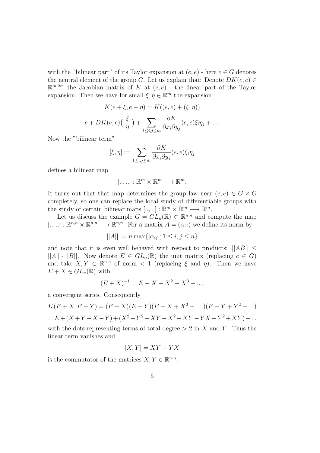with the "bilinear part" of its Taylor expansion at  $(e, e)$  - here  $e \in G$  denotes the neutral element of the group G. Let us explain that: Denote  $DK(e, e) \in$  $\mathbb{R}^{m,2m}$  the Jacobian matrix of K at  $(e,e)$  - the linear part of the Taylor expansion. Then we have for small  $\xi, \eta \in \mathbb{R}^m$  the expansion

$$
K(e + \xi, e + \eta) = K((e, e) + (\xi, \eta))
$$

$$
e + DK(e, e) \left(\frac{\xi}{\eta}\right) + \sum_{1 \le i, j \le m} \frac{\partial K}{\partial x_i \partial y_j}(e, e) \xi_i \eta_j + \dots
$$

Now the "bilinear term"

$$
[\xi,\eta] := \sum_{1 \le i,j \le m} \frac{\partial K}{\partial x_i \partial y_j}(e,e)\xi_i\eta_j
$$

defines a bilinear map

$$
[..,..]:\mathbb{R}^m\times\mathbb{R}^m\longrightarrow\mathbb{R}^m.
$$

It turns out that that map determines the group law near  $(e, e) \in G \times G$ completely, so one can replace the local study of differentiable groups with the study of certain bilinear maps  $[\dots, \dots] : \mathbb{R}^m \times \mathbb{R}^m \longrightarrow \mathbb{R}^m$ .

Let us discuss the example  $G = GL_n(\mathbb{R}) \subset \mathbb{R}^{n,n}$  and compute the map  $[\ldots, \ldots] : \mathbb{R}^{n,n} \times \mathbb{R}^{n,n} \longrightarrow \mathbb{R}^{n,n}$ . For a matrix  $A = (\alpha_{ij})$  we define its norm by

$$
||A|| := n \max\{|\alpha_{ij}|; 1 \le i, j \le n\}
$$

and note that it is even well behaved with respect to products:  $||AB|| \le$  $||A|| \cdot ||B||$ . Now denote  $E \in GL_n(\mathbb{R})$  the unit matrix (replacing  $e \in G$ ) and take  $X, Y \in \mathbb{R}^{n,n}$  of norm  $\langle 1 \rangle$  (replacing  $\xi$  and  $\eta$ ). Then we have  $E + X \in GL_n(\mathbb{R})$  with

$$
(E+X)^{-1} = E - X + X^2 - X^3 + \dots,
$$

a convergent series. Consequently

$$
K(E+X, E+Y) = (E+X)(E+Y)(E-X+X2 - ....)(E-Y+Y2 - ...)
$$
  
= E + (X+Y-X-Y) + (X<sup>2</sup>+Y<sup>2</sup>+XY-X<sup>2</sup>-XY-YX-Y<sup>2</sup>+XY) + ...  
with the dots representing terms of total degree > 2 in X and Y. Thus the  
linear term vanishes and

$$
[X, Y] = XY - YX
$$

is the commutator of the matrices  $X, Y \in \mathbb{R}^{n,n}$ .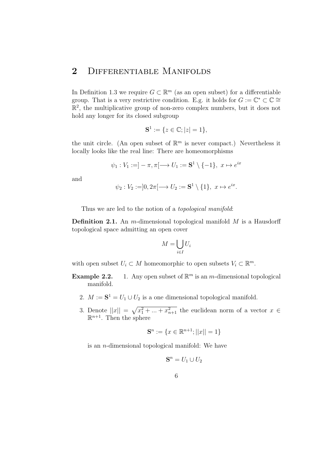### 2 DIFFERENTIABLE MANIFOLDS

In Definition 1.3 we require  $G \subset \mathbb{R}^m$  (as an open subset) for a differentiable group. That is a very restrictive condition. E.g. it holds for  $G := \mathbb{C}^* \subset \mathbb{C} \cong$  $\mathbb{R}^2$ , the multiplicative group of non-zero complex numbers, but it does not hold any longer for its closed subgroup

$$
S^1 := \{ z \in \mathbb{C}; |z| = 1 \},\
$$

the unit circle. (An open subset of  $\mathbb{R}^m$  is never compact.) Nevertheless it locally looks like the real line: There are homeomorphisms

$$
\psi_1: V_1 := ]-\pi, \pi[ \longrightarrow U_1 := \mathbf{S}^1 \setminus \{-1\}, \ x \mapsto e^{ix}
$$

and

$$
\psi_2: V_2 := ]0, 2\pi[ \longrightarrow U_2 := \mathbf{S}^1 \setminus \{1\}, \ x \mapsto e^{ix}.
$$

Thus we are led to the notion of a *topological manifold*:

**Definition 2.1.** An *m*-dimensional topological manifold  $M$  is a Hausdorff topological space admitting an open cover

$$
M = \bigcup_{i \in I} U_i
$$

with open subset  $U_i \subset M$  homeomorphic to open subsets  $V_i \subset \mathbb{R}^m$ .

- **Example 2.2.** 1. Any open subset of  $\mathbb{R}^m$  is an m-dimensional topological manifold.
	- 2.  $M := \mathbf{S}^1 = U_1 \cup U_2$  is a one dimensional topological manifold.
	- 3. Denote  $||x|| = \sqrt{x_1^2 + ... + x_{n+1}^2}$  the euclidean norm of a vector  $x \in$  $\mathbb{R}^{n+1}$ . Then the sphere

$$
\mathbf{S}^n := \{ x \in \mathbb{R}^{n+1}; ||x|| = 1 \}
$$

is an n-dimensional topological manifold: We have

$$
\mathbf{S}^n = U_1 \cup U_2
$$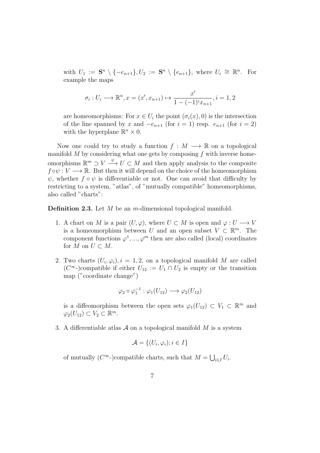with  $U_1 := \mathbf{S}^n \setminus \{-e_{n+1}\}, U_2 := \mathbf{S}^n \setminus \{e_{n+1}\}, \text{ where } U_i \cong \mathbb{R}^n. \text{ For }$ example the maps

$$
\sigma_i: U_i \longrightarrow \mathbb{R}^n, x = (x', x_{n+1}) \mapsto \frac{x'}{1 - (-1)^i x_{n+1}}, i = 1, 2
$$

are homeomorphisms: For  $x \in U_i$  the point  $(\sigma_i(x), 0)$  is the intersection of the line spanned by x and  $-e_{n+1}$  (for  $i = 1$ ) resp.  $e_{n+1}$  (for  $i = 2$ ) with the hyperplane  $\mathbb{R}^n \times 0$ .

Now one could try to study a function  $f : M \longrightarrow \mathbb{R}$  on a topological manifold  $M$  by considering what one gets by composing  $f$  with inverse homeomorphisms  $\mathbb{R}^m \supset V \stackrel{\psi}{\longrightarrow} U \subset M$  and then apply analysis to the composite  $f \circ \psi : V \longrightarrow \mathbb{R}$ . But then it will depend on the choice of the homeomorphism  $\psi$ , whether  $f \circ \psi$  is differentiable or not. One can avoid that difficulty by restricting to a system, "atlas", of "mutually compatible" homeomorphisms, also called "charts":

**Definition 2.3.** Let  $M$  be an  $m$ -dimensional topological manifold.

- 1. A chart on M is a pair  $(U, \varphi)$ , where  $U \subset M$  is open and  $\varphi: U \longrightarrow V$ is a homeomorphism between U and an open subset  $V \subset \mathbb{R}^m$ . The component functions  $\varphi^1, ..., \varphi^m$  then are also called (local) coordinates for M on  $U \subset M$ .
- 2. Two charts  $(U_i, \varphi_i), i = 1, 2$ , on a topological manifold M are called  $(C^{\infty})$ compatible if either  $U_{12} := U_1 \cap U_2$  is empty or the transition map ("coordinate change")

$$
\varphi_2 \circ \varphi_1^{-1} : \varphi_1(U_{12}) \longrightarrow \varphi_2(U_{12})
$$

is a diffeomorphism between the open sets  $\varphi_1(U_{12}) \subset V_1 \subset \mathbb{R}^m$  and  $\varphi_2(U_{12}) \subset V_2 \subset \mathbb{R}^m$ .

3. A differentiable atlas  $A$  on a topological manifold  $M$  is a system

$$
\mathcal{A} = \{ (U_i, \varphi_i); i \in I \}
$$

of mutually  $(C^{\infty}$ -)compatible charts, such that  $M = \bigcup_{i \in I} U_i$ .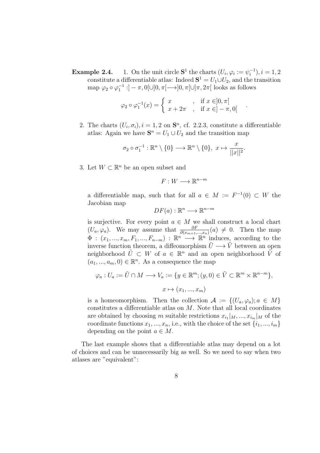**Example 2.4.** 1. On the unit circle  $S^1$  the charts  $(U_i, \varphi_i := \psi_i^{-1})$  $(i^{-1}), i = 1, 2$ constitute a differentiable atlas: Indeed  $S^1 = U_1 \cup U_2$ , and the transition map  $\varphi_2 \circ \varphi_1^{-1}$ :  $]-\pi, 0[\cup]0, \pi[\longrightarrow]0, \pi[\cup]\pi, 2\pi[$  looks as follows

$$
\varphi_2 \circ \varphi_1^{-1}(x) = \begin{cases} x & , \text{if } x \in ]0, \pi[ \\ x + 2\pi & , \text{if } x \in ]-\pi, 0[ \end{cases}
$$

2. The charts  $(U_i, \sigma_i)$ ,  $i = 1, 2$  on  $\mathbf{S}^n$ , cf. 2.2.3, constitute a differentiable atlas: Again we have  $S^n = U_1 \cup U_2$  and the transition map

$$
\sigma_2 \circ \sigma_1^{-1} : \mathbb{R}^n \setminus \{0\} \longrightarrow \mathbb{R}^n \setminus \{0\}, \ x \mapsto \frac{x}{||x||^2}.
$$

3. Let  $W \subset \mathbb{R}^n$  be an open subset and

$$
F:W\longrightarrow\mathbb{R}^{n-m}
$$

a differentiable map, such that for all  $a \in M := F^{-1}(0) \subset W$  the Jacobian map

$$
DF(a): \mathbb{R}^n \longrightarrow \mathbb{R}^{n-m}
$$

is surjective. For every point  $a \in M$  we shall construct a local chart  $(U_a, \varphi_a)$ . We may assume that  $\frac{\partial F}{\partial(x_{m+1},...,x_n)}(a) \neq 0$ . Then the map  $\Phi$ :  $(x_1, ..., x_m, F_1, ..., F_{n-m})$ :  $\mathbb{R}^n \longrightarrow \mathbb{R}^n$  induces, according to the inverse function theorem, a diffeomorphism  $\tilde{U} \longrightarrow \tilde{V}$  between an open neighborhood  $\tilde{U} \subset W$  of  $a \in \mathbb{R}^n$  and an open neighborhood  $\tilde{V}$  of  $(a_1, ..., a_m, 0) \in \mathbb{R}^n$ . As a consequence the map

$$
\varphi_a: U_a := \tilde{U} \cap M \longrightarrow V_a := \{ y \in \mathbb{R}^m; (y, 0) \in \tilde{V} \subset \mathbb{R}^m \times \mathbb{R}^{n-m} \},\
$$

$$
x \mapsto (x_1, ..., x_m)
$$

is a homeomorphism. Then the collection  $\mathcal{A} := \{ (U_a, \varphi_a) ; a \in M \}$ constitutes a differentiable atlas on M. Note that all local coordinates are obtained by choosing m suitable restrictions  $x_{i_1}|_M, ..., x_{i_m}|_M$  of the coordinate functions  $x_1, ..., x_n$ , i.e., with the choice of the set  $\{i_1, ..., i_m\}$ depending on the point  $a \in M$ .

The last example shows that a differentiable atlas may depend on a lot of choices and can be unnecessarily big as well. So we need to say when two atlases are "equivalent":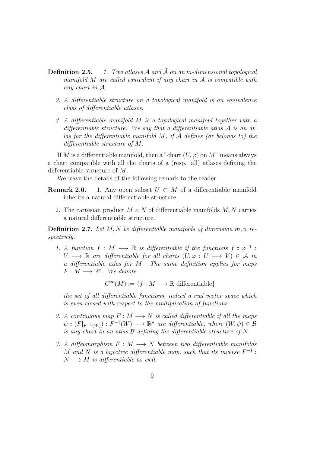- **Definition 2.5.** 1. Two atlases  $\mathcal A$  and  $\tilde{\mathcal A}$  on an m-dimensional topological manifold  $M$  are called equivalent if any chart in  $A$  is compatible with any chart in  $A$ .
	- 2. A differentiable structure on a topological manifold is an equivalence class of differentiable atlases.
	- 3. A differentiable manifold M is a topological manifold together with a differentiable structure. We say that a differentiable atlas  $A$  is an atlas for the differentiable manifold  $M$ , if  $A$  defines (or belongs to) the differentiable structure of M.

If M is a differentiable manifold, then a "chart  $(U, \varphi)$  on M" means always a chart compatible with all the charts of a (resp. all) atlases defining the differentiable structure of M.

We leave the details of the following remark to the reader:

- **Remark 2.6.** 1. Any open subset  $U \subset M$  of a differentiable manifold inherits a natural differentiable structure.
	- 2. The cartesian product  $M \times N$  of differentiable manifolds  $M, N$  carries a natural differentiable structure.

**Definition 2.7.** Let  $M, N$  be differentiable manifolds of dimension  $m, n$  respectively.

1. A function  $f : M \longrightarrow \mathbb{R}$  is differentiable if the functions  $f \circ \varphi^{-1}$ :  $V \longrightarrow \mathbb{R}$  are differentiable for all charts  $(U, \varphi : U \longrightarrow V) \in \mathcal{A}$  in a differentiable atlas for M. The same definition applies for maps  $F: M \longrightarrow \mathbb{R}^n$ . We denote

 $C^{\infty}(M) := \{f : M \longrightarrow \mathbb{R} \text{ differentiable}\}\$ 

the set of all differentiable functions, indeed a real vector space which is even closed with respect to the multiplication of functions.

- 2. A continuous map  $F : M \longrightarrow N$  is called differentiable if all the maps  $\psi \circ (F|_{F^{-1}(W)}) : F^{-1}(W) \longrightarrow \mathbb{R}^n$  are differentiable, where  $(W, \psi) \in \mathcal{B}$ is any chart in an atlas  $\beta$  defining the differentiable structure of N.
- 3. A diffeomorphism  $F : M \longrightarrow N$  between two differentiable manifolds M and N is a bijective differentiable map, such that its inverse  $F^{-1}$ :  $N \longrightarrow M$  is differentiable as well.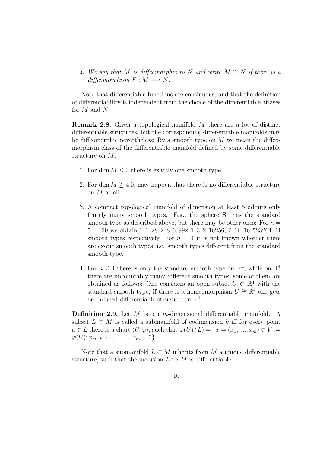4. We say that M is diffeomorphic to N and write  $M \cong N$  if there is a  $diffeomorphism F : M \longrightarrow N$ .

Note that differentiable functions are continuous, and that the definition of differentiability is independent from the choice of the differentiable atlases for M and N.

Remark 2.8. Given a topological manifold M there are a lot of distinct differentiable structures, but the corresponding differentiable manifolds may be diffeomorphic nevertheless: By a smooth type on  $M$  we mean the diffeomorphism class of the differentiable manifold defined by some differentiable structure on M.

- 1. For dim  $M \leq 3$  there is exactly one smooth type.
- 2. For dim  $M \geq 4$  it may happen that there is no differentiable structure on M at all.
- 3. A compact topological manifold of dimension at least 5 admits only finitely many smooth types. E.g., the sphere  $S<sup>n</sup>$  has the standard smooth type as described above, but there may be other ones: For  $n =$ 5, ..., 20 we obtain 1, 1, 28, 2, 8, 6, 992, 1, 3, 2, 16256, 2, 16, 16, 523264, 24 smooth types respectively. For  $n = 4$  it is not known whether there are exotic smooth types, i.e. smooth types different from the standard smooth type.
- 4. For  $n \neq 4$  there is only the standard smooth type on  $\mathbb{R}^n$ , while on  $\mathbb{R}^4$ there are uncountably many different smooth types; some of them are obtained as follows: One considers an open subset  $U \subset \mathbb{R}^4$  with the standard smooth type; if there is a homeomorphism  $U \cong \mathbb{R}^4$  one gets an induced differentiable structure on  $\mathbb{R}^4$ .

Definition 2.9. Let M be an m-dimensional differentiable manifold. A subset  $L \subset M$  is called a submanifold of codimension k iff for every point  $a \in L$  there is a chart  $(U, \varphi)$ , such that  $\varphi(U \cap L) = \{x = (x_1, ..., x_m) \in V :=$  $\varphi(U); x_{m-k+1} = \dots = x_m = 0$ .

Note that a submanifold  $L \subset M$  inherits from M a unique differentiable structure, such that the inclusion  $L \hookrightarrow M$  is differentiable.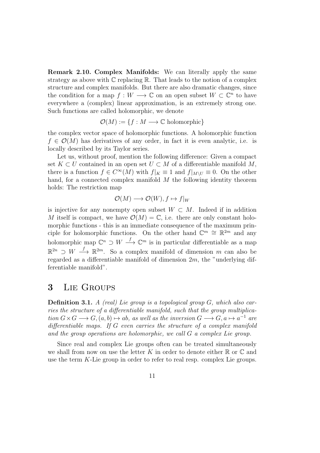Remark 2.10. Complex Manifolds: We can literally apply the same strategy as above with  $\mathbb C$  replacing  $\mathbb R$ . That leads to the notion of a complex structure and complex manifolds. But there are also dramatic changes, since the condition for a map  $f: W \longrightarrow \mathbb{C}$  on an open subset  $W \subset \mathbb{C}^n$  to have everywhere a (complex) linear approximation, is an extremely strong one. Such functions are called holomorphic, we denote

 $\mathcal{O}(M) := \{f : M \longrightarrow \mathbb{C} \text{ holomorphic}\}\$ 

the complex vector space of holomorphic functions. A holomorphic function  $f \in \mathcal{O}(M)$  has derivatives of any order, in fact it is even analytic, i.e. is locally described by its Taylor series.

Let us, without proof, mention the following difference: Given a compact set  $K \subset U$  contained in an open set  $U \subset M$  of a differentiable manifold M, there is a function  $f \in C^{\infty}(M)$  with  $f|_K \equiv 1$  and  $f|_{M\setminus U} \equiv 0$ . On the other hand, for a connected complex manifold  $M$  the following identity theorem holds: The restriction map

$$
\mathcal{O}(M) \longrightarrow \mathcal{O}(W), f \mapsto f|_W
$$

is injective for any nonempty open subset  $W \subset M$ . Indeed if in addition M itself is compact, we have  $\mathcal{O}(M) = \mathbb{C}$ , i.e. there are only constant holomorphic functions - this is an immediate consequence of the maximum principle for holomorphic functions. On the other hand  $\mathbb{C}^m \cong \mathbb{R}^{2m}$  and any holomorphic map  $\mathbb{C}^n \supset W \stackrel{f}{\longrightarrow} \mathbb{C}^m$  is in particular differentiable as a map  $\mathbb{R}^{2n} \supset W \stackrel{f}{\longrightarrow} \mathbb{R}^{2m}$ . So a complex manifold of dimension m can also be regarded as a differentiable manifold of dimension  $2m$ , the "underlying differentiable manifold".

#### 3 Lie Groups

**Definition 3.1.** A (real) Lie group is a topological group  $G$ , which also carries the structure of a differentiable manifold, such that the group multiplication  $G \times G \longrightarrow G$ ,  $(a, b) \mapsto ab$ , as well as the inversion  $G \longrightarrow G$ ,  $a \mapsto a^{-1}$  are differentiable maps. If G even carries the structure of a complex manifold and the group operations are holomorphic, we call G a complex Lie group.

Since real and complex Lie groups often can be treated simultaneously we shall from now on use the letter K in order to denote either  $\mathbb R$  or  $\mathbb C$  and use the term K-Lie group in order to refer to real resp. complex Lie groups.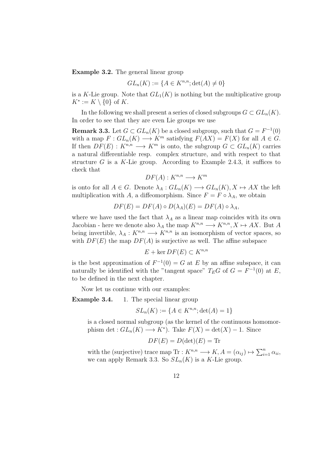Example 3.2. The general linear group

$$
GL_n(K) := \{ A \in K^{n,n}; \det(A) \neq 0 \}
$$

is a K-Lie group. Note that  $GL_1(K)$  is nothing but the multiplicative group  $K^* := K \setminus \{0\}$  of K.

In the following we shall present a series of closed subgroups  $G \subset GL_n(K)$ . In order to see that they are even Lie groups we use

**Remark 3.3.** Let  $G \subset GL_n(K)$  be a closed subgroup, such that  $G = F^{-1}(0)$ with a map  $F: GL_n(K) \longrightarrow K^m$  satisfying  $F(AX) = F(X)$  for all  $A \in G$ . If then  $DF(E) : K^{n,n} \longrightarrow K^m$  is onto, the subgroup  $G \subset GL_n(K)$  carries a natural differentiable resp. complex structure, and with respect to that structure G is a K-Lie group. According to Example 2.4.3, it suffices to check that

$$
DF(A): K^{n,n} \longrightarrow K^m
$$

is onto for all  $A \in G$ . Denote  $\lambda_A : GL_n(K) \longrightarrow GL_n(K), X \mapsto AX$  the left multiplication with A, a diffeomorphism. Since  $F = F \circ \lambda_A$ , we obtain

$$
DF(E) = DF(A) \circ D(\lambda_A)(E) = DF(A) \circ \lambda_A,
$$

where we have used the fact that  $\lambda_A$  as a linear map coincides with its own Jacobian - here we denote also  $\lambda_A$  the map  $K^{n,n} \longrightarrow K^{n,n}, X \mapsto AX$ . But A being invertible,  $\lambda_A: K^{n,n} \longrightarrow K^{n,n}$  is an isomorphism of vector spaces, so with  $DF(E)$  the map  $DF(A)$  is surjective as well. The affine subspace

$$
E + \ker DF(E) \subset K^{n,n}
$$

is the best approximation of  $F^{-1}(0) = G$  at E by an affine subspace, it can naturally be identified with the "tangent space"  $T_E G$  of  $G = F^{-1}(0)$  at E, to be defined in the next chapter.

Now let us continue with our examples:

Example 3.4. 1. The special linear group

$$
SL_n(K) := \{ A \in K^{n,n}; \det(A) = 1 \}
$$

is a closed normal subgroup (as the kernel of the continuous homomorphism det :  $GL_n(K) \longrightarrow K^*$ ). Take  $F(X) = \det(X) - 1$ . Since

$$
DF(E) = D(\det)(E) = \text{Tr}
$$

with the (surjective) trace map  $\text{Tr}: K^{n,n} \longrightarrow K, A = (\alpha_{ij}) \mapsto \sum_{i=1}^n \alpha_{ii}$ , we can apply Remark 3.3. So  $SL_n(K)$  is a K-Lie group.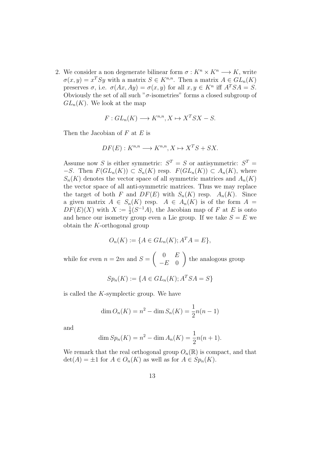2. We consider a non degenerate bilinear form  $\sigma: K^n \times K^n \longrightarrow K$ , write  $\sigma(x,y) = x^T S y$  with a matrix  $S \in K^{n,n}$ . Then a matrix  $A \in GL_n(K)$ preserves  $\sigma$ , i.e.  $\sigma(Ax, Ay) = \sigma(x, y)$  for all  $x, y \in K^n$  iff  $A^TSA = S$ . Obviously the set of all such " $\sigma$ -isometries" forms a closed subgroup of  $GL_n(K)$ . We look at the map

$$
F: GL_n(K) \longrightarrow K^{n,n}, X \mapsto X^T S X - S.
$$

Then the Jacobian of  $F$  at  $E$  is

$$
DF(E): K^{n,n} \longrightarrow K^{n,n}, X \mapsto X^T S + S X.
$$

Assume now S is either symmetric:  $S^T = S$  or antisymmetric:  $S^T =$  $-S$ . Then  $F(GL_n(K)) \subset S_n(K)$  resp.  $F(GL_n(K)) \subset A_n(K)$ , where  $S_n(K)$  denotes the vector space of all symmetric matrices and  $A_n(K)$ the vector space of all anti-symmetric matrices. Thus we may replace the target of both F and  $DF(E)$  with  $S_n(K)$  resp.  $A_n(K)$ . Since a given matrix  $A \in S_n(K)$  resp.  $A \in A_n(K)$  is of the form  $A =$  $DF(E)(X)$  with  $X := \frac{1}{2}(S^{-1}A)$ , the Jacobian map of F at E is onto and hence our isometry group even a Lie group. If we take  $S = E$  we obtain the K-orthogonal group

$$
O_n(K) := \{ A \in GL_n(K); A^T A = E \},
$$

while for even  $n = 2m$  and  $S =$  $\begin{pmatrix} 0 & E \end{pmatrix}$  $-E$  0  $\setminus$ the analogous group

$$
Sp_n(K) := \{ A \in GL_n(K); A^T S A = S \}
$$

is called the K-symplectic group. We have

$$
\dim O_n(K) = n^2 - \dim S_n(K) = \frac{1}{2}n(n-1)
$$

and

$$
\dim Sp_n(K) = n^2 - \dim A_n(K) = \frac{1}{2}n(n+1).
$$

We remark that the real orthogonal group  $O_n(\mathbb{R})$  is compact, and that  $\det(A) = \pm 1$  for  $A \in O_n(K)$  as well as for  $A \in Sp_n(K)$ .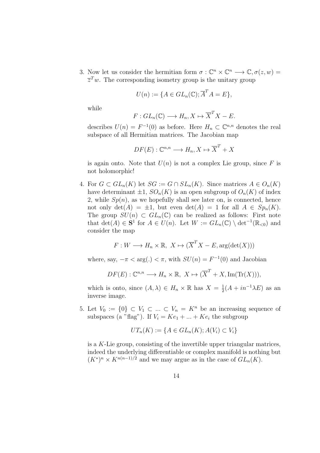3. Now let us consider the hermitian form  $\sigma : \mathbb{C}^n \times \mathbb{C}^n \longrightarrow \mathbb{C}, \sigma(z, w) =$  $\overline{z}^T w$ . The corresponding isometry group is the unitary group

$$
U(n) := \{ A \in GL_n(\mathbb{C}); \overline{A}^T A = E \},
$$

while

$$
F: GL_n(\mathbb{C}) \longrightarrow H_n, X \mapsto \overline{X}^T X - E.
$$

describes  $U(n) = F^{-1}(0)$  as before. Here  $H_n \subset \mathbb{C}^{n,n}$  denotes the real subspace of all Hermitian matrices. The Jacobian map

$$
DF(E): \mathbb{C}^{n,n} \longrightarrow H_n, X \mapsto \overline{X}^T + X
$$

is again onto. Note that  $U(n)$  is not a complex Lie group, since F is not holomorphic!

4. For  $G \subset GL_n(K)$  let  $SG := G \cap SL_n(K)$ . Since matrices  $A \in O_n(K)$ have determinant  $\pm 1$ ,  $SO_n(K)$  is an open subgroup of  $O_n(K)$  of index 2, while  $Sp(n)$ , as we hopefully shall see later on, is connected, hence not only  $\det(A) = \pm 1$ , but even  $\det(A) = 1$  for all  $A \in Sp_n(K)$ . The group  $SU(n) \subset GL_n(\mathbb{C})$  can be realized as follows: First note that  $\det(A) \in \mathbf{S}^1$  for  $A \in U(n)$ . Let  $W := GL_n(\mathbb{C}) \setminus \det^{-1}(\mathbb{R}_{< 0})$  and consider the map

$$
F: W \longrightarrow H_n \times \mathbb{R}, \ X \mapsto (\overline{X}^T X - E, \arg(\det(X)))
$$

where, say,  $-\pi < \arg(.) < \pi$ , with  $SU(n) = F^{-1}(0)$  and Jacobian

$$
DF(E): \mathbb{C}^{n,n} \longrightarrow H_n \times \mathbb{R}, \ X \mapsto (\overline{X}^T + X, \text{Im}(\text{Tr}(X))),
$$

which is onto, since  $(A, \lambda) \in H_n \times \mathbb{R}$  has  $X = \frac{1}{2}$  $\frac{1}{2}(A + in^{-1}\lambda E)$  as an inverse image.

5. Let  $V_0 := \{0\} \subset V_1 \subset \ldots \subset V_n = K^n$  be an increasing sequence of subspaces (a "flag"). If  $V_i = Ke_1 + ... + Ke_i$  the subgroup

$$
UT_n(K) := \{ A \in GL_n(K); A(V_i) \subset V_i \}
$$

is a K-Lie group, consisting of the invertible upper triangular matrices, indeed the underlying differentiable or complex manifold is nothing but  $(K^*)^n \times K^{n(n-1)/2}$  and we may argue as in the case of  $GL_n(K)$ .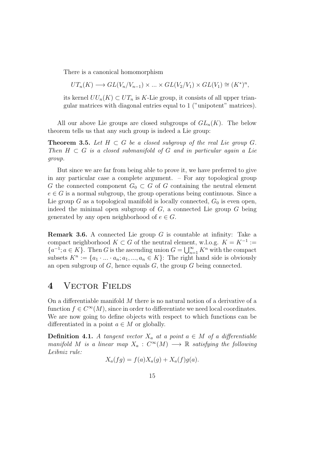There is a canonical homomorphism

$$
UT_n(K) \longrightarrow GL(V_n/V_{n-1}) \times ... \times GL(V_2/V_1) \times GL(V_1) \cong (K^*)^n,
$$

its kernel  $UU_n(K) \subset UT_n$  is K-Lie group, it consists of all upper triangular matrices with diagonal entries equal to 1 ("unipotent" matrices).

All our above Lie groups are closed subgroups of  $GL_n(K)$ . The below theorem tells us that any such group is indeed a Lie group:

**Theorem 3.5.** Let  $H \subset G$  be a closed subgroup of the real Lie group  $G$ . Then  $H \subset G$  is a closed submanifold of G and in particular again a Lie group.

But since we are far from being able to prove it, we have preferred to give in any particular case a complete argument. – For any topological group G the connected component  $G_0 \subset G$  of G containing the neutral element  $e \in G$  is a normal subgroup, the group operations being continuous. Since a Lie group G as a topological manifold is locally connected,  $G_0$  is even open, indeed the minimal open subgroup of  $G$ , a connected Lie group  $G$  being generated by any open neighborhood of  $e \in G$ .

**Remark 3.6.** A connected Lie group  $G$  is countable at infinity: Take a compact neighborhood  $K \subset G$  of the neutral element, w.l.o.g.  $K = K^{-1}$ :=  ${a<sup>-1</sup>; a \in K}$ . Then G is the ascending union  $G = \bigcup_{n=1}^{\infty} K^n$  with the compact subsets  $K^n := \{a_1 \cdot \ldots \cdot a_n; a_1, \ldots, a_n \in K\}$ : The right hand side is obviously an open subgroup of  $G$ , hence equals  $G$ , the group  $G$  being connected.

#### 4 VECTOR FIELDS

On a differentiable manifold M there is no natural notion of a derivative of a function  $f \in C^{\infty}(M)$ , since in order to differentiate we need local coordinates. We are now going to define objects with respect to which functions can be differentiated in a point  $a \in M$  or globally.

**Definition 4.1.** A tangent vector  $X_a$  at a point  $a \in M$  of a differentiable manifold M is a linear map  $X_a: C^{\infty}(M) \longrightarrow \mathbb{R}$  satisfying the following Leibniz rule:

$$
X_a(fg) = f(a)X_a(g) + X_a(f)g(a).
$$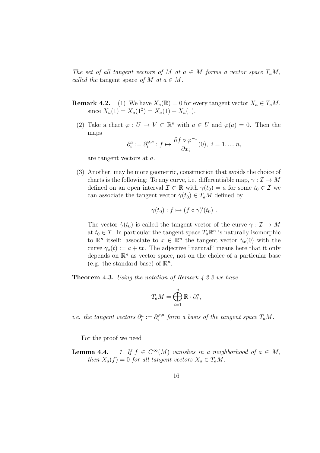The set of all tangent vectors of M at  $a \in M$  forms a vector space  $T_aM$ , called the tangent space of M at  $a \in M$ .

- **Remark 4.2.** (1) We have  $X_a(\mathbb{R}) = 0$  for every tangent vector  $X_a \in T_aM$ , since  $X_a(1) = X_a(1^2) = X_a(1) + X_a(1)$ .
	- (2) Take a chart  $\varphi: U \to V \subset \mathbb{R}^n$  with  $a \in U$  and  $\varphi(a) = 0$ . Then the maps

$$
\partial_i^a := \partial_i^{\varphi,a} : f \mapsto \frac{\partial f \circ \varphi^{-1}}{\partial x_i}(0), \ i = 1, ..., n,
$$

are tangent vectors at a.

(3) Another, may be more geometric, construction that avoids the choice of charts is the following: To any curve, i.e. differentiable map,  $\gamma : \mathcal{I} \to M$ defined on an open interval  $\mathcal{I} \subset \mathbb{R}$  with  $\gamma(t_0) = a$  for some  $t_0 \in \mathcal{I}$  we can associate the tangent vector  $\dot{\gamma}(t_0) \in T_a M$  defined by

$$
\dot{\gamma}(t_0) : f \mapsto (f \circ \gamma)'(t_0) .
$$

The vector  $\dot{\gamma}(t_0)$  is called the tangent vector of the curve  $\gamma : \mathcal{I} \to M$ at  $t_0 \in \mathcal{I}$ . In particular the tangent space  $T_a \mathbb{R}^n$  is naturally isomorphic to  $\mathbb{R}^n$  itself: associate to  $x \in \mathbb{R}^n$  the tangent vector  $\dot{\gamma}_x(0)$  with the curve  $\gamma_x(t) := a + tx$ . The adjective "natural" means here that it only depends on  $\mathbb{R}^n$  as vector space, not on the choice of a particular base (e.g. the standard base) of  $\mathbb{R}^n$ .

Theorem 4.3. Using the notation of Remark 4.2.2 we have

$$
T_a M = \bigoplus_{i=1}^n \mathbb{R} \cdot \partial_i^a,
$$

*i.e.* the tangent vectors  $\partial_i^a := \partial_i^{\varphi, a}$  $f_i^{\varphi,a}$  form a basis of the tangent space  $T_aM$ .

For the proof we need

Lemma  $4.4.$ 1. If  $f \in C^{\infty}(M)$  vanishes in a neighborhood of  $a \in M$ , then  $X_a(f) = 0$  for all tangent vectors  $X_a \in T_aM$ .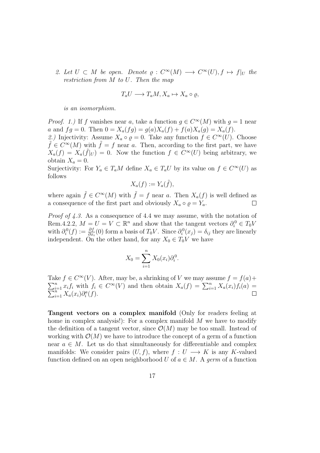2. Let  $U \subset M$  be open. Denote  $\varrho : C^{\infty}(M) \longrightarrow C^{\infty}(U), f \mapsto f|_{U}$  the restriction from M to U. Then the map

$$
T_a U \longrightarrow T_a M, X_a \mapsto X_a \circ \varrho,
$$

is an isomorphism.

*Proof.* 1.) If f vanishes near a, take a function  $g \in C^{\infty}(M)$  with  $g = 1$  near a and  $fg = 0$ . Then  $0 = X_a(fg) = g(a)X_a(f) + f(a)X_a(g) = X_a(f)$ . 2.) Injectivity: Assume  $X_a \circ \varrho = 0$ . Take any function  $f \in C^{\infty}(U)$ . Choose  $\tilde{f} \in C^{\infty}(M)$  with  $\tilde{f} = f$  near a. Then, according to the first part, we have  $X_a(f) = X_a(\tilde{f}|_U) = 0$ . Now the function  $f \in C^{\infty}(U)$  being arbitrary, we

obtain  $X_a = 0$ . Surjectivity: For  $Y_a \in T_aM$  define  $X_a \in T_aU$  by its value on  $f \in C^{\infty}(U)$  as follows

$$
X_a(f) := Y_a(\tilde{f}),
$$

where again  $\tilde{f} \in C^{\infty}(M)$  with  $\tilde{f} = f$  near a. Then  $X_a(f)$  is well defined as a consequence of the first part and obviously  $X_a \circ \varrho = Y_a$ .  $\Box$ 

Proof of 4.3. As a consequence of 4.4 we may assume, with the notation of Rem.4.2.2,  $M = U = V \subset \mathbb{R}^n$  and show that the tangent vectors  $\partial_i^0 \in T_0V$ with  $\partial_i^0(f) := \frac{\partial f}{\partial x_i}(0)$  form a basis of  $T_0V$ . Since  $\partial_i^0(x_j) = \delta_{ij}$  they are linearly independent. On the other hand, for any  $X_0 \in T_0V$  we have

$$
X_0 = \sum_{i=1}^n X_0(x_i) \partial_i^0.
$$

Take  $f \in C^{\infty}(V)$ . After, may be, a shrinking of V we may assume  $f = f(a) +$  $\sum_{i=1}^{n} x_i f_i$  with  $f_i \in C^{\infty}(V)$  and then obtain  $X_a(f) = \sum_{i=1}^{n} x_i f_i$  $\sum$  $\sum_{i=1}^{n} x_i f_i$  with  $f_i \in C^{\infty}(V)$  and then obtain  $X_a(f) = \sum_{i=1}^{n} X_a(x_i) f_i(a) = \frac{n}{\sum_{i=1}^{n} X_a(x_i) \partial_i^a(f)}$ .

Tangent vectors on a complex manifold (Only for readers feeling at home in complex analysis!): For a complex manifold  $M$  we have to modify the definition of a tangent vector, since  $\mathcal{O}(M)$  may be too small. Instead of working with  $\mathcal{O}(M)$  we have to introduce the concept of a germ of a function near  $a \in M$ . Let us do that simultaneously for differentiable and complex manifolds: We consider pairs  $(U, f)$ , where  $f : U \longrightarrow K$  is any K-valued function defined on an open neighborhood U of  $a \in M$ . A germ of a function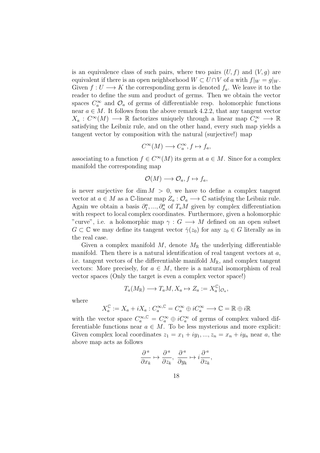is an equivalence class of such pairs, where two pairs  $(U, f)$  and  $(V, g)$  are equivalent if there is an open neighborhood  $W \subset U \cap V$  of a with  $f|_W = g|_W$ . Given  $f: U \longrightarrow K$  the corresponding germ is denoted  $f_a$ . We leave it to the reader to define the sum and product of germs. Then we obtain the vector spaces  $C_a^{\infty}$  and  $\mathcal{O}_a$  of germs of differentiable resp. holomorphic functions near  $a \in M$ . It follows from the above remark 4.2.2, that any tangent vector  $X_a: C^{\infty}(M) \longrightarrow \mathbb{R}$  factorizes uniquely through a linear map  $C_a^{\infty} \longrightarrow \mathbb{R}$ satisfying the Leibniz rule, and on the other hand, every such map yields a tangent vector by composition with the natural (surjective!) map

$$
C^{\infty}(M) \longrightarrow C^{\infty}_a, f \mapsto f_a,
$$

associating to a function  $f \in C^{\infty}(M)$  its germ at  $a \in M$ . Since for a complex manifold the corresponding map

$$
\mathcal{O}(M) \longrightarrow \mathcal{O}_a, f \mapsto f_a,
$$

is never surjective for dim  $M > 0$ , we have to define a complex tangent vector at  $a \in M$  as a  $\mathbb{C}$ -linear map  $Z_a: \mathcal{O}_a \longrightarrow \mathbb{C}$  satisfying the Leibniz rule. Again we obtain a basis  $\partial_1^a, ..., \partial_n^a$  of  $T_aM$  given by complex differentiation with respect to local complex coordinates. Furthermore, given a holomorphic "curve", i.e. a holomorphic map  $\gamma: G \longrightarrow M$  defined on an open subset  $G \subset \mathbb{C}$  we may define its tangent vector  $\dot{\gamma}(z_0)$  for any  $z_0 \in G$  literally as in the real case.

Given a complex manifold M, denote  $M_{\mathbb{R}}$  the underlying differentiable manifold. Then there is a natural identification of real tangent vectors at  $a$ , i.e. tangent vectors of the differentiable manifold  $M_{\mathbb{R}}$ , and complex tangent vectors: More precisely, for  $a \in M$ , there is a natural isomorphism of real vector spaces (Only the target is even a complex vector space!)

$$
T_a(M_{\mathbb{R}}) \longrightarrow T_aM, X_a \mapsto Z_a := X_a^{\mathbb{C}}|_{\mathcal{O}_a},
$$

where

$$
X_a^{\mathbb{C}} := X_a + iX_a : C_a^{\infty, \mathbb{C}} = C_a^{\infty} \oplus iC_a^{\infty} \longrightarrow \mathbb{C} = \mathbb{R} \oplus i\mathbb{R}
$$

with the vector space  $C_a^{\infty,\mathbb{C}} = C_a^{\infty} \oplus iC_a^{\infty}$  of germs of complex valued differentiable functions near  $a \in M$ . To be less mysterious and more explicit: Given complex local coordinates  $z_1 = x_1 + iy_1, ..., z_n = x_n + iy_n$  near a, the above map acts as follows

$$
\frac{\partial^a}{\partial x_k}\mapsto \frac{\partial^{\,a}}{\partial z_k},\,\,\frac{\partial^{\,a}}{\partial y_k}\mapsto i\frac{\partial^{\,a}}{\partial z_k},
$$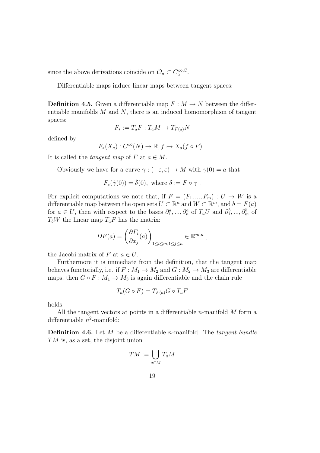since the above derivations coincide on  $\mathcal{O}_a \subset C_a^{\infty, \mathbb{C}}$ .

Differentiable maps induce linear maps between tangent spaces:

**Definition 4.5.** Given a differentiable map  $F : M \to N$  between the differentiable manifolds  $M$  and  $N$ , there is an induced homomorphism of tangent spaces:

$$
F_* := T_a F : T_a M \to T_{F(a)} N
$$

defined by

$$
F_*(X_a): C^{\infty}(N) \to \mathbb{R}, f \mapsto X_a(f \circ F) .
$$

It is called the *tangent* map of F at  $a \in M$ .

Obviously we have for a curve  $\gamma : (-\varepsilon, \varepsilon) \to M$  with  $\gamma(0) = a$  that

$$
F_*(\dot{\gamma}(0)) = \dot{\delta}(0)
$$
, where  $\delta := F \circ \gamma$ .

For explicit computations we note that, if  $F = (F_1, ..., F_m) : U \to W$  is a differentiable map between the open sets  $U \subset \mathbb{R}^n$  and  $W \subset \mathbb{R}^m$ , and  $b = F(a)$ for  $a \in U$ , then with respect to the bases  $\partial_1^a, ..., \partial_n^a$  of  $T_a U$  and  $\partial_1^b, ..., \partial_m^b$  of  $T_bW$  the linear map  $T_aF$  has the matrix:

$$
DF(a) = \left(\frac{\partial F_i}{\partial x_j}(a)\right)_{1 \le i \le m, 1 \le j \le n} \in \mathbb{R}^{m,n},
$$

the Jacobi matrix of F at  $a \in U$ .

Furthermore it is immediate from the definition, that the tangent map behaves functorially, i.e. if  $F: M_1 \rightarrow M_2$  and  $G: M_2 \rightarrow M_3$  are differentiable maps, then  $G \circ F : M_1 \to M_3$  is again differentiable and the chain rule

$$
T_a(G \circ F) = T_{F(a)}G \circ T_a F
$$

holds.

All the tangent vectors at points in a differentiable  $n$ -manifold  $M$  form a differentiable  $n^2$ -manifold:

**Definition 4.6.** Let  $M$  be a differentiable *n*-manifold. The *tangent bundle* TM is, as a set, the disjoint union

$$
TM:=\bigcup_{a\in M}T_aM
$$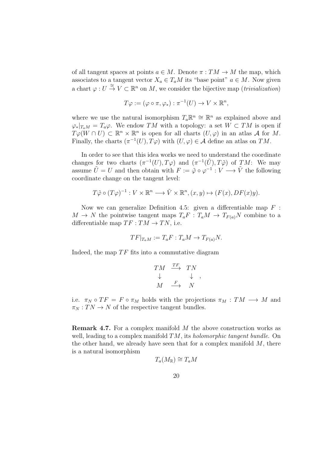of all tangent spaces at points  $a \in M$ . Denote  $\pi : TM \to M$  the map, which associates to a tangent vector  $X_a \in T_aM$  its "base point"  $a \in M$ . Now given a chart  $\varphi: U \stackrel{\cong}{\to} V \subset \mathbb{R}^n$  on M, we consider the bijective map (*trivialization*)

$$
T\varphi := (\varphi \circ \pi, \varphi_*) : \pi^{-1}(U) \to V \times \mathbb{R}^n,
$$

where we use the natural isomorphism  $T_a \mathbb{R}^n \cong \mathbb{R}^n$  as explained above and  $\varphi_*|_{T_aM} = T_a\varphi$ . We endow TM with a topology: a set  $W \subset TM$  is open if  $T\varphi(W\cap U) \subset \mathbb{R}^n \times \mathbb{R}^n$  is open for all charts  $(U, \varphi)$  in an atlas A for M. Finally, the charts  $(\pi^{-1}(U), T\varphi)$  with  $(U, \varphi) \in \mathcal{A}$  define an atlas on TM.

In order to see that this idea works we need to understand the coordinate changes for two charts  $(\pi^{-1}(U), T\varphi)$  and  $(\pi^{-1}(\tilde{U}), T\tilde{\varphi})$  of  $TM$ : We may assume  $\tilde{U} = U$  and then obtain with  $F := \tilde{\varphi} \circ \varphi^{-1} : V \longrightarrow \tilde{V}$  the following coordinate change on the tangent level:

$$
T\tilde{\varphi} \circ (T\varphi)^{-1} : V \times \mathbb{R}^n \longrightarrow \tilde{V} \times \mathbb{R}^n, (x, y) \mapsto (F(x), DF(x)y).
$$

Now we can generalize Definition 4.5: given a differentiable map  $F$ :  $M \to N$  the pointwise tangent maps  $T_aF : T_aM \to T_{F(a)}N$  combine to a differentiable map  $TF: TM \rightarrow TN$ , i.e.

$$
TF|_{T_aM} := T_aF : T_aM \to T_{F(a)}N.
$$

Indeed, the map  $TF$  fits into a commutative diagram

$$
\begin{array}{ccc}\nTM & \xrightarrow{TF} & TN \\
\downarrow & & \downarrow \\
M & \xrightarrow{F} & N\n\end{array},
$$

i.e.  $\pi_N \circ TF = F \circ \pi_M$  holds with the projections  $\pi_M : TM \longrightarrow M$  and  $\pi_N: TN \to N$  of the respective tangent bundles.

Remark 4.7. For a complex manifold M the above construction works as well, leading to a complex manifold  $TM$ , its *holomorphic tangent bundle*. On the other hand, we already have seen that for a complex manifold  $M$ , there is a natural isomorphism

$$
T_a(M_{\mathbb{R}}) \cong T_aM
$$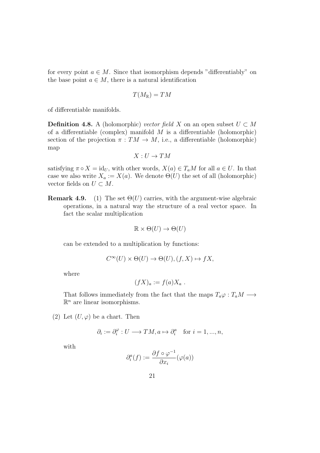for every point  $a \in M$ . Since that isomorphism depends "differentiably" on the base point  $a \in M$ , there is a natural identification

$$
T(M_\mathbb{R})=TM
$$

of differentiable manifolds.

**Definition 4.8.** A (holomorphic) vector field X on an open subset  $U \subset M$ of a differentiable (complex) manifold  $M$  is a differentiable (holomorphic) section of the projection  $\pi : TM \to M$ , i.e., a differentiable (holomorphic) map

$$
X: U \to TM
$$

satisfying  $\pi \circ X = id_U$ , with other words,  $X(a) \in T_aM$  for all  $a \in U$ . In that case we also write  $X_a := X(a)$ . We denote  $\Theta(U)$  the set of all (holomorphic) vector fields on  $U \subset M$ .

**Remark 4.9.** (1) The set  $\Theta(U)$  carries, with the argument-wise algebraic operations, in a natural way the structure of a real vector space. In fact the scalar multiplication

$$
\mathbb{R} \times \Theta(U) \to \Theta(U)
$$

can be extended to a multiplication by functions:

$$
C^{\infty}(U) \times \Theta(U) \to \Theta(U), (f, X) \mapsto fX,
$$

where

$$
(fX)_a := f(a)X_a .
$$

That follows immediately from the fact that the maps  $T_a\varphi : T_aM \longrightarrow$  $\mathbb{R}^n$  are linear isomorphisms.

(2) Let  $(U, \varphi)$  be a chart. Then

$$
\partial_i := \partial_i^{\varphi} : U \longrightarrow TM, a \mapsto \partial_i^a \quad \text{for } i = 1, ..., n,
$$

with

$$
\partial_i^a(f) := \frac{\partial f \circ \varphi^{-1}}{\partial x_i}(\varphi(a))
$$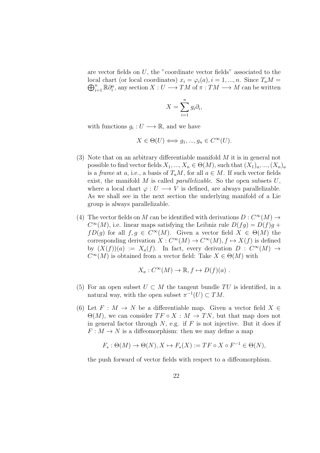are vector fields on U, the "coordinate vector fields" associated to the local chart (or local coordinates)  $x_i = \varphi_i(a), i = 1, ..., n$ . Since  $T_aM =$  $\bigoplus_{i=1}^n \mathbb{R} \partial_i^a$ , any section  $X: U \longrightarrow TM$  of  $\pi: TM \longrightarrow M$  can be written

$$
X = \sum_{i=1}^{n} g_i \partial_i,
$$

with functions  $g_i: U \longrightarrow \mathbb{R}$ , and we have

$$
X\in \Theta(U)\Longleftrightarrow g_1,...,g_n\in C^\infty(U).
$$

- (3) Note that on an arbitrary differentiable manifold  $M$  it is in general not possible to find vector fields  $X_1, ..., X_n \in \Theta(M)$ , such that  $(X_1)_a, ..., (X_n)_a$ is a frame at a, i.e., a basis of  $T_aM$ , for all  $a \in M$ . If such vector fields exist, the manifold  $M$  is called *parallelizable*. So the open subsets  $U$ , where a local chart  $\varphi: U \longrightarrow V$  is defined, are always parallelizable. As we shall see in the next section the underlying manifold of a Lie group is always parallelizable.
- (4) The vector fields on M can be identified with derivations  $D: C^{\infty}(M) \rightarrow$  $C^{\infty}(M)$ , i.e. linear maps satisfying the Leibniz rule  $D(fg) = D(f)g +$  $fD(g)$  for all  $f, g \in C^{\infty}(M)$ . Given a vector field  $X \in \Theta(M)$  the corresponding derivation  $X: C^{\infty}(M) \to C^{\infty}(M), f \mapsto X(f)$  is defined by  $(X(f))(a) := X_a(f)$ . In fact, every derivation  $D : C^{\infty}(M) \rightarrow$  $C^{\infty}(M)$  is obtained from a vector field: Take  $X \in \Theta(M)$  with

$$
X_a: C^{\infty}(M) \to \mathbb{R}, f \mapsto D(f)(a) .
$$

- (5) For an open subset  $U \subset M$  the tangent bundle TU is identified, in a natural way, with the open subset  $\pi^{-1}(U) \subset TM$ .
- (6) Let  $F : M \to N$  be a differentiable map. Given a vector field  $X \in$  $\Theta(M)$ , we can consider  $TF \circ X : M \to TN$ , but that map does not in general factor through  $N$ , e.g. if  $F$  is not injective. But it does if  $F: M \to N$  is a diffeomorphism: then we may define a map

$$
F_*: \Theta(M) \to \Theta(N), X \mapsto F_*(X) := TF \circ X \circ F^{-1} \in \Theta(N),
$$

the push forward of vector fields with respect to a diffeomorphism.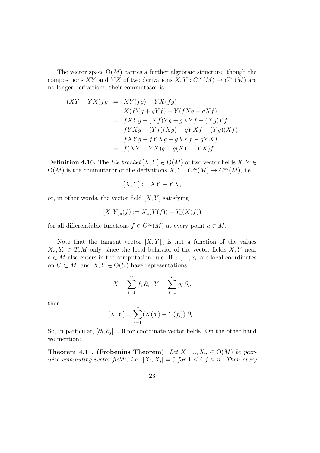The vector space  $\Theta(M)$  carries a further algebraic structure: though the compositions XY and YX of two derivations  $X, Y : C^{\infty}(M) \to C^{\infty}(M)$  are no longer derivations, their commutator is:

$$
(XY - YX)fg = XY(fg) - YX(fg)
$$
  
=  $X(fYg + gYf) - Y(fXg + gXf)$   
=  $fXYg + (Xf)Yg + gXYf + (Xg)Yf$   
-  $fYXg - (Yf)(Xg) - gYXf - (Yg)(Xf)$   
=  $fXYg - fYXg + gXYf - gYXf$   
=  $f(XY - YX)g + g(XY - YX)f$ .

**Definition 4.10.** The Lie bracket  $[X, Y] \in \Theta(M)$  of two vector fields  $X, Y \in$  $\Theta(M)$  is the commutator of the derivations  $X, Y : C^{\infty}(M) \to C^{\infty}(M)$ , i.e.

$$
[X,Y] := XY - YX,
$$

or, in other words, the vector field  $[X, Y]$  satisfying

$$
[X, Y]_a(f) := X_a(Y(f)) - Y_a(X(f))
$$

for all differentiable functions  $f \in C^{\infty}(M)$  at every point  $a \in M$ .

Note that the tangent vector  $[X, Y]_a$  is not a function of the values  $X_a, Y_a \in T_aM$  only, since the local behavior of the vector fields  $X, Y$  near  $a \in M$  also enters in the computation rule. If  $x_1, ..., x_n$  are local coordinates on  $U \subset M$ , and  $X, Y \in \Theta(U)$  have representations

$$
X = \sum_{i=1}^{n} f_i \partial_i, \ Y = \sum_{i=1}^{n} g_i \partial_i,
$$

then

$$
[X, Y] = \sum_{i=1}^{n} (X(g_i) - Y(f_i)) \partial_i.
$$

So, in particular,  $[\partial_i, \partial_j] = 0$  for coordinate vector fields. On the other hand we mention:

Theorem 4.11. (Frobenius Theorem) Let  $X_1, ..., X_n \in \Theta(M)$  be pairwise commuting vector fields, i.e.  $[X_i, X_j] = 0$  for  $1 \leq i, j \leq n$ . Then every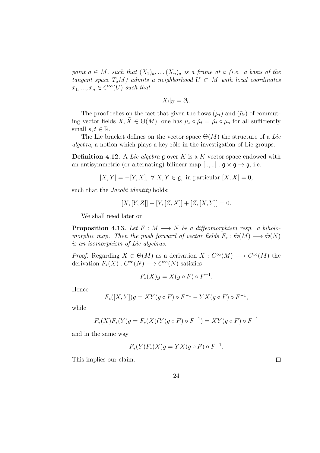point  $a \in M$ , such that  $(X_1)_a, ..., (X_n)_a$  is a frame at a (i.e. a basis of the tangent space  $T_aM$ ) admits a neighborhood  $U \subset M$  with local coordinates  $x_1, ..., x_n \in C^{\infty}(U)$  such that

$$
X_i|_U=\partial_i.
$$

The proof relies on the fact that given the flows  $(\mu_t)$  and  $(\tilde{\mu}_t)$  of commuting vector fields  $X, \tilde{X} \in \Theta(M)$ , one has  $\mu_s \circ \tilde{\mu}_t = \tilde{\mu}_t \circ \mu_s$  for all sufficiently small  $s, t \in \mathbb{R}$ .

The Lie bracket defines on the vector space  $\Theta(M)$  the structure of a Lie  $algebra$ , a notion which plays a key rôle in the investigation of Lie groups:

**Definition 4.12.** A Lie algebra  $\mathfrak g$  over K is a K-vector space endowed with an antisymmetric (or alternating) bilinear map [.., ..] :  $\mathfrak{g} \times \mathfrak{g} \to \mathfrak{g}$ , i.e.

$$
[X,Y] = -[Y,X], \ \forall \ X, Y \in \mathfrak{g}, \text{ in particular } [X,X] = 0,
$$

such that the *Jacobi identity* holds:

$$
[X,[Y,Z]] + [Y,[Z,X]] + [Z,[X,Y]] = 0.
$$

We shall need later on

**Proposition 4.13.** Let  $F : M \longrightarrow N$  be a diffeomorphism resp. a biholomorphic map. Then the push forward of vector fields  $F_* : \Theta(M) \longrightarrow \Theta(N)$ is an isomorphism of Lie algebras.

*Proof.* Regarding  $X \in \Theta(M)$  as a derivation  $X : C^{\infty}(M) \longrightarrow C^{\infty}(M)$  the derivation  $F_*(X) : C^{\infty}(N) \longrightarrow C^{\infty}(N)$  satisfies

$$
F_*(X)g = X(g \circ F) \circ F^{-1}.
$$

Hence

$$
F_*([X,Y])g = XY(g \circ F) \circ F^{-1} - YX(g \circ F) \circ F^{-1},
$$

while

$$
F_*(X)F_*(Y)g = F_*(X)(Y(g \circ F) \circ F^{-1}) = XY(g \circ F) \circ F^{-1}
$$

and in the same way

$$
F_*(Y)F_*(X)g = YX(g \circ F) \circ F^{-1}.
$$

This implies our claim.

 $\Box$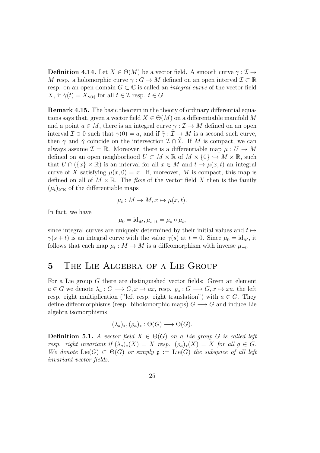**Definition 4.14.** Let  $X \in \Theta(M)$  be a vector field. A smooth curve  $\gamma : \mathcal{I} \to$ M resp. a holomorphic curve  $\gamma: G \to M$  defined on an open interval  $\mathcal{I} \subset \mathbb{R}$ resp. on an open domain  $G \subset \mathbb{C}$  is called an *integral curve* of the vector field X, if  $\dot{\gamma}(t) = X_{\gamma(t)}$  for all  $t \in \mathcal{I}$  resp.  $t \in G$ .

Remark 4.15. The basic theorem in the theory of ordinary differential equations says that, given a vector field  $X \in \Theta(M)$  on a differentiable manifold M and a point  $a \in M$ , there is an integral curve  $\gamma : \mathcal{I} \to M$  defined on an open interval  $\mathcal{I} \ni 0$  such that  $\gamma(0) = a$ , and if  $\tilde{\gamma} : \tilde{\mathcal{I}} \to M$  is a second such curve, then  $\gamma$  and  $\tilde{\gamma}$  coincide on the intersection  $\mathcal{I} \cap \mathcal{I}$ . If M is compact, we can always assume  $\mathcal{I} = \mathbb{R}$ . Moreover, there is a differentiable map  $\mu : U \to M$ defined on an open neighborhood  $U \subset M \times \mathbb{R}$  of  $M \times \{0\} \hookrightarrow M \times \mathbb{R}$ , such that  $U \cap (\{x\} \times \mathbb{R})$  is an interval for all  $x \in M$  and  $t \to \mu(x, t)$  an integral curve of X satisfying  $\mu(x, 0) = x$ . If, moreover, M is compact, this map is defined on all of  $M \times \mathbb{R}$ . The *flow* of the vector field X then is the family  $(\mu_t)_{t\in\mathbb{R}}$  of the differentiable maps

$$
\mu_t: M \to M, x \mapsto \mu(x, t).
$$

In fact, we have

$$
\mu_0 = \mathrm{id}_M, \mu_{s+t} = \mu_s \circ \mu_t,
$$

since integral curves are uniquely determined by their initial values and  $t \mapsto$  $\gamma(s+t)$  is an integral curve with the value  $\gamma(s)$  at  $t=0$ . Since  $\mu_0 = id_M$ , it follows that each map  $\mu_t : M \to M$  is a diffeomorphism with inverse  $\mu_{-t}$ .

#### 5 The Lie Algebra of a Lie Group

For a Lie group G there are distinguished vector fields: Given an element  $a \in G$  we denote  $\lambda_a : G \longrightarrow G, x \mapsto ax$ , resp.  $\varrho_a : G \longrightarrow G, x \mapsto xa$ , the left resp. right multiplication ("left resp. right translation") with  $a \in G$ . They define diffeomorphisms (resp. biholomorphic maps)  $G \longrightarrow G$  and induce Lie algebra isomorphisms

$$
(\lambda_a)_*, (\varrho_a)_*: \Theta(G) \longrightarrow \Theta(G).
$$

**Definition 5.1.** A vector field  $X \in \Theta(G)$  on a Lie group G is called left resp. right invariant if  $(\lambda_a)_*(X) = X$  resp.  $(\varrho_a)_*(X) = X$  for all  $g \in G$ . We denote  $Lie(G) \subset \Theta(G)$  or simply  $\mathfrak{g} := Lie(G)$  the subspace of all left invariant vector fields.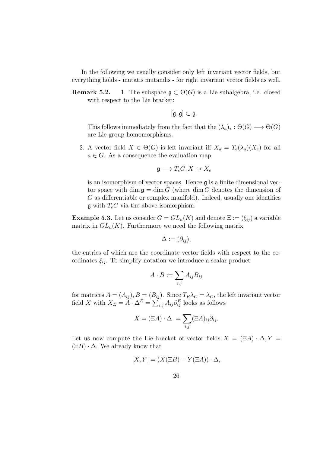In the following we usually consider only left invariant vector fields, but everything holds - mutatis mutandis - for right invariant vector fields as well.

**Remark 5.2.** 1. The subspace  $\mathfrak{g} \subset \Theta(G)$  is a Lie subalgebra, i.e. closed with respect to the Lie bracket:

$$
[\mathfrak{g},\mathfrak{g}]\subset \mathfrak{g}.
$$

This follows immediately from the fact that the  $(\lambda_a)_* : \Theta(G) \longrightarrow \Theta(G)$ are Lie group homomorphisms.

2. A vector field  $X \in \Theta(G)$  is left invariant iff  $X_a = T_e(\lambda_a)(X_e)$  for all  $a \in G$ . As a consequence the evaluation map

$$
\mathfrak{g}\longrightarrow T_eG, X\mapsto X_e
$$

is an isomorphism of vector spaces. Hence  $\boldsymbol{\mathfrak{g}}$  is a finite dimensional vector space with dim  $\mathfrak{g} = \dim G$  (where dim G denotes the dimension of G as differentiable or complex manifold). Indeed, usually one identifies  $\mathfrak g$  with  $T_eG$  via the above isomorphism.

**Example 5.3.** Let us consider  $G = GL_n(K)$  and denote  $\Xi := (\xi_{ij})$  a variable matrix in  $GL_n(K)$ . Furthermore we need the following matrix

$$
\Delta := (\partial_{ij}),
$$

the entries of which are the coordinate vector fields with respect to the coordinates  $\xi_{ij}$ . To simplify notation we introduce a scalar product

$$
A \cdot B := \sum_{i,j} A_{ij} B_{ij}
$$

for matrices  $A = (A_{ij}), B = (B_{ij})$ . Since  $T_E \lambda_C = \lambda_C$ , the left invariant vector field X with  $X_E = A \cdot \Delta^E = \sum_{i,j} A_{ij} \partial_{ij}^E$  looks as follows

$$
X = (\Xi A) \cdot \Delta = \sum_{i,j} (\Xi A)_{ij} \partial_{ij}.
$$

Let us now compute the Lie bracket of vector fields  $X = (\Xi A) \cdot \Delta, Y =$  $(\Xi B) \cdot \Delta$ . We already know that

$$
[X,Y] = (X(\Xi B) - Y(\Xi A)) \cdot \Delta,
$$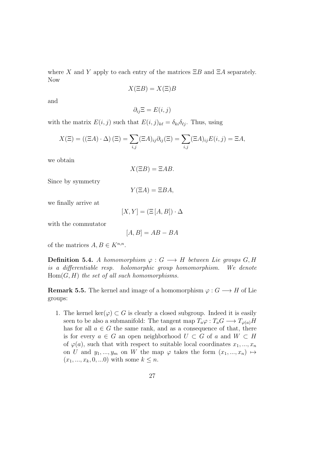where X and Y apply to each entry of the matrices  $\Xi B$  and  $\Xi A$  separately. Now

$$
X(\Xi B) = X(\Xi)B
$$

and

$$
\partial_{ij}\Xi = E(i,j)
$$

with the matrix  $E(i, j)$  such that  $E(i, j)_{k\ell} = \delta_{ki}\delta_{\ell j}$ . Thus, using

$$
X(\Xi) = ((\Xi A) \cdot \Delta) (\Xi) = \sum_{i,j} (\Xi A)_{ij} \partial_{ij} (\Xi) = \sum_{i,j} (\Xi A)_{ij} E(i,j) = \Xi A,
$$

we obtain

$$
X(\Xi B) = \Xi AB.
$$

Since by symmetry

$$
Y(\Xi A) = \Xi BA,
$$

we finally arrive at

$$
[X,Y]=\left(\Xi\left[A,B\right]\right)\cdot\Delta
$$

with the commutator

$$
[A, B] = AB - BA
$$

of the matrices  $A, B \in K^{n,n}$ .

**Definition 5.4.** A homomorphism  $\varphi : G \longrightarrow H$  between Lie groups G, H is a differentiable resp. holomorphic group homomorphism. We denote  $Hom(G, H)$  the set of all such homomorphisms.

**Remark 5.5.** The kernel and image of a homomorphism  $\varphi: G \longrightarrow H$  of Lie groups:

1. The kernel ker( $\varphi$ ) ⊂ G is clearly a closed subgroup. Indeed it is easily seen to be also a submanifold: The tangent map  $T_a\varphi: T_aG \longrightarrow T_{\varphi(a)}H$ has for all  $a \in G$  the same rank, and as a consequence of that, there is for every  $a \in G$  an open neighborhood  $U \subset G$  of a and  $W \subset H$ of  $\varphi(a)$ , such that with respect to suitable local coordinates  $x_1, ..., x_n$ on U and  $y_1, ..., y_m$  on W the map  $\varphi$  takes the form  $(x_1, ..., x_n) \mapsto$  $(x_1, ..., x_k, 0, ...0)$  with some  $k \leq n$ .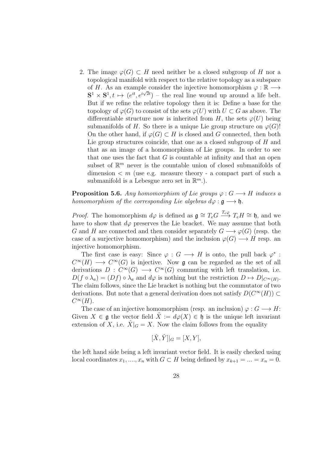2. The image  $\varphi(G) \subset H$  need neither be a closed subgroup of H nor a topological manifold with respect to the relative topology as a subspace of H. As an example consider the injective homomorphism  $\varphi : \mathbb{R} \longrightarrow$  $S^1 \times S^1, t \mapsto (e^{it}, e^{i\sqrt{2}t})$  – the real line wound up around a life belt. But if we refine the relative topology then it is: Define a base for the topology of  $\varphi(G)$  to consist of the sets  $\varphi(U)$  with  $U \subset G$  as above. The differentiable structure now is inherited from H, the sets  $\varphi(U)$  being submanifolds of H. So there is a unique Lie group structure on  $\varphi(G)$ ! On the other hand, if  $\varphi(G) \subset H$  is closed and G connected, then both Lie group structures coincide, that one as a closed subgroup of H and that as an image of a homomorphism of Lie groups. In order to see that one uses the fact that  $G$  is countable at infinity and that an open subset of  $\mathbb{R}^m$  never is the countable union of closed submanifolds of dimension  $\lt m$  (use e.g. measure theory - a compact part of such a submanifold is a Lebesgue zero set in  $\mathbb{R}^m$ .).

**Proposition 5.6.** Any homomorphism of Lie groups  $\varphi : G \longrightarrow H$  induces a homomorphism of the corresponding Lie algebras  $d\varphi : \mathfrak{g} \longrightarrow \mathfrak{h}$ .

*Proof.* The homomorphism  $d\varphi$  is defined as  $\mathfrak{g} \cong T_eG \xrightarrow{T_e\varphi} T_eH \cong \mathfrak{h}$ , and we have to show that  $d\varphi$  preserves the Lie bracket. We may assume that both G and H are connected and then consider separately  $G \longrightarrow \varphi(G)$  (resp. the case of a surjective homomorphism) and the inclusion  $\varphi(G) \longrightarrow H$  resp. and injective homomorphism.

The first case is easy: Since  $\varphi : G \longrightarrow H$  is onto, the pull back  $\varphi^*$ :  $C^{\infty}(H) \longrightarrow C^{\infty}(G)$  is injective. Now **g** can be regarded as the set of all derivations  $D: C^{\infty}(G) \longrightarrow C^{\infty}(G)$  commuting with left translation, i.e.  $D(f \circ \lambda_a) = (Df) \circ \lambda_a$  and  $d\varphi$  is nothing but the restriction  $D \mapsto D|_{C^{\infty}(H)}$ . The claim follows, since the Lie bracket is nothing but the commutator of two derivations. But note that a general derivation does not satisfy  $D(C^{\infty}(H)) \subset$  $C^{\infty}(H)$ .

The case of an injective homomorphism (resp. an inclusion)  $\varphi: G \longrightarrow H$ : Given  $X \in \mathfrak{g}$  the vector field  $\hat{X} := d\varphi(X) \in \mathfrak{h}$  is the unique left invariant extension of X, i.e.  $X|_G = X$ . Now the claim follows from the equality

$$
[\hat{X}, \hat{Y}]|_G = [X, Y],
$$

the left hand side being a left invariant vector field. It is easily checked using local coordinates  $x_1, ..., x_n$  with  $G \subset H$  being defined by  $x_{k+1} = ... = x_n = 0$ .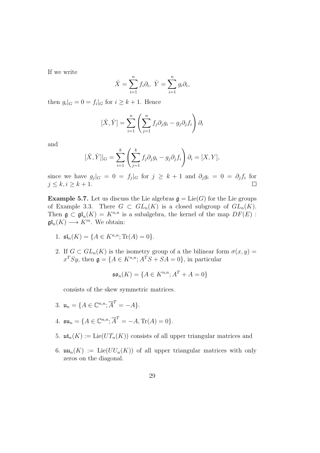If we write

$$
\hat{X} = \sum_{i=1}^{n} f_i \partial_i, \ \hat{Y} = \sum_{i=1}^{n} g_i \partial_i,
$$

then  $g_i|_G = 0 = f_i|_G$  for  $i \geq k + 1$ . Hence

$$
[\hat{X}, \hat{Y}] = \sum_{i=1}^{n} \left( \sum_{j=1}^{n} f_j \partial_j g_i - g_j \partial_j f_i \right) \partial_i
$$

and

$$
[\hat{X}, \hat{Y}]|_G = \sum_{i=1}^k \left( \sum_{j=1}^k f_j \partial_j g_i - g_j \partial_j f_i \right) \partial_i = [X, Y],
$$

since we have  $g_j|_G = 0 = f_j|_G$  for  $j \geq k+1$  and  $\partial_j g_i = 0 = \partial_j f_i$  for  $j \leq k, i \geq k+1.$  $\Box$ 

**Example 5.7.** Let us discuss the Lie algebras  $\mathfrak{g} = \text{Lie}(G)$  for the Lie groups of Example 3.3. There  $G \subset GL_n(K)$  is a closed subgroup of  $GL_n(K)$ . Then  $\mathfrak{g} \subset \mathfrak{gl}_n(K) = K^{n,n}$  is a subalgebra, the kernel of the map  $DF(E)$ :  $\mathfrak{gl}_n(K) \longrightarrow K^m$ . We obtain:

- 1.  $\mathfrak{sl}_n(K) = \{A \in K^{n,n}; \text{Tr}(A) = 0\}.$
- 2. If  $G \subset GL_n(K)$  is the isometry group of a the bilinear form  $\sigma(x, y) =$  $x^T S y$ , then  $\mathfrak{g} = \{ A \in K^{n,n}; A^T S + S A = 0 \}$ , in particular

$$
\mathfrak{so}_n(K) = \{ A \in K^{n,n}; A^T + A = 0 \}
$$

consists of the skew symmetric matrices.

- 3.  $u_n = \{ A \in \mathbb{C}^{n,n}; \overline{A}^T = -A \}.$
- 4.  $\mathfrak{su}_n = \{ A \in \mathbb{C}^{n,n}; \overline{A}^T = -A, \text{Tr}(A) = 0 \}.$
- 5.  $\mathfrak{ut}_n(K) := \text{Lie}(UT_n(K))$  consists of all upper triangular matrices and
- 6.  $\mathfrak{uu}_n(K) := \text{Lie}(UU_n(K))$  of all upper triangular matrices with only zeros on the diagonal.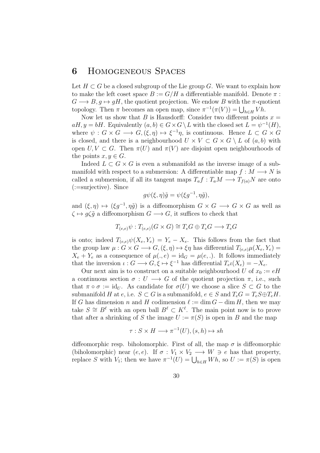#### 6 Homogeneous Spaces

Let  $H \subset G$  be a closed subgroup of the Lie group G. We want to explain how to make the left coset space  $B := G/H$  a differentiable manifold. Denote  $\pi$ :  $G \longrightarrow B, g \mapsto gH$ , the quotient projection. We endow B with the  $\pi$ -quotient topology. Then  $\pi$  becomes an open map, since  $\pi^{-1}(\pi(V)) = \bigcup_{h \in H} Vh$ .

Now let us show that B is Hausdorff: Consider two different points  $x =$  $aH, y = bH$ . Equivalently  $(a, b) \in G \times G \setminus L$  with the closed set  $L = \psi^{-1}(H)$ , where  $\psi: G \times G \longrightarrow G, (\xi, \eta) \mapsto \xi^{-1}\eta$ , is continuous. Hence  $L \subset G \times G$ is closed, and there is a neighbourhood  $U \times V \subset G \times G \setminus L$  of  $(a, b)$  with open  $U, V \subset G$ . Then  $\pi(U)$  and  $\pi(V)$  are disjoint open neighbourhoods of the points  $x, y \in G$ .

Indeed  $L \subset G \times G$  is even a submanifold as the inverse image of a submanifold with respect to a submersion: A differentiable map  $f : M \longrightarrow N$  is called a submersion, if all its tangent maps  $T_a f : T_a M \longrightarrow T_{f(a)}N$  are onto (:=surjective). Since

$$
g\psi(\xi,\eta)\tilde{g} = \psi(\xi g^{-1},\eta\tilde{g}),
$$

and  $(\xi, \eta) \mapsto (\xi g^{-1}, \eta \tilde{g})$  is a diffeomorphism  $G \times G \longrightarrow G \times G$  as well as  $\zeta \mapsto g\zeta\tilde{g}$  a diffeomorphism  $G \longrightarrow G$ , it suffices to check that

$$
T_{(e,e)}\psi : T_{(e,e)}(G \times G) \cong T_e G \oplus T_e G \longrightarrow T_e G
$$

is onto; indeed  $T_{(e,e)}\psi(X_e, Y_e) = Y_e - X_e$ . This follows from the fact that the group law  $\mu: G \times G \longrightarrow G$ ,  $(\xi, \eta) \mapsto \xi \eta$  has differential  $T_{(e,e)}\mu(X_e, Y_e) =$  $X_e + Y_e$  as a consequence of  $\mu(.)e) = id_G = \mu(e,.)$ . It follows immediately that the inversion  $\iota: G \longrightarrow G, \xi \mapsto \xi^{-1}$  has differential  $T_e \iota(X_e) = -X_e$ .

Our next aim is to construct on a suitable neighbourhood U of  $x_0 := eH$ a continuous section  $\sigma: U \longrightarrow G$  of the quotient projection  $\pi$ , i.e., such that  $\pi \circ \sigma := \text{id}_U$ . As candidate for  $\sigma(U)$  we choose a slice  $S \subset G$  to the submanifold H at e, i.e.  $S \subset G$  is a submanifold,  $e \in S$  and  $T_eG = T_eS \oplus T_eH$ . If G has dimension n and H codimension  $\ell := \dim G - \dim H$ , then we may take  $S \cong B^{\ell}$  with an open ball  $B^{\ell} \subset K^{\ell}$ . The main point now is to prove that after a shrinking of S the image  $U := \pi(S)$  is open in B and the map

$$
\tau: S \times H \longrightarrow \pi^{-1}(U), (s, h) \mapsto sh
$$

diffeomorphic resp. biholomorphic. First of all, the map  $\sigma$  is diffeomorphic (biholomorphic) near  $(e, e)$ . If  $\sigma : V_1 \times V_2 \longrightarrow W \ni e$  has that property, replace S with  $V_1$ ; then we have  $\pi^{-1}(U) = \bigcup_{h \in H} Wh$ , so  $U := \pi(S)$  is open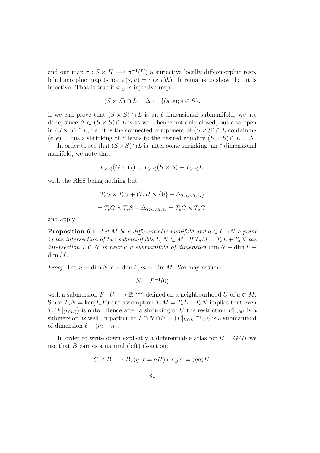and our map  $\tau : S \times H \longrightarrow \pi^{-1}(U)$  a surjective locally diffeomorphic resp. biholomorphic map (since  $\pi(s, h) = \pi(s, e)h$ ). It remains to show that it is injective. That is true if  $\pi|_S$  is injective resp.

$$
(S \times S) \cap L = \Delta := \{(s, s); s \in S\}.
$$

If we can prove that  $(S \times S) \cap L$  is an  $\ell$ -dimensional submanifold, we are done, since  $\Delta \subset (S \times S) \cap L$  is as well, hence not only closed, but also open in  $(S \times S) \cap L$ , i.e. it is the connected component of  $(S \times S) \cap L$  containing  $(e, e)$ . Thus a shrinking of S leads to the desired equality  $(S \times S) \cap L = \Delta$ .

In order to see that  $(S \times S) \cap L$  is, after some shrinking, an  $\ell$ -dimensional manifold, we note that

$$
T_{(e,e)}(G \times G) = T_{(e,e)}(S \times S) + T_{(e,e)}L,
$$

with the RHS being nothing but

$$
T_e S \times T_e S + (T_e H \times \{0\} + \Delta_{T_e G \times T_e G})
$$
  
= 
$$
T_e G \times T_e S + \Delta_{T_e G \times T_e G} = T_e G \times T_e G,
$$

and apply

**Proposition 6.1.** Let M be a differentiable manifold and  $a \in L \cap N$  a point in the intersection of two submanifolds  $L, N \subset M$ . If  $T_aM = T_aL + T_aN$  the intersection  $L \cap N$  is near a a submanifold of dimension dim  $N + \dim L \dim M$ .

*Proof.* Let  $n = \dim N$ ,  $\ell = \dim L$ ,  $m = \dim M$ . We may assume

$$
N = F^{-1}(0)
$$

with a submersion  $F: U \longrightarrow \mathbb{R}^{m-n}$  defined on a neighbourhood U of  $a \in M$ . Since  $T_aN = \text{ker}(T_aF)$  our assumption  $T_aM = T_aL + T_aN$  implies that even  $T_a(F|_{(L\cap U)})$  is onto. Hence after a shrinking of U the restriction  $F|_{L\cap U}$  is a submersion as well, in particular  $L \cap N \cap U = (F|_{U \cap L})^{-1}(0)$  is a submanifold of dimension  $\ell - (m - n)$ .  $\Box$ 

In order to write down explicitly a differentiable atlas for  $B = G/H$  we use that  $B$  carries a natural (left)  $G$ -action:

$$
G \times B \longrightarrow B, (g, x = aH) \mapsto gx := (ga)H.
$$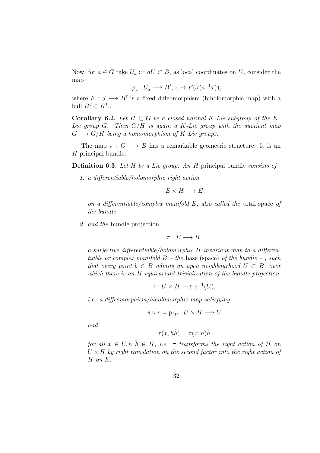Now, for  $a \in G$  take  $U_a := aU \subset B$ , as local coordinates on  $U_a$  consider the map

$$
\varphi_a: U_a \longrightarrow B^{\ell}, x \mapsto F(\sigma(a^{-1}x)),
$$

where  $F: S \longrightarrow B^{\ell}$  is a fixed diffeomorphism (biholomorphic map) with a ball  $B^{\ell} \subset K^{\ell}$ ..

Corollary 6.2. Let  $H \subset G$  be a closed normal K-Lie subgroup of the K-Lie group G. Then  $G/H$  is again a K-Lie group with the quotient map  $G \longrightarrow G/H$  being a homomorphism of K-Lie groups.

The map  $\pi : G \longrightarrow B$  has a remarkable geometric structure: It is an H-principal bundle:

Definition 6.3. Let H be a Lie group. An H-principal bundle consists of

1. a differentiable/holomorphic right action

$$
E \times H \longrightarrow E
$$

on a differentiable/complex manifold E, also called the total space of the bundle

2. and the bundle projection

$$
\pi: E \longrightarrow B,
$$

a surjective differentiable/holomorphic H-invariant map to a differentiable or complex manifold  $B$  – the base (space) of the bundle –, such that every point  $b \in B$  admits an open neighbourhood  $U \subset B$ , over which there is an H-equivariant trivialization of the bundle projection

$$
\tau: U \times H \longrightarrow \pi^{-1}(U),
$$

i.e. a diffeomorphism/biholomorphic map satisfying

$$
\pi \circ \tau = \text{pr}_U : U \times H \longrightarrow U
$$

and

$$
\tau(x, h\tilde{h}) = \tau(x, h)\tilde{h}
$$

for all  $x \in U, h, \tilde{h} \in H$ , i.e.  $\tau$  transforms the right action of H on  $U \times H$  by right translation on the second factor into the right action of H on E.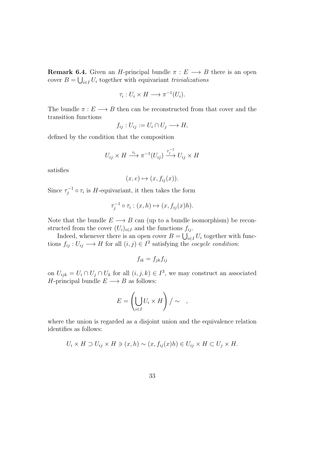**Remark 6.4.** Given an *H*-principal bundle  $\pi : E \longrightarrow B$  there is an open cover  $B = \bigcup_{i \in I} U_i$  together with equivariant trivializations

$$
\tau_i: U_i \times H \longrightarrow \pi^{-1}(U_i).
$$

The bundle  $\pi : E \longrightarrow B$  then can be reconstructed from that cover and the transition functions

$$
f_{ij}: U_{ij} := U_i \cap U_j \longrightarrow H,
$$

defined by the condition that the composition

$$
U_{ij} \times H \xrightarrow{\tau_i} \pi^{-1}(U_{ij}) \xrightarrow{\tau_j^{-1}} U_{ij} \times H
$$

satisfies

$$
(x, e) \mapsto (x, f_{ij}(x)).
$$

Since  $\tau_i^{-1}$  $\tau_i^{-1} \circ \tau_i$  is *H*-equivariant, it then takes the form

$$
\tau_j^{-1} \circ \tau_i : (x, h) \mapsto (x, f_{ij}(x)h).
$$

Note that the bundle  $E \longrightarrow B$  can (up to a bundle isomorphism) be reconstructed from the cover  $(U_i)_{i\in I}$  and the functions  $f_{ij}$ .

Indeed, whenever there is an open cover  $B = \bigcup_{i \in I} U_i$  together with functions  $f_{ij}: U_{ij} \longrightarrow H$  for all  $(i, j) \in I^2$  satisfying the *cocycle condition*:

$$
f_{ik} = f_{jk} f_{ij}
$$

on  $U_{ijk} = U_i \cap U_j \cap U_k$  for all  $(i, j, k) \in I^3$ , we may construct an associated H-principal bundle  $E \longrightarrow B$  as follows:

$$
E = \left(\bigcup_{i \in I} U_i \times H\right) / \sim ,
$$

where the union is regarded as a disjoint union and the equivalence relation identifies as follows:

$$
U_i \times H \supset U_{ij} \times H \ni (x, h) \sim (x, f_{ij}(x)h) \in U_{ij} \times H \subset U_j \times H.
$$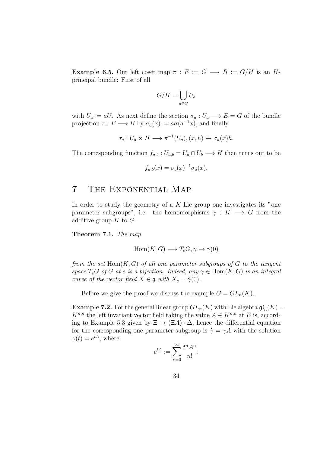**Example 6.5.** Our left coset map  $\pi : E := G \longrightarrow B := G/H$  is an Hprincipal bundle: First of all

$$
G/H = \bigcup_{a \in G} U_a
$$

with  $U_a := aU$ . As next define the section  $\sigma_a : U_a \longrightarrow E = G$  of the bundle projection  $\pi: E \longrightarrow B$  by  $\sigma_a(x) := a\sigma(a^{-1}x)$ , and finally

$$
\tau_a: U_a \times H \longrightarrow \pi^{-1}(U_a), (x, h) \mapsto \sigma_a(x)h.
$$

The corresponding function  $f_{a,b}: U_{a,b} = U_a \cap U_b \longrightarrow H$  then turns out to be

$$
f_{a,b}(x) = \sigma_b(x)^{-1} \sigma_a(x).
$$

#### 7 The Exponential Map

In order to study the geometry of a  $K$ -Lie group one investigates its "one parameter subgroups", i.e. the homomorphisms  $\gamma : K \longrightarrow G$  from the additive group  $K$  to  $G$ .

Theorem 7.1. The map

$$
Hom(K, G) \longrightarrow T_eG, \gamma \mapsto \dot{\gamma}(0)
$$

from the set  $Hom(K, G)$  of all one parameter subgroups of G to the tangent space  $T_eG$  of G at e is a bijection. Indeed, any  $\gamma \in \text{Hom}(K, G)$  is an integral curve of the vector field  $X \in \mathfrak{g}$  with  $X_e = \dot{\gamma}(0)$ .

Before we give the proof we discuss the example  $G = GL_n(K)$ .

**Example 7.2.** For the general linear group  $GL_n(K)$  with Lie algebra  $\mathfrak{gl}_n(K)$  =  $K^{n,n}$  the left invariant vector field taking the value  $A \in K^{n,n}$  at E is, according to Example 5.3 given by  $\Xi \mapsto (\Xi A) \cdot \Delta$ , hence the differential equation for the corresponding one parameter subgroup is  $\dot{\gamma} = \gamma A$  with the solution  $\gamma(t) = e^{tA}$ , where

$$
e^{tA} := \sum_{\nu=0}^{\infty} \frac{t^n A^n}{n!}.
$$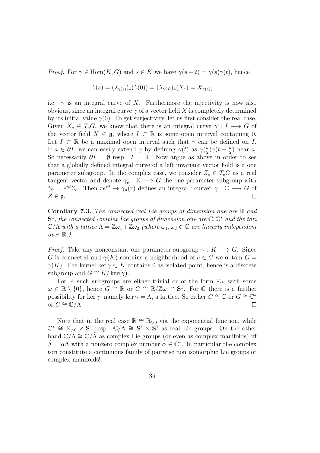*Proof.* For  $\gamma \in \text{Hom}(K, G)$  and  $s \in K$  we have  $\gamma(s+t) = \gamma(s)\gamma(t)$ , hence

$$
\dot{\gamma}(s) = (\lambda_{\gamma(s)})_*(\dot{\gamma}(0)) = (\lambda_{\gamma(s)})_*(X_e) = X_{\gamma(s)},
$$

i.e.  $\gamma$  is an integral curve of X. Furthermore the injectivity is now also obvious, since an integral curve  $\gamma$  of a vector field X is completely determined by its initial value  $\gamma(0)$ . To get surjectivity, let us first consider the real case. Given  $X_e \in T_eG$ , we know that there is an integral curve  $\gamma: I \longrightarrow G$  of the vector field  $X \in \mathfrak{g}$ , where  $I \subset \mathbb{R}$  is some open interval containing 0. Let  $I \subset \mathbb{R}$  be a maximal open interval such that  $\gamma$  can be defined on I. If  $a \in \partial I$ , we can easily extend  $\gamma$  by defining  $\gamma(t)$  as  $\gamma(\frac{a}{2})$  $\frac{a}{2}$ ) $\gamma(t-\frac{a}{2})$  $\frac{a}{2}$ ) near a. So necessarily  $\partial I = \emptyset$  resp.  $I = \mathbb{R}$ . Now argue as above in order to see that a globally defined integral curve of a left invariant vector field is a one parameter subgroup. In the complex case, we consider  $Z_e \in T_eG$  as a real tangent vector and denote  $\gamma_{\vartheta} : \mathbb{R} \longrightarrow G$  the one parameter subgroup with  $\dot{\gamma}_{\vartheta} = e^{i\vartheta} Z_e$ . Then  $re^{i\vartheta} \mapsto \gamma_{\vartheta}(r)$  defines an integral "curve"  $\gamma : \mathbb{C} \longrightarrow G$  of  $Z \in \mathfrak{g}.$  $\Box$ 

**Corollary 7.3.** The connected real Lie groups of dimension one are  $\mathbb R$  and  $S<sup>1</sup>$ , the connected complex Lie groups of dimension one are  $\mathbb{C}, \mathbb{C}^*$  and the toric  $\mathbb{C}/\Lambda$  with a lattice  $\Lambda = \mathbb{Z}\omega_1 + \mathbb{Z}\omega_2$  (where  $\omega_1, \omega_2 \in \mathbb{C}$  are linearly independent over  $\mathbb{R}$ .)

*Proof.* Take any nonconstant one parameter subgroup  $\gamma : K \longrightarrow G$ . Since G is connected and  $\gamma(K)$  contains a neighborhood of  $e \in G$  we obtain  $G =$  $\gamma(K)$ . The kernel ker  $\gamma \subset K$  contains 0 as isolated point, hence is a discrete subgroup and  $G \cong K/\ker(\gamma)$ .

For R such subgroups are either trivial or of the form  $\mathbb{Z}\omega$  with some  $\omega \in \mathbb{R} \setminus \{0\}$ , hence  $G \cong \mathbb{R}$  or  $G \cong \mathbb{R}/\mathbb{Z}$  $\omega \cong S^1$ . For  $\mathbb C$  there is a further possibility for ker  $\gamma$ , namely ker  $\gamma = \Lambda$ , a lattice. So either  $G \cong \mathbb{C}$  or  $G \cong \mathbb{C}^*$ or  $G \cong \mathbb{C}/\Lambda$ .  $\Box$ 

Note that in the real case  $\mathbb{R} \cong \mathbb{R}_{>0}$  via the exponential function, while  $\mathbb{C}^* \cong \mathbb{R}_{>0} \times S^1$  resp.  $\mathbb{C}/\Lambda \cong S^1 \times S^1$  as real Lie groups. On the other hand  $\mathbb{C}/\Lambda \cong \mathbb{C}/\Lambda$  as complex Lie groups (or even as complex manifolds) iff  $\tilde{\Lambda} = \alpha \Lambda$  with a nonzero complex number  $\alpha \in \mathbb{C}^*$ . In particular the complex tori constitute a continuous family of pairwise non isomorphic Lie groups or complex manifolds!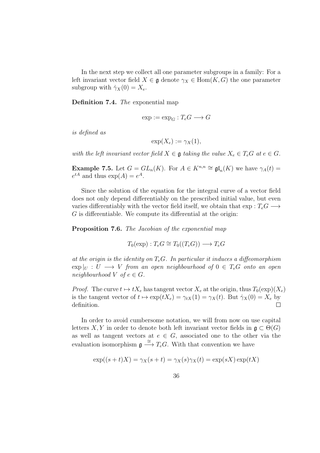In the next step we collect all one parameter subgroups in a family: For a left invariant vector field  $X \in \mathfrak{g}$  denote  $\gamma_X \in \text{Hom}(K, G)$  the one parameter subgroup with  $\dot{\gamma}_X(0) = X_e$ .

Definition 7.4. The exponential map

$$
\exp := \exp_G : T_e G \longrightarrow G
$$

is defined as

$$
\exp(X_e) := \gamma_X(1),
$$

with the left invariant vector field  $X \in \mathfrak{g}$  taking the value  $X_e \in T_eG$  at  $e \in G$ .

**Example 7.5.** Let  $G = GL_n(K)$ . For  $A \in K^{n,n} \cong \mathfrak{gl}_n(K)$  we have  $\gamma_A(t) =$  $e^{tA}$  and thus  $\exp(A) = e^A$ .

Since the solution of the equation for the integral curve of a vector field does not only depend differentiably on the prescribed initial value, but even varies differentiably with the vector field itself, we obtain that  $\exp: T_eG \longrightarrow$ G is differentiable. We compute its differential at the origin:

Proposition 7.6. The Jacobian of the exponential map

$$
T_0(\exp): T_e G \cong T_0((T_e G)) \longrightarrow T_e G
$$

at the origin is the identity on  $T_e$ G. In particular it induces a diffeomorphism  $\exp|_U : U \longrightarrow V$  from an open neighbourhood of  $0 \in T_eG$  onto an open neighbourhood  $V$  of  $e \in G$ .

*Proof.* The curve  $t \mapsto tX_e$  has tangent vector  $X_e$  at the origin, thus  $T_0(\exp)(X_e)$ is the tangent vector of  $t \mapsto \exp(tX_e) = \gamma_t x(1) = \gamma_X(t)$ . But  $\dot{\gamma}_X(0) = X_e$  by definition.  $\Box$ 

In order to avoid cumbersome notation, we will from now on use capital letters X, Y in order to denote both left invariant vector fields in  $\mathfrak{g} \subset \Theta(G)$ as well as tangent vectors at  $e \in G$ , associated one to the other via the evaluation isomorphism  $\mathfrak{g} \stackrel{\cong}{\longrightarrow} T_eG$ . With that convention we have

$$
\exp((s+t)X) = \gamma_X(s+t) = \gamma_X(s)\gamma_X(t) = \exp(sX)\exp(tX)
$$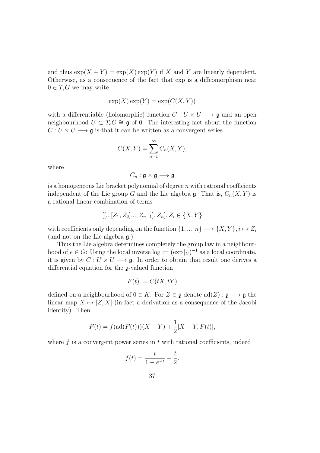and thus  $\exp(X + Y) = \exp(X) \exp(Y)$  if X and Y are linearly dependent. Otherwise, as a consequence of the fact that exp is a diffeomorphism near  $0 \in T_eG$  we may write

$$
\exp(X)\exp(Y) = \exp(C(X, Y))
$$

with a differentiable (holomorphic) function  $C: U \times U \longrightarrow \mathfrak{g}$  and an open neighbourhood  $U \subset T_e G \cong \mathfrak{g}$  of 0. The interesting fact about the function  $C: U \times U \longrightarrow \mathfrak{g}$  is that it can be written as a convergent series

$$
C(X,Y) = \sum_{n=1}^{\infty} C_n(X,Y),
$$

where

$$
C_n : \mathfrak{g} \times \mathfrak{g} \longrightarrow \mathfrak{g}
$$

is a homogeneous Lie bracket polynomial of degree  $n$  with rational coefficients independent of the Lie group G and the Lie algebra g. That is,  $C_n(X, Y)$  is a rational linear combination of terms

$$
[[...[Z_1, Z_2]..., Z_{n-1}], Z_n], Z_i \in \{X, Y\}
$$

with coefficients only depending on the function  $\{1,...,n\}\longrightarrow \{X,Y\}, i\mapsto Z_i$ (and not on the Lie algebra g.)

Thus the Lie algebra determines completely the group law in a neighbourhood of  $e \in G$ : Using the local inverse  $\log := (\exp |_{U})^{-1}$  as a local coordinate, it is given by  $C: U \times U \longrightarrow \mathfrak{g}$ . In order to obtain that result one derives a differential equation for the g-valued function

$$
F(t) := C(tX, tY)
$$

defined on a neighbourhood of  $0 \in K$ . For  $Z \in \mathfrak{g}$  denote  $\text{ad}(Z) : \mathfrak{g} \longrightarrow \mathfrak{g}$  the linear map  $X \mapsto [Z, X]$  (in fact a derivation as a consequence of the Jacobi identity). Then

$$
\dot{F}(t) = f(\text{ad}(F(t)))(X + Y) + \frac{1}{2}[X - Y, F(t)],
$$

where  $f$  is a convergent power series in  $t$  with rational coefficients, indeed

$$
f(t) = \frac{t}{1 - e^{-t}} - \frac{t}{2}.
$$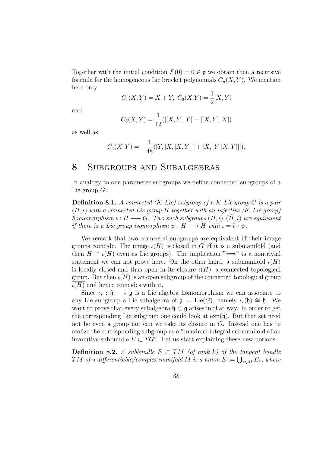Together with the initial condition  $F(0) = 0 \in \mathfrak{g}$  we obtain then a recursive formula for the homogeneous Lie bracket polynomials  $C_n(X, Y)$ . We mention here only

$$
C_1(X,Y) = X + Y, \ C_2(X.Y) = \frac{1}{2}[X,Y]
$$

and

$$
C_3(X,Y) = \frac{1}{12}([[X,Y],Y] - [[X,Y],X])
$$

as well as

$$
C_4(X,Y) = -\frac{1}{48}([Y,[X,[X,Y]]] + [X,[Y,[X,Y]]]).
$$

## 8 Subgroups and Subalgebras

In analogy to one parameter subgroups we define connected subgroups of a Lie group  $G$ :

**Definition 8.1.** A connected  $(K$ -Lie) subgroup of a  $K$ -Lie group  $G$  is a pair  $(H, \iota)$  with a connected Lie group H together with an injective (K-Lie group) homomorphism  $\iota : H \longrightarrow G$ . Two such subgroups  $(H, \iota), (\tilde{H}, \tilde{\iota})$  are equivalent if there is a Lie group isomorphism  $\psi : H \longrightarrow H$  with  $\iota = \tilde{\iota} \circ \psi$ .

We remark that two connected subgroups are equivalent iff their image groups coincide. The image  $\iota(H)$  is closed in G iff it is a submanifold (and then  $H \cong \iota(H)$  even as Lie groups). The implication " $\Longrightarrow$ " is a nontrivial statement we can not prove here. On the other hand, a submanifold  $\iota(H)$ is locally closed and thus open in its closure  $\iota(H)$ , a connected topological group. But then  $\iota(H)$  is an open subgroup of the connected topological group  $\iota(H)$  and hence coincides with it.

Since  $\iota_* : \mathfrak{h} \longrightarrow \mathfrak{g}$  is a Lie algebra homomorphism we can associate to any Lie subgroup a Lie subalgebra of  $\mathfrak{g} := \mathrm{Lie}(G)$ , namely  $\iota_*(\mathfrak{h}) \cong \mathfrak{h}$ . We want to prove that every subalgebra  $\mathfrak{h} \subset \mathfrak{g}$  arises in that way. In order to get the corresponding Lie subgroup one could look at  $\exp(\mathfrak{h})$ . But that set need not be even a group nor can we take its closure in G. Instead one has to realize the corresponding subgroup as a "maximal integral submanifold of an involutive subbundle  $E \subset T G$ ". Let us start explaining these new notions:

**Definition 8.2.** A subbundle  $E \subset TM$  (of rank k) of the tangent bundle  $TM$  of a differentiable/complex manifold  $M$  is a union  $E:=\bigcup_{x\in M}E_x,$  where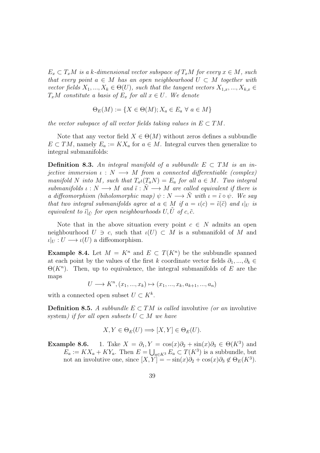$E_x \subset T_xM$  is a k-dimensional vector subspace of  $T_xM$  for every  $x \in M$ , such that every point  $a \in M$  has an open neighbourhood  $U \subset M$  together with vector fields  $X_1, ..., X_k \in \Theta(U)$ , such that the tangent vectors  $X_{1,x}, ..., X_{k,x} \in$  $T_xM$  constitute a basis of  $E_x$  for all  $x \in U$ . We denote

$$
\Theta_E(M) := \{ X \in \Theta(M) ; X_a \in E_a \ \forall \ a \in M \}
$$

the vector subspace of all vector fields taking values in  $E \subset TM$ .

Note that any vector field  $X \in \Theta(M)$  without zeros defines a subbundle  $E \subset TM$ , namely  $E_a := K X_a$  for  $a \in M$ . Integral curves then generalize to integral submanifolds:

**Definition 8.3.** An integral manifold of a subbundle  $E \subset TM$  is an injective immersion  $\iota : N \longrightarrow M$  from a connected differentiable (complex) manifold N into M, such that  $T_a \iota(T_a N) = E_a$  for all  $a \in M$ . Two integral submanifolds  $\iota : N \longrightarrow M$  and  $\tilde{\iota} : \tilde{N} \longrightarrow M$  are called equivalent if there is a diffeomorphism (biholomorphic map)  $\psi : N \longrightarrow \tilde{N}$  with  $\iota = \tilde{\iota} \circ \psi$ . We say that two integral submanifolds agree at  $a \in M$  if  $a = \iota(c) = \tilde{\iota}(\tilde{c})$  and  $\iota|_U$  is equivalent to  $\tilde{\iota}|_{\tilde{U}}$  for open neighbourhoods  $U, \tilde{U}$  of  $c, \tilde{c}$ .

Note that in the above situation every point  $c \in N$  admits an open neighbourhood  $U \ni c$ , such that  $\iota(U) \subset M$  is a submanifold of M and  $\iota|_U: U \longrightarrow \iota(U)$  a diffeomorphism.

**Example 8.4.** Let  $M = K^n$  and  $E \subset T(K^n)$  be the subbundle spanned at each point by the values of the first k coordinate vector fields  $\partial_1, ..., \partial_k \in$  $\Theta(K^n)$ . Then, up to equivalence, the integral submanifolds of E are the maps

$$
U \longrightarrow K^{n}, (x_{1},...,x_{k}) \mapsto (x_{1},...,x_{k},a_{k+1},...,a_{n})
$$

with a connected open subset  $U \subset K^k$ .

**Definition 8.5.** A subbundle  $E \subset TM$  is called involutive (or an involutive system) if for all open subsets  $U \subset M$  we have

$$
X, Y \in \Theta_E(U) \Longrightarrow [X, Y] \in \Theta_E(U).
$$

**Example 8.6.** 1. Take  $X = \partial_1, Y = \cos(x)\partial_2 + \sin(x)\partial_3 \in \Theta(K^3)$  and  $E_a := K X_a + K Y_a$ . Then  $E = \bigcup_{a \in K^3} E_a \subset T(K^3)$  is a subbundle, but not an involutive one, since  $[X, Y] = -\sin(x)\partial_2 + \cos(x)\partial_3 \notin \Theta_E(K^3)$ .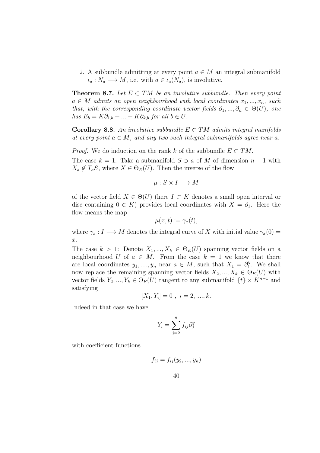2. A subbundle admitting at every point  $a \in M$  an integral submanifold  $\iota_a: N_a \longrightarrow M$ , i.e. with  $a \in \iota_a(N_a)$ , is involutive.

**Theorem 8.7.** Let  $E \subset TM$  be an involutive subbundle. Then every point  $a \in M$  admits an open neighbourhood with local coordinates  $x_1, ..., x_n$ , such that, with the corresponding coordinate vector fields  $\partial_1, ..., \partial_n \in \Theta(U)$ , one has  $E_b = K\partial_{1,b} + ... + K\partial_{k,b}$  for all  $b \in U$ .

Corollary 8.8. An involutive subbundle  $E \subset TM$  admits integral manifolds at every point  $a \in M$ , and any two such integral submanifolds agree near a.

*Proof.* We do induction on the rank k of the subbundle  $E \subset TM$ .

The case  $k = 1$ : Take a submanifold  $S \ni a$  of M of dimension  $n - 1$  with  $X_a \notin T_aS$ , where  $X \in \Theta_E(U)$ . Then the inverse of the flow

$$
\mu: S \times I \longrightarrow M
$$

of the vector field  $X \in \Theta(U)$  (here  $I \subset K$  denotes a small open interval or disc containing  $0 \in K$ ) provides local coordinates with  $X = \partial_1$ . Here the flow means the map

$$
\mu(x,t):=\gamma_x(t),
$$

where  $\gamma_x : I \longrightarrow M$  denotes the integral curve of X with initial value  $\gamma_x(0) =$ x.

The case  $k > 1$ : Denote  $X_1, ..., X_k \in \Theta_E(U)$  spanning vector fields on a neighbourhood U of  $a \in M$ . From the case  $k = 1$  we know that there are local coordinates  $y_1, ..., y_n$  near  $a \in M$ , such that  $X_1 = \partial_1^y$  $j_1^y$ . We shall now replace the remaining spanning vector fields  $X_2, ..., X_k \in \Theta_E(U)$  with vector fields  $Y_2, ..., Y_k \in \Theta_E(U)$  tangent to any submanifold  $\{t\} \times K^{n-1}$  and satisfying

$$
[X_1, Y_i] = 0 \, , \, i = 2, \dots, k.
$$

Indeed in that case we have

$$
Y_i = \sum_{j=2}^n f_{ij} \partial_j^y
$$

with coefficient functions

$$
f_{ij} = f_{ij}(y_2, \ldots, y_n)
$$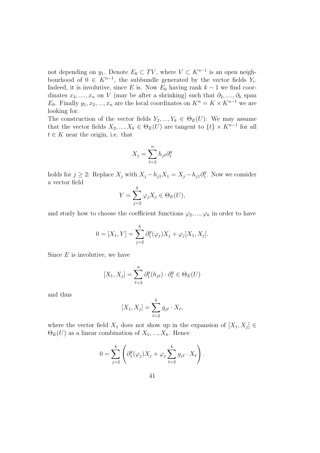not depending on  $y_1$ . Denote  $E_0 \subset TV$ , where  $V \subset K^{n-1}$  is an open neighbourhood of  $0 \in K^{n-1}$ , the subbundle generated by the vector fields  $Y_i$ . Indeed, it is involutive, since E is. Now  $E_0$  having rank  $k-1$  we find coordinates  $x_2, ..., x_n$  on V (may be after a shrinking) such that  $\partial_2, ..., \partial_k$  span E<sub>0</sub>. Finally  $y_1, x_2, ..., x_n$  are the local coordinates on  $K^n = K \times K^{n-1}$  we are looking for.

The construction of the vector fields  $Y_2, ..., Y_k \in \Theta_E(U)$ : We may assume that the vector fields  $X_2, ..., X_k \in \Theta_E(U)$  are tangent to  $\{t\} \times K^{n-1}$  for all  $t \in K$  near the origin, i.e. that

$$
X_j = \sum_{\ell=2}^n h_{j\ell} \partial_\ell^y
$$

holds for  $j \geq 2$ : Replace  $X_j$  with  $X_j - h_{j1}X_1 = X_j - h_{j1}\partial_1^y$  $j_1^y$ . Now we consider a vector field

$$
Y = \sum_{j=2}^{k} \varphi_j X_j \in \Theta_E(U),
$$

and study how to choose the coefficient functions  $\varphi_2, ..., \varphi_k$  in order to have

$$
0 = [X_1, Y] = \sum_{j=2}^{k} \partial_1^y(\varphi_j) X_j + \varphi_j[X_1, X_j].
$$

Since  $E$  is involutive, we have

$$
[X_1, X_j] = \sum_{\ell=2}^n \partial_1^y(h_{j\ell}) \cdot \partial_\ell^y \in \Theta_E(U)
$$

and thus

$$
[X_1, X_j] = \sum_{\ell=2}^k g_{j\ell} \cdot X_\ell,
$$

where the vector field  $X_1$  does not show up in the expansion of  $[X_1, X_j] \in$  $\Theta_E(U)$  as a linear combination of  $X_1, ..., X_k$ . Hence

$$
0 = \sum_{j=2}^{k} \left( \partial_{1}^{y}(\varphi_{j}) X_{j} + \varphi_{j} \sum_{\ell=2}^{k} g_{j\ell} \cdot X_{\ell} \right).
$$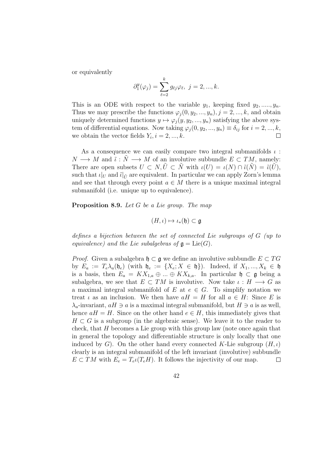or equivalently

$$
\partial_1^y(\varphi_j) = \sum_{\ell=2}^k g_{\ell j} \varphi_\ell, \ j = 2, ..., k.
$$

This is an ODE with respect to the variable  $y_1$ , keeping fixed  $y_2, \ldots, y_n$ . Thus we may prescribe the functions  $\varphi_j(0, y_2, ..., y_n), j = 2, ..., k$ , and obtain uniquely determined functions  $y \mapsto \varphi_i(y, y_2, ..., y_n)$  satisfying the above system of differential equations. Now taking  $\varphi_j(0, y_2, ..., y_n) \equiv \delta_{ij}$  for  $i = 2, ..., k$ , we obtain the vector fields  $Y_i$ ,  $i = 2, ..., k$ .  $\Box$ 

As a consequence we can easily compare two integral submanifolds  $\iota$ :  $N \longrightarrow M$  and  $\tilde{\iota}: \tilde{N} \longrightarrow M$  of an involutive subbundle  $E \subset TM$ , namely: There are open subsets  $U \subset N, U \subset \tilde{N}$  with  $\iota(U) = \iota(N) \cap \tilde{\iota}(N) = \tilde{\iota}(U)$ , such that  $\iota|_U$  and  $\tilde{\iota}|_{\tilde{U}}$  are equivalent. In particular we can apply Zorn's lemma and see that through every point  $a \in M$  there is a unique maximal integral submanifold (i.e. unique up to equivalence).

Proposition 8.9. Let G be a Lie group. The map

$$
(H,\iota)\mapsto\iota_*(\mathfrak{h})\subset\mathfrak{g}
$$

defines a bijection between the set of connected Lie subgroups of G (up to equivalence) and the Lie subalgebras of  $\mathfrak{g} = \text{Lie}(G)$ .

*Proof.* Given a subalgebra  $\mathfrak{h} \subset \mathfrak{g}$  we define an involutive subbundle  $E \subset TG$ by  $E_a := T_e \lambda_a(\mathfrak{h}_e)$  (with  $\mathfrak{h}_e := \{X_e; X \in \mathfrak{h}\}\)$ . Indeed, if  $X_1, ..., X_k \in \mathfrak{h}$ is a basis, then  $E_a = K X_{1,a} \oplus ... \oplus K X_{k,a}$ . In particular  $\mathfrak{h} \subset \mathfrak{g}$  being a subalgebra, we see that  $E \subset TM$  is involutive. Now take  $\iota : H \longrightarrow G$  as a maximal integral submanifold of E at  $e \in G$ . To simplify notation we treat  $\iota$  as an inclusion. We then have  $aH = H$  for all  $a \in H$ : Since E is  $\lambda_a$ -invariant,  $aH \ni a$  is a maximal integral submanifold, but  $H \ni a$  is as well, hence  $aH = H$ . Since on the other hand  $e \in H$ , this immediately gives that  $H \subset G$  is a subgroup (in the algebraic sense). We leave it to the reader to check, that H becomes a Lie group with this group law (note once again that in general the topology and differentiable structure is only locally that one induced by G). On the other hand every connected K-Lie subgroup  $(H, \iota)$ clearly is an integral submanifold of the left invariant (involutive) subbundle  $E \subset TM$  with  $E_e = T_e \iota(T_e H)$ . It follows the injectivity of our map.  $\Box$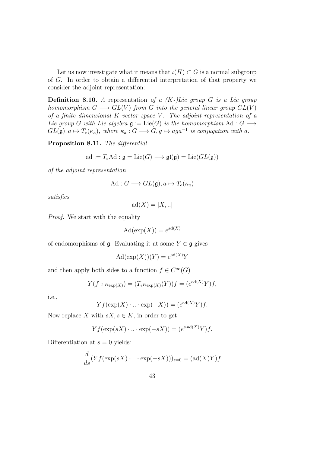Let us now investigate what it means that  $\iota(H) \subset G$  is a normal subgroup of G. In order to obtain a differential interpretation of that property we consider the adjoint representation:

**Definition 8.10.** A representation of a  $(K-)Lie$  group G is a Lie group homomorphism  $G \longrightarrow GL(V)$  from G into the general linear group  $GL(V)$ of a finite dimensional  $K$ -vector space  $V$ . The adjoint representation of a Lie group G with Lie algebra  $\mathfrak{g} := \mathrm{Lie}(G)$  is the homomorphism Ad :  $G \longrightarrow$  $GL(\mathfrak{g}), a \mapsto T_e(\kappa_a),$  where  $\kappa_a : G \longrightarrow G, g \mapsto aga^{-1}$  is conjugation with a.

Proposition 8.11. The differential

$$
ad := T_e Ad : \mathfrak{g} = \text{Lie}(G) \longrightarrow \mathfrak{gl}(\mathfrak{g}) = \text{Lie}(GL(\mathfrak{g}))
$$

of the adjoint representation

$$
\mathrm{Ad}: G \longrightarrow GL(\mathfrak{g}), a \mapsto T_e(\kappa_a)
$$

satisfies

$$
ad(X) = [X, ..]
$$

Proof. We start with the equality

$$
\mathrm{Ad}(\exp(X)) = e^{\mathrm{ad}(X)}
$$

of endomorphisms of  $\mathfrak g$ . Evaluating it at some  $Y \in \mathfrak g$  gives

$$
\mathrm{Ad}(\exp(X))(Y) = e^{\mathrm{ad}(X)}Y
$$

and then apply both sides to a function  $f \in C^{\infty}(G)$ 

$$
Y(f \circ \kappa_{\exp(X)}) = (T_e \kappa_{\exp(X)}(Y))f = (e^{\mathrm{ad}(X)}Y)f,
$$

i.e.,

$$
Yf(\exp(X) \cdot ... \cdot \exp(-X)) = (e^{\mathrm{ad}(X)}Y)f.
$$

Now replace X with  $sX, s \in K$ , in order to get

$$
Yf(\exp(sX) \cdot ... \cdot \exp(-sX)) = (e^{s \cdot \text{ad}(X)}Y)f.
$$

Differentiation at  $s = 0$  yields:

$$
\frac{d}{ds}(Yf(\exp(sX)\cdot\ldots\cdot\exp(-sX)))_{s=0}=(\mathrm{ad}(X)Y)f
$$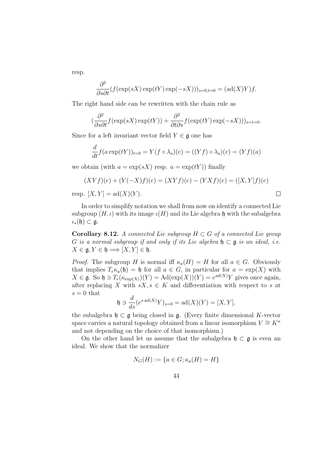resp.

$$
\frac{\partial^2}{\partial s \partial t} (f(\exp(sX)\exp(tY)\exp(-sX)))_{s=0,t=0} = (\mathrm{ad}(X)Y)f.
$$

The right hand side can be rewritten with the chain rule as

$$
(\frac{\partial^2}{\partial s \partial t} f(\exp(sX)\exp(tY)) + \frac{\partial^2}{\partial t \partial s} f(\exp(tY)\exp(-sX)))_{s=t=0}.
$$

Since for a left invariant vector field  $Y \in \mathfrak{g}$  one has

$$
\frac{d}{dt}f(a\exp(tY))_{t=0} = Y(f\circ\lambda_a)(e) = ((Yf)\circ\lambda_a)(e) = (Yf)(a)
$$

we obtain (with  $a = \exp(sX)$  resp.  $a = \exp(tY)$ ) finally

$$
(XYf)(e) + (Y(-X)f)(e) = (XYf)(e) - (YXf)(e) = ([X, Y]f)(e)
$$

resp.  $[X, Y] = ad(X)(Y)$ .

In order to simplify notation we shall from now on identify a connected Lie subgroup  $(H, \iota)$  with its image  $\iota(H)$  and its Lie algebra h with the subalgebra  $\iota_*(\mathfrak{h}) \subset \mathfrak{g}.$ 

Corollary 8.12. A connected Lie subgroup  $H \subset G$  of a connected Lie group G is a normal subgroup if and only if its Lie algebra  $\mathfrak{h} \subset \mathfrak{g}$  is an ideal, i.e.  $X \in \mathfrak{g}, Y \in \mathfrak{h} \Longrightarrow [X, Y] \in \mathfrak{h}.$ 

*Proof.* The subgroup H is normal iff  $\kappa_a(H) = H$  for all  $a \in G$ . Obviously that implies  $T_e \kappa_a(\mathfrak{h}) = \mathfrak{h}$  for all  $a \in G$ , in particular for  $a = \exp(X)$  with  $X \in \mathfrak{g}$ . So  $\mathfrak{h} \ni T_e(\kappa_{\exp(X)})(Y) = \text{Ad}(\exp(X))(Y) = e^{\text{ad}(X)}Y$  gives once again, after replacing X with  $sX, s \in K$  and differentiation with respect to s at  $s = 0$  that

$$
\mathfrak{h} \ni \frac{d}{ds} (e^{s \cdot \mathrm{ad}(X)} Y)_{s=0} = \mathrm{ad}(X)(Y) = [X, Y],
$$

the subalgebra  $\mathfrak{h} \subset \mathfrak{g}$  being closed in  $\mathfrak{g}$ . (Every finite dimensional K-vector space carries a natural topology obtained from a linear isomorphism  $V \cong K^n$ and not depending on the choice of that isomorphism.)

On the other hand let us assume that the subalgebra  $\mathfrak{h} \subset \mathfrak{g}$  is even an ideal. We show that the normalizer

$$
N_G(H) := \{ a \in G; \kappa_a(H) = H \}
$$

 $\Box$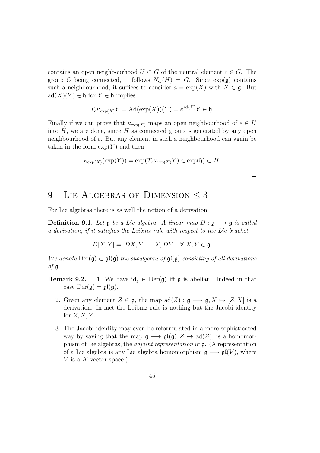contains an open neighbourhood  $U \subset G$  of the neutral element  $e \in G$ . The group G being connected, it follows  $N_G(H) = G$ . Since  $\exp(\mathfrak{g})$  contains such a neighbourhood, it suffices to consider  $a = \exp(X)$  with  $X \in \mathfrak{g}$ . But  $ad(X)(Y) \in \mathfrak{h}$  for  $Y \in \mathfrak{h}$  implies

$$
T_e \kappa_{\exp(X)} Y = \mathrm{Ad}(\exp(X))(Y) = e^{\mathrm{ad}(X)} Y \in \mathfrak{h}.
$$

Finally if we can prove that  $\kappa_{\exp(X)}$  maps an open neighbourhood of  $e \in H$ into  $H$ , we are done, since  $H$  as connected group is generated by any open neighbourhood of e. But any element in such a neighbourhood can again be taken in the form  $\exp(Y)$  and then

$$
\kappa_{\exp(X)}(\exp(Y)) = \exp(T_e \kappa_{\exp(X)} Y) \in \exp(\mathfrak{h}) \subset H.
$$

## 9 LIE ALGEBRAS OF DIMENSION  $\leq$  3

For Lie algebras there is as well the notion of a derivation:

**Definition 9.1.** Let  $\mathfrak g$  be a Lie algebra. A linear map  $D : \mathfrak g \longrightarrow \mathfrak g$  is called a derivation, if it satisfies the Leibniz rule with respect to the Lie bracket:

$$
D[X, Y] = [DX, Y] + [X, DY], \ \forall \ X, Y \in \mathfrak{g}.
$$

We denote  $Der(\mathfrak{g}) \subset \mathfrak{gl}(\mathfrak{g})$  the subalgebra of  $\mathfrak{gl}(\mathfrak{g})$  consisting of all derivations  $\circ$ f g.

- **Remark 9.2.** 1. We have  $\mathrm{id}_{\mathfrak{g}} \in \mathrm{Der}(\mathfrak{g})$  iff  $\mathfrak{g}$  is abelian. Indeed in that case  $Der(\mathfrak{g}) = \mathfrak{gl}(\mathfrak{g}).$ 
	- 2. Given any element  $Z \in \mathfrak{g}$ , the map  $\text{ad}(Z) : \mathfrak{g} \longrightarrow \mathfrak{g}, X \mapsto [Z, X]$  is a derivation: In fact the Leibniz rule is nothing but the Jacobi identity for  $Z, X, Y$ .
	- 3. The Jacobi identity may even be reformulated in a more sophisticated way by saying that the map  $\mathfrak{g} \longrightarrow \mathfrak{gl}(\mathfrak{g}), Z \mapsto \text{ad}(Z)$ , is a homomorphism of Lie algebras, the adjoint representation of g. (A representation of a Lie algebra is any Lie algebra homomorphism  $\mathfrak{g} \longrightarrow \mathfrak{gl}(V)$ , where V is a K-vector space.)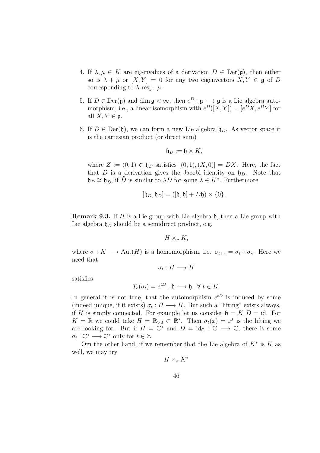- 4. If  $\lambda, \mu \in K$  are eigenvalues of a derivation  $D \in \text{Der}(\mathfrak{g})$ , then either so is  $\lambda + \mu$  or  $[X, Y] = 0$  for any two eigenvectors  $X, Y \in \mathfrak{g}$  of D corresponding to  $\lambda$  resp.  $\mu$ .
- 5. If  $D \in \text{Der}(\mathfrak{g})$  and dim  $\mathfrak{g} < \infty$ , then  $e^D : \mathfrak{g} \longrightarrow \mathfrak{g}$  is a Lie algebra automorphism, i.e., a linear isomorphism with  $e^{D}([X,Y]) = [e^{D}X, e^{D}Y]$  for all  $X, Y \in \mathfrak{a}$ .
- 6. If  $D \in \text{Der}(\mathfrak{h})$ , we can form a new Lie algebra  $\mathfrak{h}_D$ . As vector space it is the cartesian product (or direct sum)

$$
\mathfrak{h}_D:=\mathfrak{h}\times K,
$$

where  $Z := (0,1) \in \mathfrak{h}_D$  satisfies  $[(0,1),(X,0)] = DX$ . Here, the fact that D is a derivation gives the Jacobi identity on  $\mathfrak{h}_D$ . Note that  $\mathfrak{h}_D \cong \mathfrak{h}_{\tilde{D}}$ , if  $\tilde{D}$  is similar to  $\lambda D$  for some  $\lambda \in K^*$ . Furthermore

$$
[\mathfrak{h}_D, \mathfrak{h}_D] = ([\mathfrak{h}, \mathfrak{h}] + D\mathfrak{h}) \times \{0\}.
$$

**Remark 9.3.** If H is a Lie group with Lie algebra  $\mathfrak{h}$ , then a Lie group with Lie algebra  $\mathfrak{h}_D$  should be a semidirect product, e.g.

 $H \times_{\sigma} K$ ,

where  $\sigma: K \longrightarrow \text{Aut}(H)$  is a homomorphism, i.e.  $\sigma_{t+s} = \sigma_t \circ \sigma_s$ . Here we need that

 $\sigma_t: H \longrightarrow H$ 

satisfies

$$
T_e(\sigma_t) = e^{tD} : \mathfrak{h} \longrightarrow \mathfrak{h}, \ \forall \ t \in K.
$$

In general it is not true, that the automorphism  $e^{tD}$  is induced by some (indeed unique, if it exists)  $\sigma_t : H \longrightarrow H$ . But such a "lifting" exists always, if H is simply connected. For example let us consider  $\mathfrak{h} = K, D = id$ . For  $K = \mathbb{R}$  we could take  $H = \mathbb{R}_{>0} \subset \mathbb{R}^*$ . Then  $\sigma_t(x) = x^t$  is the lifting we are looking for. But if  $H = \mathbb{C}^*$  and  $D = id_{\mathbb{C}} : \mathbb{C} \longrightarrow \mathbb{C}$ , there is some  $\sigma_t : \mathbb{C}^* \longrightarrow \mathbb{C}^*$  only for  $t \in \mathbb{Z}$ .

Om the other hand, if we remember that the Lie algebra of  $K^*$  is  $K$  as well, we may try

$$
H\times_{\sigma} K^*
$$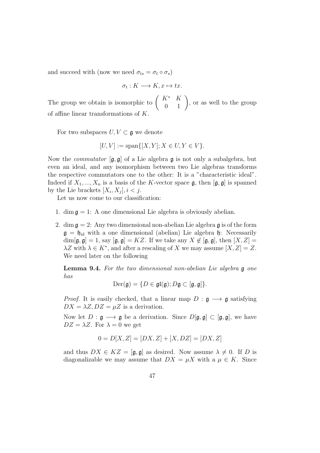and succeed with (now we need  $\sigma_{ts} = \sigma_t \circ \sigma_s$ )

$$
\sigma_t: K \longrightarrow K, x \mapsto tx.
$$

The group we obtain is isomorphic to  $\begin{pmatrix} K^* & K \\ 0 & 1 \end{pmatrix}$ , or as well to the group of affine linear transformations of K.

For two subspaces  $U, V \subset \mathfrak{g}$  we denote

$$
[U, V] := \text{span}\{[X, Y]; X \in U, Y \in V\}.
$$

Now the *commutator*  $[g, g]$  of a Lie algebra g is not only a subalgebra, but even an ideal, and any isomorphism between two Lie algebras transforms the respective commutators one to the other: It is a "characteristic ideal". Indeed if  $X_1, ..., X_n$  is a basis of the K-vector space  $\mathfrak{g}$ , then  $[\mathfrak{g}, \mathfrak{g}]$  is spanned by the Lie brackets  $[X_i, X_j], i < j$ .

Let us now come to our classification:

- 1. dim  $\mathfrak{g} = 1$ : A one dimensional Lie algebra is obviously abelian.
- 2. dim  $\mathfrak{g} = 2$ : Any two dimensional non-abelian Lie algebra  $\mathfrak{g}$  is of the form  $g = \mathfrak{h}_{\text{id}}$  with a one dimensional (abelian) Lie algebra  $\mathfrak{h}$ : Necessarily  $\dim[\mathfrak{g}, \mathfrak{g}] = 1$ , say  $[\mathfrak{g}, \mathfrak{g}] = KZ$ . If we take any  $X \notin [\mathfrak{g}, \mathfrak{g}]$ , then  $[X, Z] =$  $\lambda Z$  with  $\lambda \in K^*$ , and after a rescaling of X we may assume  $[X, Z] = Z$ . We need later on the following

Lemma 9.4. For the two dimensional non-abelian Lie algebra g one has

$$
\mathrm{Der}(\mathfrak{g})=\{D\in\mathfrak{gl}(\mathfrak{g});D\mathfrak{g}\subset[\mathfrak{g},\mathfrak{g}]\}.
$$

*Proof.* It is easily checked, that a linear map  $D : \mathfrak{g} \longrightarrow \mathfrak{g}$  satisfying  $DX = \lambda Z, DZ = \mu Z$  is a derivation.

Now let  $D : \mathfrak{g} \longrightarrow \mathfrak{g}$  be a derivation. Since  $D[\mathfrak{g}, \mathfrak{g}] \subset [\mathfrak{g}, \mathfrak{g}]$ , we have  $DZ = \lambda Z$ . For  $\lambda = 0$  we get

$$
0 = D[X, Z] = [DX, Z] + [X, DZ] = [DX, Z]
$$

and thus  $DX \in KZ = [\mathfrak{g}, \mathfrak{g}]$  as desired. Now assume  $\lambda \neq 0$ . If D is diagonalizable we may assume that  $DX = \mu X$  with a  $\mu \in K$ . Since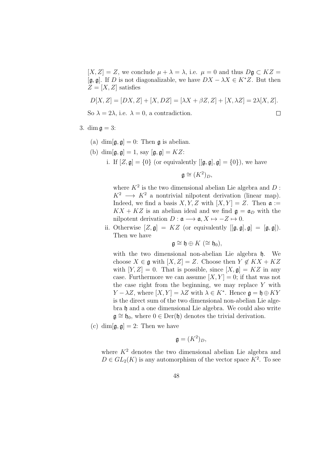$[X, Z] = Z$ , we conclude  $\mu + \lambda = \lambda$ , i.e.  $\mu = 0$  and thus  $D\mathfrak{g} \subset KZ =$  $[g, g]$ . If D is not diagonalizable, we have  $DX - \lambda X \in K^*Z$ . But then  $Z = [X, Z]$  satisfies

$$
D[X, Z] = [DX, Z] + [X, DZ] = [\lambda X + \beta Z, Z] + [X, \lambda Z] = 2\lambda [X, Z].
$$
  
So  $\lambda = 2\lambda$ , i.e.  $\lambda = 0$ , a contradiction.

So  $\lambda = 2\lambda$ , i.e.  $\lambda = 0$ , a contradiction.

- 3. dim  $\mathfrak{a} = 3$ :
	- (a) dim $[\mathfrak{g}, \mathfrak{g}] = 0$ : Then **g** is abelian.
	- (b) dim $[\mathfrak{g}, \mathfrak{g}] = 1$ , say  $[\mathfrak{g}, \mathfrak{g}] = KZ$ :

i. If  $[Z, \mathfrak{g}] = \{0\}$  (or equivalently  $[[\mathfrak{g}, \mathfrak{g}], \mathfrak{g}] = \{0\}$ ), we have

 $\mathfrak{g} \cong (K^2)_D,$ 

where  $K^2$  is the two dimensional abelian Lie algebra and D:  $K^2 \longrightarrow K^2$  a nontrivial nilpotent derivation (linear map). Indeed, we find a basis X, Y, Z with  $[X, Y] = Z$ . Then  $\mathfrak{a} :=$  $KX + KZ$  is an abelian ideal and we find  $g = \mathfrak{a}_D$  with the nilpotent derivation  $D: \mathfrak{a} \longrightarrow \mathfrak{a}, X \mapsto -Z \mapsto 0.$ 

ii. Otherwise  $[Z, \mathfrak{g}] = KZ$  (or equivalently  $[[\mathfrak{g}, \mathfrak{g}], \mathfrak{g}] = [\mathfrak{g}, \mathfrak{g}]).$ Then we have

$$
\mathfrak{g}\cong \mathfrak{h}\oplus K\ (\cong \mathfrak{h}_0),
$$

with the two dimensional non-abelian Lie algebra  $\mathfrak{h}$ . We choose  $X \in \mathfrak{g}$  with  $[X, Z] = Z$ . Choose then  $Y \notin KX + KZ$ with  $[Y, Z] = 0$ . That is possible, since  $[X, \mathfrak{g}] = KZ$  in any case. Furthermore we can assume  $[X, Y] = 0$ ; if that was not the case right from the beginning, we may replace  $Y$  with  $Y - \lambda Z$ , where  $[X, Y] = \lambda Z$  with  $\lambda \in K^*$ . Hence  $\mathfrak{g} = \mathfrak{h} \oplus KY$ is the direct sum of the two dimensional non-abelian Lie algebra h and a one dimensional Lie algebra. We could also write  $\mathfrak{g} \cong \mathfrak{h}_0$ , where  $0 \in \text{Der}(\mathfrak{h})$  denotes the trivial derivation.

(c) dim $[\mathfrak{g}, \mathfrak{g}] = 2$ : Then we have

$$
\mathfrak{g} = (K^2)_D,
$$

where  $K^2$  denotes the two dimensional abelian Lie algebra and  $D \in GL_2(K)$  is any automorphism of the vector space  $K^2$ . To see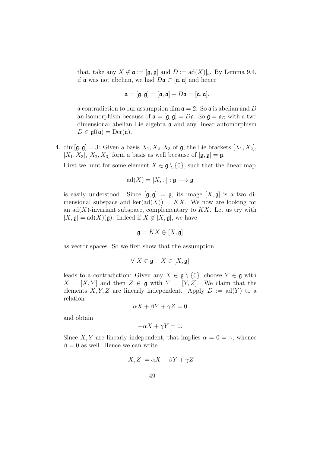that, take any  $X \notin \mathfrak{a} := [\mathfrak{g}, \mathfrak{g}]$  and  $D := \text{ad}(X)|_{\mathfrak{a}}$ . By Lemma 9.4, if **a** was not abelian, we had  $D\mathfrak{a} \subset [\mathfrak{a}, \mathfrak{a}]$  and hence

$$
\mathfrak{a} = [\mathfrak{g}, \mathfrak{g}] = [\mathfrak{a}, \mathfrak{a}] + D\mathfrak{a} = [\mathfrak{a}, \mathfrak{a}],
$$

a contradiction to our assumption dim  $\mathfrak{a} = 2$ . So  $\mathfrak{a}$  is abelian and D an isomorphism because of  $\mathfrak{a} = [\mathfrak{g}, \mathfrak{g}] = D\mathfrak{a}$ . So  $\mathfrak{g} = \mathfrak{a}_D$  with a two dimensional abelian Lie algebra  $\alpha$  and any linear automorphism  $D \in \mathfrak{gl}(\mathfrak{a}) = \text{Der}(\mathfrak{a}).$ 

4. dim $[\mathfrak{g}, \mathfrak{g}] = 3$ : Given a basis  $X_1, X_2, X_3$  of  $\mathfrak{g}$ , the Lie brackets  $[X_1, X_2]$ ,  $[X_1, X_3], [X_2, X_3]$  form a basis as well because of  $[\mathfrak{g}, \mathfrak{g}] = \mathfrak{g}.$ 

First we hunt for some element  $X \in \mathfrak{g} \setminus \{0\}$ , such that the linear map

$$
ad(X) = [X, .].; \mathfrak{g} \longrightarrow \mathfrak{g}
$$

is easily understood. Since  $[\mathfrak{g}, \mathfrak{g}] = \mathfrak{g}$ , its image  $[X, \mathfrak{g}]$  is a two dimensional subspace and  $\text{ker}(\text{ad}(X)) = KX$ . We now are looking for an  $\text{ad}(X)$ -invariant subspace, complementary to KX. Let us try with  $[X, \mathfrak{g}] = \text{ad}(X)(\mathfrak{g})$ : Indeed if  $X \notin [X, \mathfrak{g}]$ , we have

$$
\mathfrak{g} = KX \oplus [X, \mathfrak{g}]
$$

as vector spaces. So we first show that the assumption

$$
\forall X \in \mathfrak{g} : X \in [X, \mathfrak{g}]
$$

leads to a contradiction: Given any  $X \in \mathfrak{g} \setminus \{0\}$ , choose  $Y \in \mathfrak{g}$  with  $X = [X, Y]$  and then  $Z \in \mathfrak{g}$  with  $Y = [Y, Z]$ . We claim that the elements X, Y, Z are linearly independent. Apply  $D := \text{ad}(Y)$  to a relation

$$
\alpha X + \beta Y + \gamma Z = 0
$$

and obtain

$$
-\alpha X + \gamma Y = 0.
$$

Since X, Y are linearly independent, that implies  $\alpha = 0 = \gamma$ , whence  $\beta = 0$  as well. Hence we can write

$$
[X, Z] = \alpha X + \beta Y + \gamma Z
$$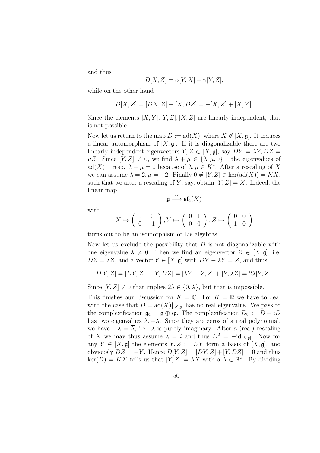and thus

$$
D[X, Z] = \alpha[Y, X] + \gamma[Y, Z],
$$

while on the other hand

$$
D[X, Z] = [DX, Z] + [X, DZ] = -[X, Z] + [X, Y].
$$

Since the elements  $[X, Y], [Y, Z], [X, Z]$  are linearly independent, that is not possible.

Now let us return to the map  $D := \text{ad}(X)$ , where  $X \notin [X, \mathfrak{g}]$ . It induces a linear automorphism of  $[X, \mathfrak{g}]$ . If it is diagonalizable there are two linearly independent eigenvectors  $Y, Z \in [X, \mathfrak{g}]$ , say  $DY = \lambda Y, DZ =$  $\mu Z$ . Since  $[Y, Z] \neq 0$ , we find  $\lambda + \mu \in \{\lambda, \mu, 0\}$  – the eigenvalues of ad(X) – resp.  $\lambda + \mu = 0$  because of  $\lambda, \mu \in K^*$ . After a rescaling of X we can assume  $\lambda = 2, \mu = -2$ . Finally  $0 \neq [Y, Z] \in \text{ker}(\text{ad}(X)) = KX$ , such that we after a rescaling of Y, say, obtain  $[Y, Z] = X$ . Indeed, the linear map

$$
\mathfrak{g} \stackrel{\cong}{\longrightarrow} \mathfrak{sl}_2(K)
$$

with

$$
X \mapsto \left( \begin{array}{cc} 1 & 0 \\ 0 & -1 \end{array} \right), Y \mapsto \left( \begin{array}{cc} 0 & 1 \\ 0 & 0 \end{array} \right), Z \mapsto \left( \begin{array}{cc} 0 & 0 \\ 1 & 0 \end{array} \right)
$$

turns out to be an isomorphism of Lie algebras.

Now let us exclude the possibility that  $D$  is not diagonalizable with one eigenvalue  $\lambda \neq 0$ . Then we find an eigenvector  $Z \in [X, \mathfrak{g}]$ , i.e.  $DZ = \lambda Z$ , and a vector  $Y \in [X, \mathfrak{g}]$  with  $DY - \lambda Y = Z$ , and thus

$$
D[Y, Z] = [DY, Z] + [Y, DZ] = [\lambda Y + Z, Z] + [Y, \lambda Z] = 2\lambda [Y, Z].
$$

Since  $[Y, Z] \neq 0$  that implies  $2\lambda \in \{0, \lambda\}$ , but that is impossible.

This finishes our discussion for  $K = \mathbb{C}$ . For  $K = \mathbb{R}$  we have to deal with the case that  $D = \text{ad}(X)|_{[X,\mathfrak{a}]}$  has no real eigenvalus. We pass to the complexification  $\mathfrak{g}_{\mathbb{C}} = \mathfrak{g} \oplus i\mathfrak{g}$ . The complexification  $D_{\mathbb{C}} := D + iD$ has two eigenvalues  $\lambda, -\lambda$ . Since they are zeros of a real polynomial, we have  $-\lambda = \overline{\lambda}$ , i.e.  $\lambda$  is purely imaginary. After a (real) rescaling of X we may thus assume  $\lambda = i$  and thus  $D^2 = -id_{[X,g]}$ . Now for any  $Y \in [X, \mathfrak{g}]$  the elements  $Y, Z := DY$  form a basis of  $[X, \mathfrak{g}]$ , and obviously  $DZ = -Y$ . Hence  $D[Y, Z] = [DY, Z] + [Y, DZ] = 0$  and thus  $\ker(D) = KX$  tells us that  $[Y, Z] = \lambda X$  with a  $\lambda \in \mathbb{R}^*$ . By dividing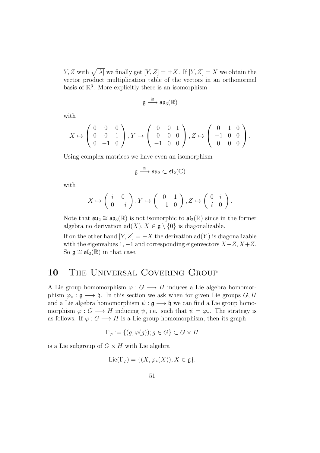Y, Z with  $\sqrt{|\lambda|}$  we finally get  $[Y, Z] = \pm X$ . If  $[Y, Z] = X$  we obtain the vector product multiplication table of the vectors in an orthonormal basis of  $\mathbb{R}^3$ . More explicitly there is an isomorphism

$$
\mathfrak{g}\stackrel{\cong}{\longrightarrow} \mathfrak{so}_3(\mathbb{R})
$$

with

$$
X \mapsto \left(\begin{array}{ccc} 0 & 0 & 0 \\ 0 & 0 & 1 \\ 0 & -1 & 0 \end{array}\right), Y \mapsto \left(\begin{array}{ccc} 0 & 0 & 1 \\ 0 & 0 & 0 \\ -1 & 0 & 0 \end{array}\right), Z \mapsto \left(\begin{array}{ccc} 0 & 1 & 0 \\ -1 & 0 & 0 \\ 0 & 0 & 0 \end{array}\right).
$$

Using complex matrices we have even an isomorphism

$$
\mathfrak{g} \overset{\cong}{\longrightarrow} \mathfrak{su}_2 \subset \mathfrak{sl}_2(\mathbb{C})
$$

with

$$
X \mapsto \left( \begin{array}{cc} i & 0 \\ 0 & -i \end{array} \right), Y \mapsto \left( \begin{array}{cc} 0 & 1 \\ -1 & 0 \end{array} \right), Z \mapsto \left( \begin{array}{cc} 0 & i \\ i & 0 \end{array} \right).
$$

Note that  $\mathfrak{su}_2 \cong \mathfrak{so}_3(\mathbb{R})$  is not isomorphic to  $\mathfrak{sl}_2(\mathbb{R})$  since in the former algebra no derivation  $\text{ad}(X), X \in \mathfrak{g} \setminus \{0\}$  is diagonalizable.

If on the other hand  $[Y, Z] = -X$  the derivation ad(Y) is diagonalizable with the eigenvalues 1,  $-1$  and corresponding eigenvectors  $X-Z$ ,  $X+Z$ . So  $\mathfrak{g} \cong \mathfrak{sl}_2(\mathbb{R})$  in that case.

## 10 THE UNIVERSAL COVERING GROUP

A Lie group homomorphism  $\varphi: G \longrightarrow H$  induces a Lie algebra homomorphism  $\varphi_* : \mathfrak{g} \longrightarrow \mathfrak{h}$ . In this section we ask when for given Lie groups  $G, H$ and a Lie algebra homomorphism  $\psi : \mathfrak{g} \longrightarrow \mathfrak{h}$  we can find a Lie group homomorphism  $\varphi : G \longrightarrow H$  inducing  $\psi$ , i.e. such that  $\psi = \varphi_*$ . The strategy is as follows: If  $\varphi : G \longrightarrow H$  is a Lie group homomorphism, then its graph

$$
\Gamma_{\varphi} := \{(g, \varphi(g)); g \in G\} \subset G \times H
$$

is a Lie subgroup of  $G \times H$  with Lie algebra

$$
\operatorname{Lie}(\Gamma_{\varphi}) = \{ (X, \varphi_*(X)); X \in \mathfrak{g} \}.
$$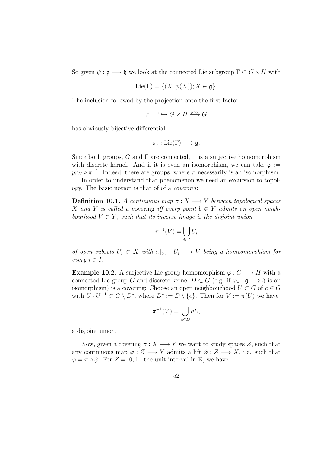So given  $\psi : \mathfrak{g} \longrightarrow \mathfrak{h}$  we look at the connected Lie subgroup  $\Gamma \subset G \times H$  with

$$
\text{Lie}(\Gamma) = \{ (X, \psi(X)) ; X \in \mathfrak{g} \}.
$$

The inclusion followed by the projection onto the first factor

$$
\pi: \Gamma \hookrightarrow G \times H \xrightarrow{pr_G} G
$$

has obviously bijective differential

$$
\pi_* : \mathrm{Lie}(\Gamma) \longrightarrow \mathfrak{g}.
$$

Since both groups, G and  $\Gamma$  are connected, it is a surjective homomorphism with discrete kernel. And if it is even an isomorphism, we can take  $\varphi$  :=  $pr_H \circ \pi^{-1}$ . Indeed, there are groups, where  $\pi$  necessarily is an isomorphism.

In order to understand that phenomenon we need an excursion to topology. The basic notion is that of of a covering:

**Definition 10.1.** A continuous map  $\pi: X \longrightarrow Y$  between topological spaces X and Y is called a covering iff every point  $b \in Y$  admits an open neighbourhood  $V \subset Y$ , such that its inverse image is the disjoint union

$$
\pi^{-1}(V) = \bigcup_{i \in I} U_i
$$

of open subsets  $U_i \subset X$  with  $\pi|_{U_i}: U_i \longrightarrow V$  being a homeomorphism for every  $i \in I$ .

**Example 10.2.** A surjective Lie group homomorphism  $\varphi: G \longrightarrow H$  with a connected Lie group G and discrete kernel  $D \subset G$  (e.g. if  $\varphi_* : \mathfrak{g} \longrightarrow \mathfrak{h}$  is an isomorphism) is a covering: Choose an open neighbourhood  $U \subset G$  of  $e \in G$ with  $U \cdot U^{-1} \subset G \setminus D^*$ , where  $D^* := D \setminus \{e\}$ . Then for  $V := \pi(U)$  we have

$$
\pi^{-1}(V) = \bigcup_{a \in D} aU,
$$

a disjoint union.

Now, given a covering  $\pi: X \longrightarrow Y$  we want to study spaces Z, such that any continuous map  $\varphi: Z \longrightarrow Y$  admits a lift  $\hat{\varphi}: Z \longrightarrow X$ , i.e. such that  $\varphi = \pi \circ \hat{\varphi}$ . For  $Z = [0, 1]$ , the unit interval in R, we have: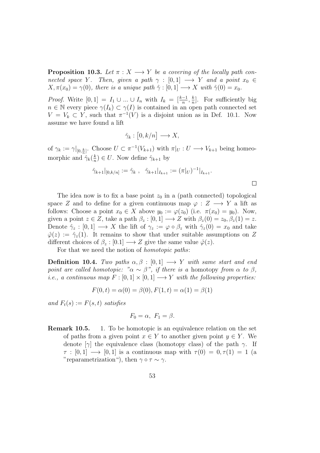**Proposition 10.3.** Let  $\pi : X \longrightarrow Y$  be a covering of the locally path connected space Y. Then, given a path  $\gamma : [0,1] \longrightarrow Y$  and a point  $x_0 \in$  $X, \pi(x_0) = \gamma(0)$ , there is a unique path  $\hat{\gamma} : [0, 1] \longrightarrow X$  with  $\hat{\gamma}(0) = x_0$ .

*Proof.* Write  $[0, 1] = I_1 \cup ... \cup I_n$  with  $I_k = \left[\frac{k-1}{n}, \frac{k}{n}\right]$  $\frac{k}{n}$ . For sufficiently big  $n \in \mathbb{N}$  every piece  $\gamma(I_k) \subset \gamma(I)$  is contained in an open path connected set  $V = V_k \subset Y$ , such that  $\pi^{-1}(V)$  is a disjoint union as in Def. 10.1. Now assume we have found a lift

$$
\hat{\gamma}_k : [0, k/n] \longrightarrow X,
$$

of  $\gamma_k := \gamma|_{[0,\frac{k}{n}]}$ . Choose  $U \subset \pi^{-1}(V_{k+1})$  with  $\pi|_U : U \longrightarrow V_{k+1}$  being homeomorphic and  $\hat{\gamma}_k(\frac{k}{n})$  $\frac{k}{n}$ )  $\in U$ . Now define  $\hat{\gamma}_{k+1}$  by

$$
\hat{\gamma}_{k+1}|_{[0,k/n]} := \hat{\gamma}_k , \quad \hat{\gamma}_{k+1}|_{I_{k+1}} := (\pi|_U)^{-1}|_{I_{k+1}}.
$$

 $\Box$ 

The idea now is to fix a base point  $z_0$  in a (path connected) topological space Z and to define for a given continuous map  $\varphi: Z \longrightarrow Y$  a lift as follows: Choose a point  $x_0 \in X$  above  $y_0 := \varphi(z_0)$  (i.e.  $\pi(x_0) = y_0$ ). Now, given a point  $z \in Z$ , take a path  $\beta_z : [0,1] \longrightarrow Z$  with  $\beta_z(0) = z_0, \beta_z(1) = z$ . Denote  $\hat{\gamma}_z : [0,1] \longrightarrow X$  the lift of  $\gamma_z := \varphi \circ \beta_z$  with  $\hat{\gamma}_z(0) = x_0$  and take  $\hat{\varphi}(z) := \hat{\gamma}_z(1)$ . It remains to show that under suitable assumptions on Z different choices of  $\beta_z : [0,1] \longrightarrow Z$  give the same value  $\hat{\varphi}(z)$ .

For that we need the notion of homotopic paths:

Definition 10.4. Two paths  $\alpha, \beta : [0, 1] \longrightarrow Y$  with same start and end point are called homotopic: " $\alpha \sim \beta$ ", if there is a homotopy from  $\alpha$  to  $\beta$ , *i.e.*, a continuous map  $F : [0, 1] \times [0, 1] \longrightarrow Y$  with the following properties:

$$
F(0,t) = \alpha(0) = \beta(0), F(1,t) = \alpha(1) = \beta(1)
$$

and  $F_t(s) := F(s, t)$  satisfies

$$
F_0 = \alpha, \ F_1 = \beta.
$$

Remark 10.5. 1. To be homotopic is an equivalence relation on the set of paths from a given point  $x \in Y$  to another given point  $y \in Y$ . We denote [ $\gamma$ ] the equivalence class (homotopy class) of the path  $\gamma$ . If  $\tau : [0,1] \longrightarrow [0,1]$  is a continuous map with  $\tau(0) = 0, \tau(1) = 1$  (a "reparametrization"), then  $\gamma \circ \tau \sim \gamma$ .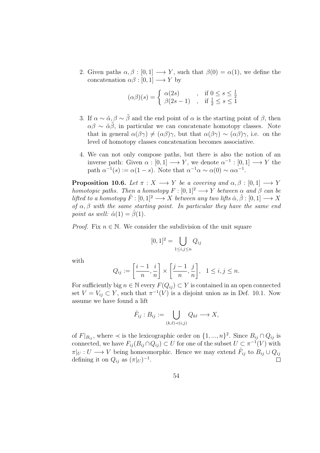2. Given paths  $\alpha, \beta : [0, 1] \longrightarrow Y$ , such that  $\beta(0) = \alpha(1)$ , we define the concatenation  $\alpha\beta : [0,1] \longrightarrow Y$  by

$$
(\alpha \beta)(s) = \begin{cases} \alpha(2s) & , \text{ if } 0 \le s \le \frac{1}{2} \\ \beta(2s - 1) & , \text{ if } \frac{1}{2} \le s \le 1 \end{cases}
$$

- 3. If  $\alpha \sim \tilde{\alpha}, \beta \sim \tilde{\beta}$  and the end point of  $\alpha$  is the starting point of  $\beta$ , then  $\alpha\beta \sim \tilde{\alpha}\beta$ , in particular we can concatenate homotopy classes. Note that in general  $\alpha(\beta\gamma) \neq (\alpha\beta)\gamma$ , but that  $\alpha(\beta\gamma) \sim (\alpha\beta)\gamma$ , i.e. on the level of homotopy classes concatenation becomes associative.
- 4. We can not only compose paths, but there is also the notion of an inverse path: Given  $\alpha : [0,1] \longrightarrow Y$ , we denote  $\alpha^{-1} : [0,1] \longrightarrow Y$  the path  $\alpha^{-1}(s) := \alpha(1-s)$ . Note that  $\alpha^{-1}\alpha \sim \alpha(0) \sim \alpha\alpha^{-1}$ .

**Proposition 10.6.** Let  $\pi : X \longrightarrow Y$  be a covering and  $\alpha, \beta : [0, 1] \longrightarrow Y$ homotopic paths. Then a homotopy  $F : [0,1]^2 \longrightarrow Y$  between  $\alpha$  and  $\beta$  can be lifted to a homotopy  $\hat{F} : [0, 1]^2 \longrightarrow X$  between any two lifts  $\hat{\alpha}, \hat{\beta} : [0, 1] \longrightarrow X$ of  $\alpha, \beta$  with the same starting point. In particular they have the same end point as well:  $\hat{\alpha}(1) = \hat{\beta}(1)$ .

*Proof.* Fix  $n \in \mathbb{N}$ . We consider the subdivision of the unit square

$$
[0,1]^2 = \bigcup_{1 \le i,j \le n} Q_{ij}
$$

with

$$
Q_{ij}:=\left[\frac{i-1}{n},\frac{i}{n}\right]\times\left[\frac{j-1}{n},\frac{j}{n}\right],\ \ 1\leq i,j\leq n.
$$

For sufficiently big  $n \in \mathbb{N}$  every  $F(Q_{ij}) \subset Y$  is contained in an open connected set  $V = V_{ij} \subset Y$ , such that  $\pi^{-1}(V)$  is a disjoint union as in Def. 10.1. Now assume we have found a lift

$$
\hat{F}_{ij}: B_{ij} := \bigcup_{(k,\ell) \prec (i,j)} Q_{k\ell} \longrightarrow X,
$$

of  $F|_{B_{ij}}$ , where  $\prec$  is the lexicographic order on  $\{1, ..., n\}^2$ . Since  $B_{ij} \cap Q_{ij}$  is connected, we have  $F_{ij}(B_{ij} \cap Q_{ij}) \subset U$  for one of the subset  $U \subset \pi^{-1}(V)$  with  $\pi|_U: U \longrightarrow V$  being homeomorphic. Hence we may extend  $\hat{F}_{ij}$  to  $B_{ij} \cup Q_{ij}$ defining it on  $Q_{ij}$  as  $(\pi|_U)^{-1}$ .  $\Box$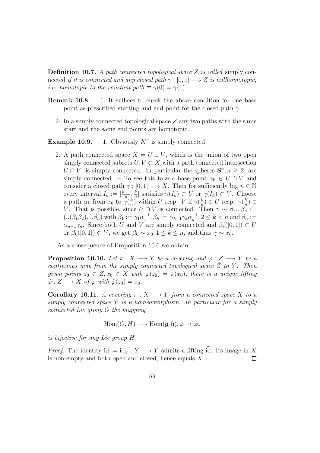Definition 10.7. A path connected topological space Z is called simply connected if it is connected and any closed path  $\gamma : [0, 1] \longrightarrow Z$  is nullhomotopic, *i.e.* homotopic to the constant path  $\equiv \gamma(0) = \gamma(1)$ .

- Remark 10.8. 1. It suffices to check the above condition for one base point as prescribed starting and end point for the closed path  $\gamma$ .
	- 2. In a simply connected topological space  $Z$  any two paths with the same start and the same end points are homotopic.

**Example 10.9.** 1. Obviously  $K^n$  is simply connected.

2. A path connected space  $X = U \cup V$ , which is the union of two open simply connected subsets  $U, V \subset X$  with a path connected intersection  $U \cap V$ , is simply connected. In particular the spheres  $S<sup>n</sup>, n \geq 2$ , are simply connected. – To see this take a base point  $x_0 \in U \cap V$  and consider a closed path  $\gamma : [0, 1] \longrightarrow X$ . Then for sufficiently big  $n \in \mathbb{N}$ every interval  $I_k := \left[\frac{k-1}{n}, \frac{k}{n}\right]$  $\frac{k}{n}$  satisfies  $\gamma(I_k) \subset U$  or  $\gamma(I_k) \subset V$ . Choose a path  $\alpha_k$  from  $x_0$  to  $\gamma(\frac{k}{n})$  $\frac{k}{n}$ ) within U resp. V if  $\gamma(\frac{k}{n})$  $\frac{k}{n}$ )  $\in U$  resp.  $\gamma(\frac{k}{n})$  $\frac{k}{n}) \in$ V. That is possible, since  $U \cap V$  is connected. Then  $\gamma \sim \beta_1...\beta_n$  :=  $( . .(\beta_1 \beta_2) ... \beta_n)$  with  $\beta_1 := \gamma_1 \alpha_1^{-1}, \beta_k := \alpha_{k-1} \gamma_k \alpha_k^{-1}$  $\frac{-1}{k}, 2 \leq k < n$  and  $\beta_n :=$  $\alpha_{n-1}\gamma_n$ . Since both U and V are simply connected and  $\beta_k([0,1]) \subset U$ or  $\beta_k([0,1]) \subset V$ , we get  $\beta_k \sim x_0, 1 \leq k \leq n$ , and thus  $\gamma \sim x_0$ .

As a consequence of Proposition 10.6 we obtain:

**Proposition 10.10.** Let  $\pi : X \longrightarrow Y$  be a covering and  $\varphi : Z \longrightarrow Y$  be a continuous map from the simply connected topological space  $Z$  to  $Y$ . Then given points  $z_0 \in Z$ ,  $x_0 \in X$  with  $\varphi(z_0) = \pi(x_0)$ , there is a unique lifting  $\hat{\varphi}: Z \longrightarrow X$  of  $\varphi$  with  $\hat{\varphi}(z_0) = x_0$ .

**Corollary 10.11.** A covering  $\pi : X \longrightarrow Y$  from a connected space X to a simply connected space  $Y$  is a homeomorphism. In particular for a simply connected Lie group G the mapping

$$
\text{Hom}(G, H) \longrightarrow \text{Hom}(\mathfrak{g}, \mathfrak{h}), \varphi \mapsto \varphi_*
$$

is bijective for any Lie group H.

*Proof.* The identity id := id $_Y : Y \longrightarrow Y$  admits a lifting id. Its image in X is non-empty and both open and closed, hence equals X. is non-empty and both open and closed, hence equals  $X$ .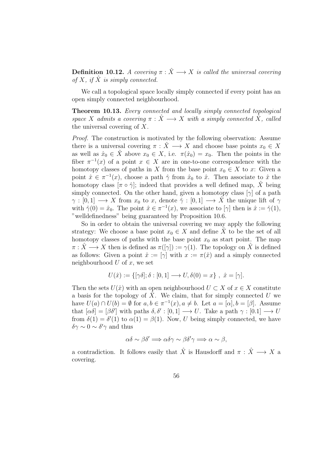**Definition 10.12.** A covering  $\pi : \hat{X} \longrightarrow X$  is called the universal covering of X, if  $\hat{X}$  is simply connected.

We call a topological space locally simply connected if every point has an open simply connected neighbourhood.

Theorem 10.13. Every connected and locally simply connected topological space X admits a covering  $\pi : \hat{X} \longrightarrow X$  with a simply connected  $\hat{X}$ , called the universal covering of X.

Proof. The construction is motivated by the following observation: Assume there is a universal covering  $\pi : \hat{X} \longrightarrow X$  and choose base points  $x_0 \in X$ as well as  $\hat{x}_0 \in \hat{X}$  above  $x_0 \in X$ , i.e.  $\pi(\hat{x}_0) = x_0$ . Then the points in the fiber  $\pi^{-1}(x)$  of a point  $x \in X$  are in one-to-one correspondence with the homotopy classes of paths in X from the base point  $x_0 \in X$  to x: Given a point  $\hat{x} \in \pi^{-1}(x)$ , choose a path  $\hat{\gamma}$  from  $\hat{x}_0$  to  $\hat{x}$ . Then associate to  $\hat{x}$  the homotopy class  $[\pi \circ \hat{\gamma}]$ ; indeed that provides a well defined map, X being simply connected. On the other hand, given a homotopy class  $[\gamma]$  of a path  $\gamma : [0,1] \longrightarrow X$  from  $x_0$  to x, denote  $\hat{\gamma} : [0,1] \longrightarrow X$  the unique lift of  $\gamma$ with  $\hat{\gamma}(0) = \hat{x}_0$ . The point  $\hat{x} \in \pi^{-1}(x)$ , we associate to  $[\gamma]$  then is  $\hat{x} := \hat{\gamma}(1)$ , "welldefinedness" being guaranteed by Proposition 10.6.

So in order to obtain the universal covering we may apply the following strategy: We choose a base point  $x_0 \in X$  and define X to be the set of all homotopy classes of paths with the base point  $x_0$  as start point. The map  $\pi : \tilde{X} \longrightarrow X$  then is defined as  $\pi([\gamma]) := \gamma(1)$ . The topology on X is defined as follows: Given a point  $\hat{x} := [\gamma]$  with  $x := \pi(\hat{x})$  and a simply connected neighbourhood  $U$  of  $x$ , we set

$$
U(\hat{x}) := \{ [\gamma \delta]; \delta : [0,1] \longrightarrow U, \delta(0) = x \}, \ \hat{x} = [\gamma].
$$

Then the sets  $U(\hat{x})$  with an open neighbourhood  $U \subset X$  of  $x \in X$  constitute a basis for the topology of  $\hat{X}$ . We claim, that for simply connected U we have  $U(a) \cap U(b) = \emptyset$  for  $a, b \in \pi^{-1}(x), a \neq b$ . Let  $a = [\alpha], b = [\beta]$ . Assume that  $[\alpha \delta] = [\beta \delta']$  with paths  $\delta, \delta' : [0, 1] \longrightarrow U$ . Take a path  $\gamma : [0, 1] \longrightarrow U$ from  $\delta(1) = \delta'(1)$  to  $\alpha(1) = \beta(1)$ . Now, U being simply connected, we have  $\delta \gamma \sim 0 \sim \delta' \gamma$  and thus

$$
\alpha\delta \sim \beta\delta' \Longrightarrow \alpha\delta\gamma \sim \beta\delta'\gamma \Longrightarrow \alpha \sim \beta,
$$

a contradiction. It follows easily that  $\hat{X}$  is Hausdorff and  $\pi : \hat{X} \longrightarrow X$  a covering.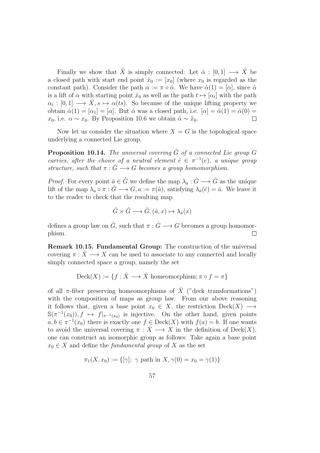Finally we show that  $\hat{X}$  is simply connected: Let  $\hat{\alpha} : [0, 1] \longrightarrow \hat{X}$  be a closed path with start end point  $\hat{x}_0 := [x_0]$  (where  $x_0$  is regarded as the constant path). Consider the path  $\alpha := \pi \circ \hat{\alpha}$ . We have  $\hat{\alpha}(1) = [\alpha]$ , since  $\hat{\alpha}$ is a lift of  $\alpha$  with starting point  $\hat{x}_0$  as well as the path  $t \mapsto [\alpha_t]$  with the path  $\alpha_t : [0,1] \longrightarrow \hat{X}, s \mapsto \alpha(ts)$ . So because of the unique lifting property we obtain  $\hat{\alpha}(1) = [\alpha_1] = [\alpha]$ . But  $\hat{\alpha}$  was a closed path, i.e.  $[\alpha] = \hat{\alpha}(1) = \hat{\alpha}(0) =$  $x_0$ , i.e.  $\alpha \sim x_0$ . By Proposition 10.6 we obtain  $\hat{\alpha} \sim \hat{x}_0$ .  $\Box$ 

Now let us consider the situation where  $X = G$  is the topological space underlying a connected Lie group.

**Proposition 10.14.** The universal covering  $\hat{G}$  of a connected Lie group G carries, after the choice of a neutral element  $\hat{e} \in \pi^{-1}(e)$ , a unique group structure, such that  $\pi : \hat{G} \longrightarrow G$  becomes a group homomorphism.

*Proof.* For every point  $\hat{a} \in \hat{G}$  we define the map  $\lambda_{\hat{a}} : \hat{G} \longrightarrow \hat{G}$  as the unique lift of the map  $\lambda_a \circ \pi : \hat{G} \longrightarrow G, a := \pi(\hat{a})$ , satisfying  $\lambda_{\hat{a}}(\hat{e}) = \hat{a}$ . We leave it to the reader to check that the resulting map

$$
\hat{G} \times \hat{G} \longrightarrow \hat{G}, (\hat{a}, x) \mapsto \lambda_{\hat{a}}(x)
$$

defines a group law on  $\hat{G}$ , such that  $\pi : \hat{G} \longrightarrow G$  becomes a group homomorphism.  $\Box$ 

Remark 10.15. Fundamental Group: The construction of the universal covering  $\pi: X \longrightarrow X$  can be used to associate to any connected and locally simply connected space a group, namely the set

$$
\text{Deck}(X) := \{ f : \hat{X} \longrightarrow \hat{X} \text{ homeomorphism}; \pi \circ f = \pi \}
$$

of all  $\pi$ -fiber preserving homeomorphisms of  $\hat{X}$  ("deck transformations") with the composition of maps as group law. From our above reasoning it follows that, given a base point  $x_0 \in X$ , the restriction  $\text{Deck}(X) \longrightarrow$  $\mathbb{S}(\pi^{-1}(x_0)), f \mapsto f|_{\pi^{-1}(x_0)}$  is injective. On the other hand, given points  $a, b \in \pi^{-1}(x_0)$  there is exactly one  $f \in \text{Deck}(X)$  with  $f(a) = b$ . If one wants to avoid the universal covering  $\pi : \hat{X} \longrightarrow X$  in the definition of  $\mathrm{Deck}(X)$ , one can construct an isomorphic group as follows: Take again a base point  $x_0 \in X$  and define the *fundamental group* of X as the set

$$
\pi_1(X, x_0) := \{ [\gamma]; \ \gamma \text{ path in } X, \gamma(0) = x_0 = \gamma(1) \}
$$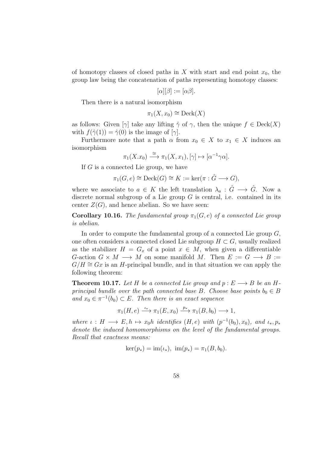of homotopy classes of closed paths in X with start and end point  $x_0$ , the group law being the concatenation of paths representing homotopy classes:

$$
[\alpha][\beta] := [\alpha \beta].
$$

Then there is a natural isomorphism

$$
\pi_1(X, x_0) \cong \mathrm{Deck}(X)
$$

as follows: Given  $[\gamma]$  take any lifting  $\hat{\gamma}$  of  $\gamma$ , then the unique  $f \in \text{Deck}(X)$ with  $f(\hat{\gamma}(1)) = \hat{\gamma}(0)$  is the image of [ $\gamma$ ].

Furthermore note that a path  $\alpha$  from  $x_0 \in X$  to  $x_1 \in X$  induces an isomorphism

$$
\pi_1(X.x_0) \xrightarrow{\cong} \pi_1(X, x_1), [\gamma] \mapsto [\alpha^{-1}\gamma\alpha].
$$

If  $G$  is a connected Lie group, we have

 $\pi_1(G, e) \cong \text{Deck}(G) \cong K := \ker(\pi : \hat{G} \longrightarrow G),$ 

where we associate to  $a \in K$  the left translation  $\lambda_a : \hat{G} \longrightarrow \hat{G}$ . Now a discrete normal subgroup of a Lie group  $G$  is central, i.e. contained in its center  $Z(G)$ , and hence abelian. So we have seen:

**Corollary 10.16.** The fundamental group  $\pi_1(G, e)$  of a connected Lie group is abelian.

In order to compute the fundamental group of a connected Lie group  $G$ , one often considers a connected closed Lie subgroup  $H \subset G$ , usually realized as the stabilizer  $H = G_x$  of a point  $x \in M$ , when given a differentiable G-action  $G \times M \longrightarrow M$  on some manifold M. Then  $E := G \longrightarrow B :=$  $G/H \cong Gx$  is an H-principal bundle, and in that situation we can apply the following theorem:

**Theorem 10.17.** Let H be a connected Lie group and  $p: E \longrightarrow B$  be an Hprincipal bundle over the path connected base B. Choose base points  $b_0 \in B$ and  $x_0 \in \pi^{-1}(b_0) \subset E$ . Then there is an exact sequence

$$
\pi_1(H, e) \xrightarrow{\iota_*} \pi_1(E, x_0) \xrightarrow{p_*} \pi_1(B, b_0) \longrightarrow 1,
$$

where  $\iota : H \longrightarrow E, h \mapsto x_0h$  identifies  $(H, e)$  with  $(p^{-1}(b_0), x_0)$ , and  $\iota_*, p_*$ denote the induced homomorphisms on the level of the fundamental groups. Recall that exactness means:

$$
ker(p_*) = im(\iota_*), \ \ im(p_*) = \pi_1(B, b_0).
$$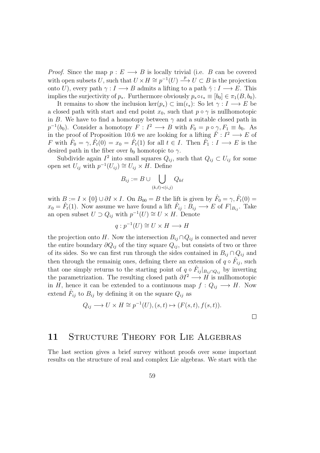*Proof.* Since the map  $p: E \longrightarrow B$  is locally trivial (i.e. B can be covered with open subsets U, such that  $U \times H \cong p^{-1}(U) \longrightarrow U \subset B$  is the projection onto U), every path  $\gamma: I \longrightarrow B$  admits a lifting to a path  $\hat{\gamma}: I \longrightarrow E$ . This implies the surjectivity of  $p_*$ . Furthermore obviously  $p_* \circ \iota_* \equiv [b_0] \in \pi_1(B, b_0)$ .

It remains to show the inclusion ker( $p_*$ ) ⊂ im( $\iota_*$ ): So let  $\gamma : I \longrightarrow E$  be a closed path with start and end point  $x_0$ , such that  $p \circ \gamma$  is nullhomotopic in B. We have to find a homotopy between  $\gamma$  and a suitable closed path in  $p^{-1}(b_0)$ . Consider a homotopy  $F: I^2 \longrightarrow B$  with  $F_0 = p \circ \gamma, F_1 \equiv b_0$ . As in the proof of Proposition 10.6 we are looking for a lifting  $\hat{F}: I^2 \longrightarrow E$  of F with  $\hat{F}_0 = \gamma, \hat{F}_t(0) = x_0 = \hat{F}_t(1)$  for all  $t \in I$ . Then  $\hat{F}_1 : I \longrightarrow E$  is the desired path in the fiber over  $b_0$  homotopic to  $\gamma$ .

Subdivide again  $I^2$  into small squares  $Q_{ij}$ , such that  $Q_{ij} \subset U_{ij}$  for some open set  $U_{ij}$  with  $p^{-1}(U_{ij}) \cong U_{ij} \times H$ . Define

$$
B_{ij} := B \cup \bigcup_{(k,\ell) \prec (i,j)} Q_{k\ell}
$$

with  $B := I \times \{0\} \cup \partial I \times I$ . On  $B_{00} = B$  the lift is given by  $\hat{F}_0 = \gamma$ ,  $\hat{F}_t(0) =$  $x_0 = \hat{F}_t(1)$ . Now assume we have found a lift  $\hat{F}_{ij} : B_{ij} \longrightarrow E$  of  $F|_{B_{ij}}$ . Take an open subset  $U \supset Q_{ij}$  with  $p^{-1}(U) \cong U \times H$ . Denote

$$
q: p^{-1}(U) \cong U \times H \longrightarrow H
$$

the projection onto H. Now the intersection  $B_{ij} \cap Q_{ij}$  is connected and never the entire boundary  $\partial Q_{ij}$  of the tiny square  $Q_{ij}$ , but consists of two or three of its sides. So we can first run through the sides contained in  $B_{ij} \cap Q_{ij}$  and then through the remainig ones, defining there an extension of  $q \circ \hat{F}_{ij}$ , such that one simply returns to the starting point of  $q \circ \hat{F}_{ij}|_{B_{ij} \cap Q_{ij}}$  by inverting the parametrization. The resulting closed path  $\partial I^2 \longrightarrow H$  is nullhomotopic in H, hence it can be extended to a continuous map  $f: Q_{ij} \longrightarrow H$ . Now extend  $\hat{F}_{ij}$  to  $B_{ij}$  by defining it on the square  $Q_{ij}$  as

$$
Q_{ij} \longrightarrow U \times H \cong p^{-1}(U), (s, t) \mapsto (F(s, t), f(s, t)).
$$

## 11 STRUCTURE THEORY FOR LIE ALGEBRAS

The last section gives a brief survey without proofs over some important results on the structure of real and complex Lie algebras. We start with the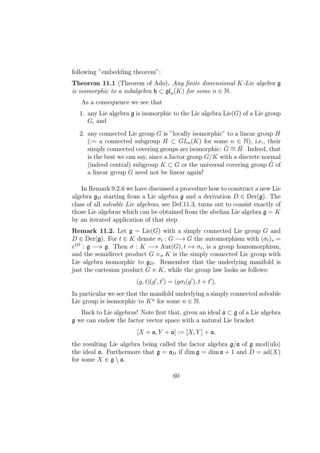following "embedding theorem":

**Theorem 11.1** (Theorem of Ado). Any finite dimensional K-Lie algebra  $\mathfrak g$ is isomorphic to a subalgebra  $\mathfrak{h} \subset \mathfrak{gl}_n(K)$  for some  $n \in \mathbb{N}$ .

As a consequence we see that

- 1. any Lie algebra  $\mathfrak g$  is isomorphic to the Lie algebra  $\mathrm{Lie}(G)$  of a Lie group G, and
- 2. any connected Lie group G is "locally isomorphic" to a linear group  $H$ (:= a connected subgroup  $H \subset GL_n(K)$  for some  $n \in \mathbb{N}$ ), i.e., their simply connected covering groups are isomorphic:  $G \cong H$ . Indeed, that is the best we can say, since a factor group  $G/K$  with a discrete normal (indeed central) subgroup  $K \subset G$  or the universal covering group G of a linear group G need not be linear again!

In Remark 9.2.6 we have discussed a procedure how to construct a new Lie algebra  $\mathfrak{g}_D$  starting from a Lie algebra g and a derivation  $D \in \text{Der}(\mathfrak{g})$ . The class of all solvable Lie algebras, see Def.11.3, turns out to consist exactly of those Lie algebras which can be obtained from the abelian Lie algebra  $\mathfrak{g} = K$ by an iterated application of that step.

**Remark 11.2.** Let  $\mathfrak{g} = \text{Lie}(G)$  with a simply connected Lie group G and  $D \in \text{Der}(\mathfrak{g})$ . For  $t \in K$  denote  $\sigma_t : G \longrightarrow G$  the automorphism with  $(\sigma_t)_* =$  $e^{tD}: \mathfrak{g} \longrightarrow \mathfrak{g}.$  Then  $\sigma: K \longrightarrow \text{Aut}(G), t \mapsto \sigma_t$ , is a group homomorphism, and the semidirect product  $G \times_{\sigma} K$  is the simply connected Lie group with Lie algebra isomorphic to  $\mathfrak{g}_D$ . Remember that the underlying manifold is just the cartesian product  $G \times K$ , while the group law looks as follows:

$$
(g,t)(g',t') = (g\sigma_t(g'), t+t').
$$

In particular we see that the manifold underlying a simply connected solvable Lie group is isomorphic to  $K<sup>n</sup>$  for some  $n \in \mathbb{N}$ .

Back to Lie algebras! Note first that, given an ideal  $\mathfrak{a} \subset \mathfrak{g}$  of a Lie algebra g we can endow the factor vector space with a natural Lie bracket

$$
[X+\mathfrak{a},Y+\mathfrak{a}]:= [X,Y]+\mathfrak{a},
$$

the resulting Lie algebra being called the factor algebra  $g/a$  of g mod(ulo) the ideal **a**. Furthermore that  $\mathfrak{g} = \mathfrak{a}_D$  if dim  $\mathfrak{g} = \dim \mathfrak{a} + 1$  and  $D = \text{ad}(X)$ for some  $X \in \mathfrak{g} \setminus \mathfrak{a}$ .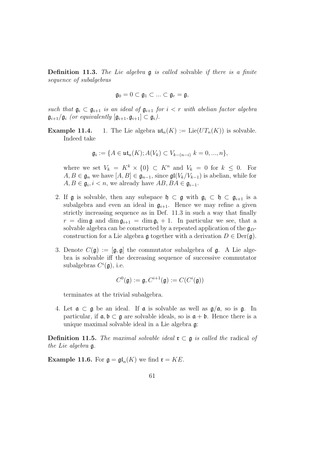**Definition 11.3.** The Lie algebra  $\mathfrak{g}$  is called solvable if there is a finite sequence of subalgebras

$$
\mathfrak{g}_0=0\subset\mathfrak{g}_1\subset\ldots\subset\mathfrak{g}_r=\mathfrak{g},
$$

such that  $\mathfrak{g}_i \subset \mathfrak{g}_{i+1}$  is an ideal of  $\mathfrak{g}_{i+1}$  for  $i < r$  with abelian factor algebra  $\mathfrak{g}_{i+1}/\mathfrak{g}_i$  (or equivalently  $[\mathfrak{g}_{i+1}, \mathfrak{g}_{i+1}] \subset \mathfrak{g}_i$ ).

**Example 11.4.** 1. The Lie algebra  $\mathfrak{ut}_n(K) := \text{Lie}(UT_n(K))$  is solvable. Indeed take

$$
\mathfrak{g}_i := \{ A \in \mathfrak{ut}_n(K) ; A(V_k) \subset V_{k-(n-i)} \; k = 0, ..., n \},
$$

where we set  $V_k = K^k \times \{0\} \subset K^n$  and  $V_k = 0$  for  $k \leq 0$ . For  $A, B \in \mathfrak{g}_n$  we have  $[A, B] \in \mathfrak{g}_{n-1}$ , since  $\mathfrak{gl}(V_k/V_{k-1})$  is abelian, while for  $A, B \in \mathfrak{g}_i, i \leq n$ , we already have  $AB, BA \in \mathfrak{g}_{i-1}$ .

- 2. If g is solvable, then any subspace  $\mathfrak{h} \subset \mathfrak{g}$  with  $\mathfrak{g}_i \subset \mathfrak{h} \subset \mathfrak{g}_{i+1}$  is a subalgebra and even an ideal in  $\mathfrak{g}_{i+1}$ . Hence we may refine a given strictly increasing sequence as in Def. 11.3 in such a way that finally  $r = \dim \mathfrak{g}$  and  $\dim \mathfrak{g}_{i+1} = \dim \mathfrak{g}_i + 1$ . In particular we see, that a solvable algebra can be constructed by a repeated application of the  $\mathfrak{g}_D$ construction for a Lie algebra  $\mathfrak g$  together with a derivation  $D \in \text{Der}(\mathfrak g)$ .
- 3. Denote  $C(\mathfrak{g}) := [\mathfrak{g}, \mathfrak{g}]$  the commutator subalgebra of  $\mathfrak{g}$ . A Lie algebra is solvable iff the decreasing sequence of successive commutator subalgebras  $C^i(\mathfrak{g})$ , i.e.

$$
C^0(\mathfrak{g}) := \mathfrak{g}, C^{i+1}(\mathfrak{g}) := C(C^i(\mathfrak{g}))
$$

terminates at the trivial subalgebra.

4. Let  $\mathfrak{a} \subset \mathfrak{g}$  be an ideal. If  $\mathfrak{a}$  is solvable as well as  $\mathfrak{g}/\mathfrak{a}$ , so is  $\mathfrak{g}$ . In particular, if  $\mathfrak{a}, \mathfrak{b} \subset \mathfrak{g}$  are solvable ideals, so is  $\mathfrak{a} + \mathfrak{b}$ . Hence there is a unique maximal solvable ideal in a Lie algebra g:

**Definition 11.5.** The maximal solvable ideal  $\mathbf{r} \subset \mathfrak{g}$  is called the radical of the Lie algebra g.

**Example 11.6.** For  $\mathfrak{g} = \mathfrak{gl}_n(K)$  we find  $\mathfrak{r} = KE$ .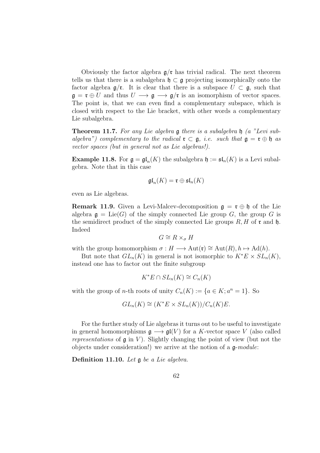Obviously the factor algebra  $g/\mathfrak{r}$  has trivial radical. The next theorem tells us that there is a subalgebra  $\mathfrak{h} \subset \mathfrak{g}$  projecting isomorphically onto the factor algebra  $\mathfrak{g}/\mathfrak{r}$ . It is clear that there is a subspace  $U \subset \mathfrak{g}$ , such that  $\mathfrak{g} = \mathfrak{r} \oplus U$  and thus  $U \longrightarrow \mathfrak{g} \longrightarrow \mathfrak{g}/\mathfrak{r}$  is an isomorphism of vector spaces. The point is, that we can even find a complementary subspace, which is closed with respect to the Lie bracket, with other words a complementary Lie subalgebra.

**Theorem 11.7.** For any Lie algebra  $\mathfrak g$  there is a subalgebra  $\mathfrak h$  (a "Levi subalgebra") complementary to the radical  $\mathfrak{r} \subset \mathfrak{g}$ , i.e. such that  $\mathfrak{g} = \mathfrak{r} \oplus \mathfrak{h}$  as vector spaces (but in general not as Lie algebras!).

**Example 11.8.** For  $\mathfrak{g} = \mathfrak{gl}_n(K)$  the subalgebra  $\mathfrak{h} := \mathfrak{sl}_n(K)$  is a Levi subalgebra. Note that in this case

$$
\mathfrak{gl}_n(K)=\mathfrak{r}\oplus\mathfrak{sl}_n(K)
$$

even as Lie algebras.

**Remark 11.9.** Given a Levi-Malcev-decomposition  $\mathfrak{g} = \mathfrak{r} \oplus \mathfrak{h}$  of the Lie algebra  $\mathfrak{g} = \text{Lie}(G)$  of the simply connected Lie group G, the group G is the semidirect product of the simply connected Lie groups  $R, H$  of r and  $\mathfrak{h}$ . Indeed

$$
G \cong R \times_{\sigma} H
$$

with the group homomorphism  $\sigma : H \longrightarrow \text{Aut}(\mathfrak{r}) \cong \text{Aut}(R), h \mapsto \text{Ad}(h)$ .

But note that  $GL_n(K)$  in general is not isomorphic to  $K^*E \times SL_n(K)$ , instead one has to factor out the finite subgroup

$$
K^*E \cap SL_n(K) \cong C_n(K)
$$

with the group of *n*-th roots of unity  $C_n(K) := \{a \in K; a^n = 1\}$ . So

$$
GL_n(K) \cong (K^*E \times SL_n(K))/C_n(K)E.
$$

For the further study of Lie algebras it turns out to be useful to investigate in general homomorphisms  $\mathfrak{g} \longrightarrow \mathfrak{gl}(V)$  for a K-vector space V (also called representations of  $\mathfrak g$  in V). Slightly changing the point of view (but not the objects under consideration!) we arrive at the notion of a  $\mathfrak{g}\text{-}module:$ 

Definition 11.10. Let g be a Lie algebra.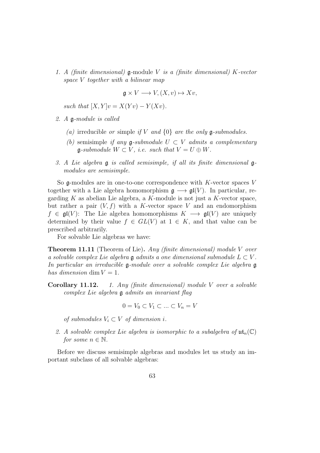1. A (finite dimensional)  $\mathfrak g$ -module V is a (finite dimensional) K-vector space V together with a bilinear map

$$
\mathfrak{g} \times V \longrightarrow V, (X, v) \mapsto Xv,
$$

such that  $[X, Y]v = X(Yv) - Y(Xv)$ .

- 2. A g-module is called
	- (a) irreducible or simple if V and  $\{0\}$  are the only g-submodules.
	- (b) semisimple if any  $\mathfrak{g}\text{-}submodule$   $U \subset V$  admits a complementary  $\mathfrak{g}\text{-}submodule \ W \subset V, \ i.e. \ such \ that \ V = U \oplus W.$
- 3. A Lie algebra g is called semisimple, if all its finite dimensional gmodules are semisimple.

So  $\mathfrak g$ -modules are in one-to-one correspondence with K-vector spaces V together with a Lie algebra homomorphism  $\mathfrak{g} \longrightarrow \mathfrak{gl}(V)$ . In particular, regarding K as abelian Lie algebra, a K-module is not just a K-vector space, but rather a pair  $(V, f)$  with a K-vector space V and an endomorphism  $f \in \mathfrak{gl}(V)$ : The Lie algebra homomorphisms  $K \longrightarrow \mathfrak{gl}(V)$  are uniquely determined by their value  $f \in GL(V)$  at  $1 \in K$ , and that value can be prescribed arbitrarily.

For solvable Lie algebras we have:

**Theorem 11.11** (Theorem of Lie). Any (finite dimensional) module V over a solvable complex Lie algebra  $\mathfrak g$  admits a one dimensional submodule  $L \subset V$ . In particular an irreducible g-module over a solvable complex Lie algebra g has dimension dim  $V = 1$ .

**Corollary 11.12.** 1. Any (finite dimensional) module V over a solvable complex Lie algebra g admits an invariant flag

$$
0=V_0\subset V_1\subset\ldots\subset V_n=V
$$

of submodules  $V_i \subset V$  of dimension i.

2. A solvable complex Lie algebra is isomorphic to a subalgebra of  $\mathfrak{ut}_n(\mathbb{C})$ for some  $n \in \mathbb{N}$ .

Before we discuss semisimple algebras and modules let us study an important subclass of all solvable algebras: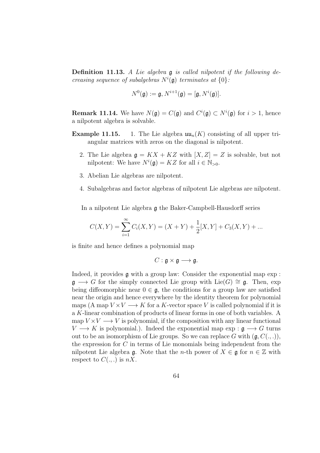**Definition 11.13.** A Lie algebra  $\mathfrak g$  is called nilpotent if the following decreasing sequence of subalgebras  $N^{i}(\mathfrak{g})$  terminates at  $\{0\}$ :

$$
N^0(\mathfrak{g}) := \mathfrak{g}, N^{i+1}(\mathfrak{g}) = [\mathfrak{g}, N^i(\mathfrak{g})].
$$

**Remark 11.14.** We have  $N(\mathfrak{g}) = C(\mathfrak{g})$  and  $C^i(\mathfrak{g}) \subset N^i(\mathfrak{g})$  for  $i > 1$ , hence a nilpotent algebra is solvable.

- **Example 11.15.** 1. The Lie algebra  $\mathfrak{uu}_n(K)$  consisting of all upper triangular matrices with zeros on the diagonal is nilpotent.
	- 2. The Lie algebra  $\mathfrak{g} = KX + KZ$  with  $[X, Z] = Z$  is solvable, but not nilpotent: We have  $N^i(\mathfrak{g}) = KZ$  for all  $i \in \mathbb{N}_{>0}$ .
	- 3. Abelian Lie algebras are nilpotent.
	- 4. Subalgebras and factor algebras of nilpotent Lie algebras are nilpotent.

In a nilpotent Lie algebra g the Baker-Campbell-Hausdorff series

$$
C(X,Y) = \sum_{i=1}^{\infty} C_i(X,Y) = (X+Y) + \frac{1}{2}[X,Y] + C_3(X,Y) + \dots
$$

is finite and hence defines a polynomial map

$$
C: \mathfrak{g} \times \mathfrak{g} \longrightarrow \mathfrak{g}.
$$

Indeed, it provides  $\mathfrak g$  with a group law: Consider the exponential map exp:  $\mathfrak{g} \longrightarrow G$  for the simply connected Lie group with Lie $(G) \cong \mathfrak{g}$ . Then, exp being diffeomorphic near  $0 \in \mathfrak{g}$ , the conditions for a group law are satisfied near the origin and hence everywhere by the identity theorem for polynomial maps (A map  $V \times V \longrightarrow K$  for a K-vector space V is called polynomial if it is a K-linear combination of products of linear forms in one of both variables. A map  $V \times V \longrightarrow V$  is polynomial, if the composition with any linear functional  $V \longrightarrow K$  is polynomial.). Indeed the exponential map exp :  $\mathfrak{g} \longrightarrow G$  turns out to be an isomorphism of Lie groups. So we can replace G with  $(\mathfrak{g}, C(., .))$ , the expression for C in terms of Lie monomials being independent from the nilpotent Lie algebra q. Note that the *n*-th power of  $X \in \mathfrak{g}$  for  $n \in \mathbb{Z}$  with respect to  $C(.,.)$  is  $nX$ .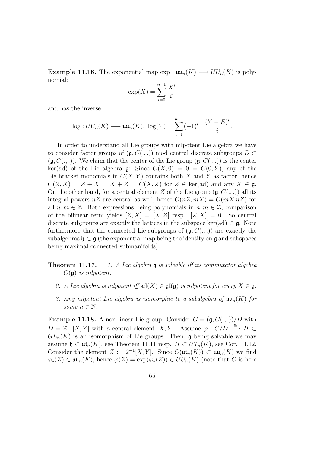**Example 11.16.** The exponential map  $\exp: \mathfrak{uu}_n(K) \longrightarrow UU_n(K)$  is polynomial:

$$
\exp(X) = \sum_{i=0}^{n-1} \frac{X^i}{i!}
$$

and has the inverse

$$
log: UU_n(K) \longrightarrow \mathfrak{uu}_n(K), \ \log(Y) = \sum_{i=1}^{n-1} (-1)^{i+1} \frac{(Y-E)^i}{i}.
$$

In order to understand all Lie groups with nilpotent Lie algebra we have to consider factor groups of  $(g, C(., .))$  mod central discrete subgroups D  $(\mathfrak{g}, C(., .))$ . We claim that the center of the Lie group  $(\mathfrak{g}, C(., .))$  is the center ker(ad) of the Lie algebra g: Since  $C(X, 0) = 0 = C(0, Y)$ , any of the Lie bracket monomials in  $C(X, Y)$  contains both X and Y as factor, hence  $C(Z, X) = Z + X = X + Z = C(X, Z)$  for  $Z \in \text{ker}(\text{ad})$  and any  $X \in \mathfrak{g}$ . On the other hand, for a central element Z of the Lie group  $(\mathfrak{g}, C(., .))$  all its integral powers  $nZ$  are central as well; hence  $C(nZ, mX) = C(mX, nZ)$  for all  $n, m \in \mathbb{Z}$ . Both expressions being polynomials in  $n, m \in \mathbb{Z}$ , comparison of the bilinear term yields  $[Z, X] = [X, Z]$  resp.  $[Z, X] = 0$ . So central discrete subgroups are exactly the lattices in the subspace ker(ad)  $\subset \mathfrak{g}$ . Note furthermore that the connected Lie subgroups of  $(g, C(., .))$  are exactly the subalgebras  $\mathfrak{h} \subset \mathfrak{g}$  (the exponential map being the identity on  $\mathfrak{g}$  and subspaces being maximal connected submanifolds).

- **Theorem 11.17.** 1. A Lie algebra  $\mathfrak g$  is solvable iff its commutator algebra  $C(\mathfrak{g})$  is nilpotent.
	- 2. A Lie algebra is nilpotent iff  $ad(X) \in \mathfrak{gl}(\mathfrak{g})$  is nilpotent for every  $X \in \mathfrak{g}$ .
	- 3. Any nilpotent Lie algebra is isomorphic to a subalgebra of  $\mathfrak{uu}_n(K)$  for some  $n \in \mathbb{N}$ .

**Example 11.18.** A non-linear Lie group: Consider  $G = (\mathfrak{g}, C(., .))/D$  with  $D = \mathbb{Z} \cdot [X, Y]$  with a central element  $[X, Y]$ . Assume  $\varphi : G/D \stackrel{\cong}{\longrightarrow} H \subset$  $GL_n(K)$  is an isomorphism of Lie groups. Then, g being solvable we may assume  $\mathfrak{h} \subset \mathfrak{ut}_n(K)$ , see Theorem 11.11 resp.  $H \subset UT_n(K)$ , see Cor. 11.12. Consider the element  $Z := 2^{-1}[X, Y]$ . Since  $C(\mathfrak{ut}_n(K)) \subset \mathfrak{uu}_n(K)$  we find  $\varphi_*(Z) \in \mathfrak{uu}_n(K)$ , hence  $\varphi(Z) = \exp(\varphi_*(Z)) \in UU_n(K)$  (note that G is here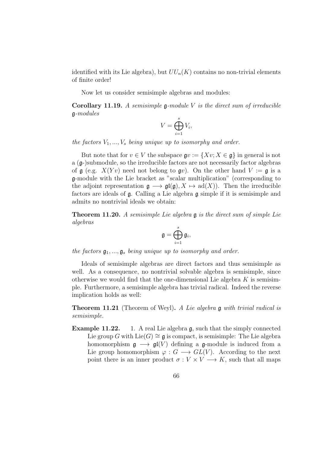identified with its Lie algebra), but  $UU_n(K)$  contains no non-trivial elements of finite order!

Now let us consider semisimple algebras and modules:

**Corollary 11.19.** A semisimple  $\mathfrak{g}\text{-module } V$  is the direct sum of irreducible g-modules

$$
V = \bigoplus_{i=1}^{s} V_i,
$$

the factors  $V_1, ..., V_s$  being unique up to isomorphy and order.

But note that for  $v \in V$  the subspace  $\mathfrak{g}v := \{Xv; X \in \mathfrak{g}\}\$ in general is not a (g-)submodule, so the irreducible factors are not necessarily factor algebras of  $\mathfrak g$  (e.g.  $X(Yv)$ ) need not belong to  $\mathfrak g v$ ). On the other hand  $V := \mathfrak g$  is a g-module with the Lie bracket as "scalar multiplication" (corresponding to the adjoint representation  $\mathfrak{g} \longrightarrow \mathfrak{gl}(\mathfrak{g}), X \mapsto \text{ad}(X)$ . Then the irreducible factors are ideals of g. Calling a Lie algebra g simple if it is semisimple and admits no nontrivial ideals we obtain:

**Theorem 11.20.** A semisimple Lie algebra  $\mathfrak g$  is the direct sum of simple Lie algebras

$$
\mathfrak{g}=\bigoplus_{i=1}^s\mathfrak{g}_i,
$$

the factors  $\mathfrak{g}_1, \ldots, \mathfrak{g}_s$  being unique up to isomorphy and order.

Ideals of semisimple algebras are direct factors and thus semisimple as well. As a consequence, no nontrivial solvable algebra is semisimple, since otherwise we would find that the one-dimensional Lie algebra  $K$  is semisimple. Furthermore, a semisimple algebra has trivial radical. Indeed the reverse implication holds as well:

**Theorem 11.21** (Theorem of Weyl). A Lie algebra g with trivial radical is semisimple.

**Example 11.22.** 1. A real Lie algebra g, such that the simply connected Lie group G with Lie(G)  $\cong$  g is compact, is semisimple: The Lie algebra homomorphism  $\mathfrak{g} \longrightarrow \mathfrak{gl}(V)$  defining a g-module is induced from a Lie group homomorphism  $\varphi: G \longrightarrow GL(V)$ . According to the next point there is an inner product  $\sigma: V \times V \longrightarrow K$ , such that all maps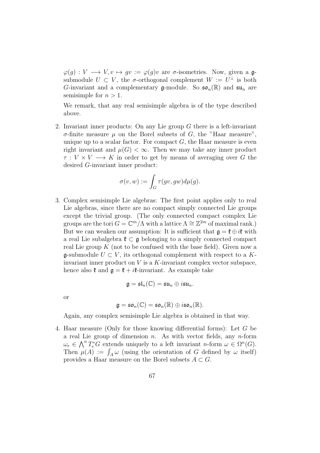$\varphi(q): V \longrightarrow V, v \mapsto qv := \varphi(q)v$  are  $\sigma$ -isometries. Now, given a gsubmodule  $U \subset V$ , the  $\sigma$ -orthogonal complement  $W := U^{\perp}$  is both G-invariant and a complementary g-module. So  $\mathfrak{so}_n(\mathbb{R})$  and  $\mathfrak{su}_n$  are semisimple for  $n > 1$ .

We remark, that any real semisimple algebra is of the type described above.

2. Invariant inner products: On any Lie group G there is a left-invariant σ-finite measure µ on the Borel subsets of G, the "Haar measure", unique up to a scalar factor. For compact  $G$ , the Haar measure is even right invariant and  $\mu(G) < \infty$ . Then we may take any inner product  $\tau: V \times V \longrightarrow K$  in order to get by means of averaging over G the desired G-invariant inner product:

$$
\sigma(v,w) := \int_G \tau(gv,gw)d\mu(g).
$$

3. Complex semisimple Lie algebras: The first point applies only to real Lie algebras, since there are no compact simply connected Lie groups except the trivial group. (The only connected compact complex Lie groups are the tori  $G = \mathbb{C}^m/\Lambda$  with a lattice  $\Lambda \cong \mathbb{Z}^{2m}$  of maximal rank.) But we can weaken our assumption: It is sufficient that  $\mathfrak{g} = \mathfrak{k} \oplus i\mathfrak{k}$  with a real Lie subalgebra  $\mathfrak{k} \subset \mathfrak{g}$  belonging to a simply connected compact real Lie group  $K$  (not to be confused with the base field). Given now a  $\mathfrak{g}\text{-submodule } U \subset V$ , its orthogonal complement with respect to a Kinvariant inner product on  $V$  is a  $K$ -invariant complex vector subspace, hence also  $\mathfrak{k}$  and  $\mathfrak{g} = \mathfrak{k} + i\mathfrak{k}$ -invariant. As example take

$$
\mathfrak{g}=\mathfrak{sl}_n(\mathbb{C})=\mathfrak{su}_n\oplus i\mathfrak{su}_n.
$$

or

$$
\mathfrak{g}=\mathfrak{so}_n(\mathbb{C})=\mathfrak{so}_n(\mathbb{R})\oplus i\mathfrak{so}_n(\mathbb{R}).
$$

Again, any complex semisimple Lie algebra is obtained in that way.

4. Haar measure (Only for those knowing differential forms): Let G be a real Lie group of dimension n. As with vector fields, any n-form  $\omega_e \in \bigwedge^n T_e^*G$  extends uniquely to a left invariant n-form  $\omega \in \Omega^n(G)$ . Then  $\mu(A) := \int_A \omega$  (using the orientation of G defined by  $\omega$  itself) provides a Haar measure on the Borel subsets  $A \subset G$ .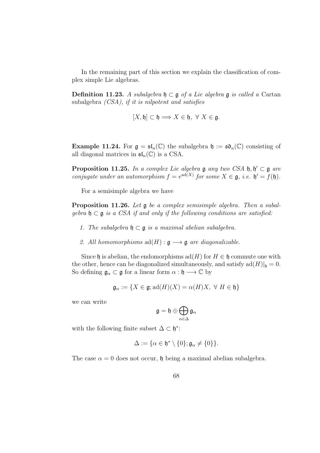In the remaining part of this section we explain the classification of complex simple Lie algebras.

Definition 11.23. A subalgebra  $\mathfrak{h} \subset \mathfrak{g}$  of a Lie algebra  $\mathfrak{g}$  is called a Cartan subalgebra (CSA), if it is nilpotent and satisfies

$$
[X, \mathfrak{h}] \subset \mathfrak{h} \Longrightarrow X \in \mathfrak{h}, \ \forall \ X \in \mathfrak{g}.
$$

**Example 11.24.** For  $\mathfrak{g} = \mathfrak{sl}_n(\mathbb{C})$  the subalgebra  $\mathfrak{h} := \mathfrak{so}_n(\mathbb{C})$  consisting of all diagonal matrices in  $\mathfrak{sl}_n(\mathbb{C})$  is a CSA.

**Proposition 11.25.** In a complex Lie algebra  $\mathfrak g$  any two CSA  $\mathfrak h, \mathfrak h' \subset \mathfrak g$  are conjugate under an automorphism  $f = e^{ad(X)}$  for some  $X \in \mathfrak{g}$ , i.e.  $\mathfrak{h}' = f(\mathfrak{h})$ .

For a semisimple algebra we have

**Proposition 11.26.** Let  $\mathfrak{g}$  be a complex semisimple algebra. Then a subalgebra  $\mathfrak{h} \subset \mathfrak{g}$  is a CSA if and only if the following conditions are satisfied:

- 1. The subalgebra  $\mathfrak{h} \subset \mathfrak{g}$  is a maximal abelian subalgebra.
- 2. All homomorphisms  $\text{ad}(H) : \mathfrak{g} \longrightarrow \mathfrak{g}$  are diagonalizable.

Since h is abelian, the endomorphisms  $ad(H)$  for  $H \in \mathfrak{h}$  commute one with the other, hence can be diagonalized simultaneously, and satisfy  $\text{ad}(H)|_{\mathfrak{h}} = 0$ . So defining  $\mathfrak{g}_{\alpha} \subset \mathfrak{g}$  for a linear form  $\alpha : \mathfrak{h} \longrightarrow \mathbb{C}$  by

$$
\mathfrak{g}_{\alpha} := \{ X \in \mathfrak{g}; \mathrm{ad}(H)(X) = \alpha(H)X, \ \forall \ H \in \mathfrak{h} \}
$$

we can write

$$
\mathfrak{g}=\mathfrak{h}\oplus\bigoplus_{\alpha\in\Delta}\mathfrak{g}_{\alpha}
$$

with the following finite subset  $\Delta \subset \mathfrak{h}^*$ :

$$
\Delta:=\{\alpha\in\mathfrak{h}^*\setminus\{0\};\mathfrak{g}_\alpha\neq\{0\}\}.
$$

The case  $\alpha = 0$  does not occur,  $\mathfrak h$  being a maximal abelian subalgebra.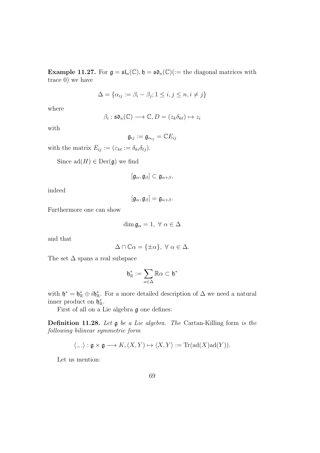**Example 11.27.** For  $\mathfrak{g} = \mathfrak{sl}_n(\mathbb{C}), \mathfrak{h} = \mathfrak{so}_n(\mathbb{C})$  (:= the diagonal matrices with trace 0) we have

$$
\Delta = \{ \alpha_{ij} := \beta_i - \beta_j; 1 \le i, j \le n, i \ne j \}
$$

where

$$
\beta_i : \mathfrak{so}_n(\mathbb{C}) \longrightarrow \mathbb{C}, D = (z_k \delta_{k\ell}) \mapsto z_i
$$

with

$$
\mathfrak{g}_{ij}:=\mathfrak{g}_{\alpha_{ij}}=\mathbb{C}E_{ij}
$$

with the matrix  $E_{ij} := (\varepsilon_{k\ell} := \delta_{ki}\delta_{\ell j}).$ 

Since  $ad(H) \in Der(\mathfrak{g})$  we find

$$
[\mathfrak{g}_\alpha,\mathfrak{g}_\beta]\subset\mathfrak{g}_{\alpha+\beta},
$$

indeed

 $[\mathfrak{g}_{\alpha}, \mathfrak{g}_{\beta}] = \mathfrak{g}_{\alpha+\beta}.$ 

Furthermore one can show

$$
\dim \mathfrak{g}_{\alpha} = 1, \ \forall \ \alpha \in \Delta
$$

and that

$$
\Delta \cap \mathbb{C}\alpha = \{\pm \alpha\}, \ \forall \ \alpha \in \Delta.
$$

The set  $\Delta$  spans a real subspace

$$
\mathfrak{h}_\mathbb{R}^*:=\sum_{\alpha\in\Delta}\mathbb{R}\alpha\subset\mathfrak{h}^*
$$

with  $\mathfrak{h}^* = \mathfrak{h}^*_{\mathbb{R}} \oplus i\mathfrak{h}^*_{\mathbb{R}}$ . For a more detailed description of  $\Delta$  we need a natural inner product on  $\mathfrak{h}_{\mathbb{R}}^*$ .

First of all on a Lie algebra g one defines:

Definition 11.28. Let g be a Lie algebra. The Cartan-Killing form is the following bilinear symmetric form

$$
\langle.,.\rangle: \mathfrak{g} \times \mathfrak{g} \longrightarrow K, (X,Y) \mapsto \langle X,Y \rangle := \mathrm{Tr}(\mathrm{ad}(X)\mathrm{ad}(Y)).
$$

Let us mention: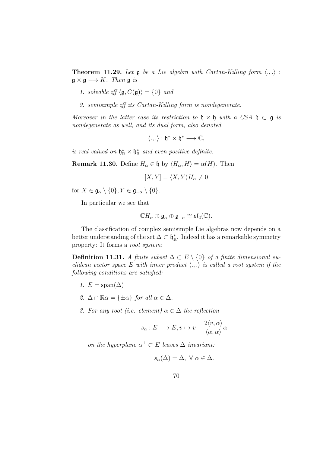**Theorem 11.29.** Let  $\mathfrak g$  be a Lie algebra with Cartan-Killing form  $\langle ., .\rangle$ :  $\mathfrak{g} \times \mathfrak{g} \longrightarrow K$ . Then  $\mathfrak{g}$  is

- 1. solvable iff  $\langle \mathfrak{g}, C(\mathfrak{g}) \rangle = \{0\}$  and
- 2. semisimple iff its Cartan-Killing form is nondegenerate.

Moreover in the latter case its restriction to  $\mathfrak{h} \times \mathfrak{h}$  with a CSA  $\mathfrak{h} \subset \mathfrak{g}$  is nondegenerate as well, and its dual form, also denoted

$$
\langle .,.\rangle:\mathfrak{h}^*\times\mathfrak{h}^*\longrightarrow\mathbb{C},
$$

is real valued on  $\mathfrak{h}_{\mathbb{R}}^* \times \mathfrak{h}_{\mathbb{R}}^*$  and even positive definite.

**Remark 11.30.** Define  $H_{\alpha} \in \mathfrak{h}$  by  $\langle H_{\alpha}, H \rangle = \alpha(H)$ . Then

$$
[X,Y] = \langle X,Y \rangle H_\alpha \neq 0
$$

for  $X \in \mathfrak{g}_{\alpha} \setminus \{0\}, Y \in \mathfrak{g}_{-\alpha} \setminus \{0\}.$ 

In particular we see that

$$
\mathbb{C}H_{\alpha}\oplus \mathfrak{g}_{\alpha}\oplus \mathfrak{g}_{-\alpha}\cong \mathfrak{sl}_2(\mathbb{C}).
$$

The classification of complex semisimple Lie algebras now depends on a better understanding of the set  $\Delta \subset \mathfrak{h}_{\mathbb{R}}^*$ . Indeed it has a remarkable symmetry property: It forms a root system:

Definition 11.31. A finite subset  $\Delta \subset E \setminus \{0\}$  of a finite dimensional euclidean vector space E with inner product  $\langle ., . \rangle$  is called a root system if the following conditions are satisfied:

- 1.  $E = \text{span}(\Delta)$
- 2.  $\Delta \cap \mathbb{R}\alpha = {\pm \alpha}$  for all  $\alpha \in \Delta$ .
- 3. For any root (i.e. element)  $\alpha \in \Delta$  the reflection

$$
s_{\alpha}: E \longrightarrow E, v \mapsto v - \frac{2\langle v, \alpha \rangle}{\langle \alpha, \alpha \rangle} \alpha
$$

on the hyperplane  $\alpha^{\perp} \subset E$  leaves  $\Delta$  invariant:

$$
s_{\alpha}(\Delta) = \Delta, \ \forall \ \alpha \in \Delta.
$$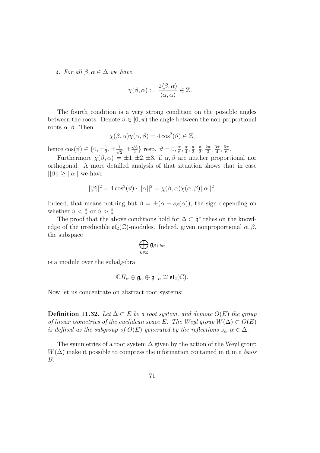4. For all  $\beta, \alpha \in \Delta$  we have

$$
\chi(\beta,\alpha) := \frac{2\langle \beta, \alpha \rangle}{\langle \alpha, \alpha \rangle} \in \mathbb{Z}.
$$

The fourth condition is a very strong condition on the possible angles between the roots: Denote  $\vartheta \in [0, \pi)$  the angle between the non proportional roots  $\alpha$ ,  $\beta$ . Then

$$
\chi(\beta,\alpha)\chi(\alpha,\beta) = 4\cos^2(\vartheta) \in \mathbb{Z},
$$

hence  $\cos(\vartheta) \in \{0, \pm \frac{1}{2}\}$  $\frac{1}{2}, \pm \frac{1}{\sqrt{2}}$  $\frac{1}{2}, \pm$  $\sqrt{3}$  $\frac{\sqrt{3}}{2}$  resp.  $\vartheta = 0, \frac{\pi}{6}$  $\frac{\pi}{6}$ ,  $\frac{\pi}{4}$  $\frac{\pi}{4}, \frac{\pi}{3}$  $\frac{\pi}{3}, \frac{\pi}{2}$  $\frac{\pi}{2}, \frac{2\pi}{3}$  $\frac{2\pi}{3}, \frac{3\pi}{4}$  $\frac{3\pi}{4}, \frac{5\pi}{6}$  $\frac{5\pi}{6}$ .

Furthermore  $\chi(\beta,\alpha) = \pm 1, \pm 2, \pm 3$ , if  $\alpha, \beta$  are neither proportional nor orthogonal. A more detailed analysis of that situation shows that in case  $||\beta|| \geq ||\alpha||$  we have

$$
||\beta||^2 = 4\cos^2(\vartheta) \cdot ||\alpha||^2 = \chi(\beta, \alpha)\chi(\alpha, \beta) ||\alpha||^2.
$$

Indeed, that means nothing but  $\beta = \pm(\alpha - s_{\beta}(\alpha))$ , the sign depending on whether  $\vartheta < \frac{\pi}{2}$  or  $\vartheta > \frac{\pi}{2}$ .

The proof that the above conditions hold for  $\Delta \subset \mathfrak{h}^*$  relies on the knowledge of the irreducible  $\mathfrak{sl}_2(\mathbb{C})$ -modules. Indeed, given nonproportional  $\alpha, \beta$ , the subspace

$$
\bigoplus_{k\in\mathbb{Z}}\mathfrak{g}_{\beta+k\alpha}
$$

is a module over the subalgebra

$$
\mathbb{C}H_{\alpha}\oplus \mathfrak{g}_{\alpha}\oplus \mathfrak{g}_{-\alpha}\cong \mathfrak{sl}_2(\mathbb{C}).
$$

Now let us concentrate on abstract root systems:

**Definition 11.32.** Let  $\Delta \subset E$  be a root system, and demote  $O(E)$  the group of linear isometries of the euclidean space E. The Weyl group  $W(\Delta) \subset O(E)$ is defined as the subgroup of  $O(E)$  generated by the reflections  $s_{\alpha}, \alpha \in \Delta$ .

The symmetries of a root system  $\Delta$  given by the action of the Weyl group  $W(\Delta)$  make it possible to compress the information contained in it in a basis B: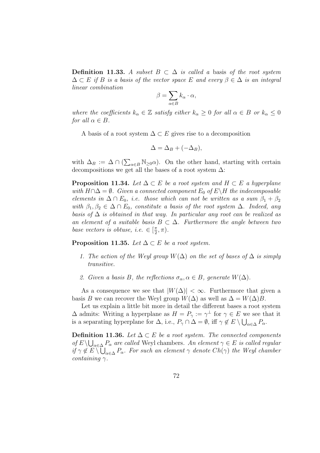**Definition 11.33.** A subset  $B \subset \Delta$  is called a basis of the root system  $\Delta \subset E$  if B is a basis of the vector space E and every  $\beta \in \Delta$  is an integral linear combination

$$
\beta = \sum_{\alpha \in B} k_{\alpha} \cdot \alpha,
$$

where the coefficients  $k_{\alpha} \in \mathbb{Z}$  satisfy either  $k_{\alpha} \geq 0$  for all  $\alpha \in B$  or  $k_{\alpha} \leq 0$ for all  $\alpha \in B$ .

A basis of a root system  $\Delta \subset E$  gives rise to a decomposition

$$
\Delta = \Delta_B + (-\Delta_B),
$$

with  $\Delta_B := \Delta \cap (\sum_{\alpha \in B} \mathbb{N}_{\geq 0} \alpha)$ . On the other hand, starting with certain decompositions we get all the bases of a root system  $\Delta$ :

**Proposition 11.34.** Let  $\Delta \subset E$  be a root system and  $H \subset E$  a hyperplane with  $H \cap \Delta = \emptyset$ . Given a connected component  $E_0$  of  $E \setminus H$  the indecomposable elements in  $\Delta \cap E_0$ , i.e. those which can not be written as a sum  $\beta_1 + \beta_2$ with  $\beta_1, \beta_2 \in \Delta \cap E_0$ , constitute a basis of the root system  $\Delta$ . Indeed, any basis of  $\Delta$  is obtained in that way. In particular any root can be realized as an element of a suitable basis  $B \subset \Delta$ . Furthermore the angle between two base vectors is obtuse, i.e.  $\in$   $\lceil \frac{\pi}{2} \rceil$  $\frac{\pi}{2}, \pi$ ).

**Proposition 11.35.** Let  $\Delta \subset E$  be a root system.

- 1. The action of the Weyl group  $W(\Delta)$  on the set of bases of  $\Delta$  is simply transitive.
- 2. Given a basis B, the reflections  $\sigma_{\alpha}, \alpha \in B$ , generate  $W(\Delta)$ .

As a consequence we see that  $|W(\Delta)| < \infty$ . Furthermore that given a basis B we can recover the Weyl group  $W(\Delta)$  as well as  $\Delta = W(\Delta)B$ .

Let us explain a little bit more in detail the different bases a root system  $\Delta$  admits: Writing a hyperplane as  $H = P_\gamma := \gamma^\perp$  for  $\gamma \in E$  we see that it is a separating hyperplane for  $\Delta$ , i.e.,  $P_{\gamma} \cap \Delta = \emptyset$ , iff  $\gamma \notin E \setminus \bigcup_{\alpha \in \Delta} P_{\alpha}$ .

**Definition 11.36.** Let  $\Delta \subset E$  be a root system. The connected components of  $E \setminus \bigcup_{\alpha \in \Delta} P_{\alpha}$  are called Weyl chambers. An element  $\gamma \in E$  is called regular if  $\gamma \notin E \setminus \bigcup_{\alpha \in \Delta} P_{\alpha}$ . For such an element  $\gamma$  denote  $Ch(\gamma)$  the Weyl chamber containing  $\gamma$ .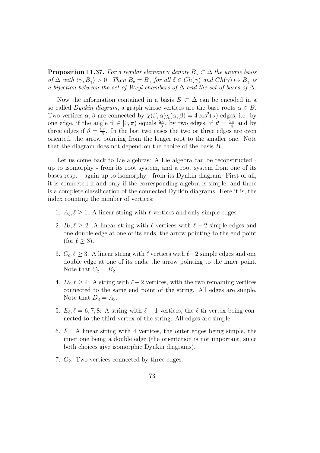**Proposition 11.37.** For a regular element  $\gamma$  denote  $B_{\gamma} \subset \Delta$  the unique basis of  $\Delta$  with  $\langle \gamma, B_{\gamma} \rangle > 0$ . Then  $B_{\delta} = B_{\gamma}$  for all  $\delta \in Ch(\gamma)$  and  $Ch(\gamma) \mapsto B_{\gamma}$  is a bijection between the set of Weyl chambers of  $\Delta$  and the set of bases of  $\Delta$ .

Now the information contained in a basis  $B \subset \Delta$  can be encoded in a so called Dynkin diagram, a graph whose vertices are the base roots  $\alpha \in B$ . Two vertices  $\alpha, \beta$  are connected by  $\chi(\beta, \alpha)\chi(\alpha, \beta) = 4\cos^2(\theta)$  edges, i.e. by one edge, if the angle  $\vartheta \in [0, \pi)$  equals  $\frac{2\pi}{3}$ , by two edges, if  $\vartheta = \frac{3\pi}{4}$  $rac{3\pi}{4}$  and by three edges if  $\vartheta = \frac{5\pi}{6}$  $\frac{6\pi}{6}$ . In the last two cases the two or three edges are even oriented, the arrow pointing from the longer root to the smaller one. Note that the diagram does not depend on the choice of the basis B.

Let us come back to Lie algebras: A Lie algebra can be reconstructed up to isomorphy - from its root system, and a root system from one of its bases resp. - again up to isomorphy - from its Dynkin diagram. First of all, it is connected if and only if the corresponding algebra is simple, and there is a complete classification of the connected Dynkin diagrams. Here it is, the index counting the number of vertices:

- 1.  $A_{\ell}, \ell \geq 1$ : A linear string with  $\ell$  vertices and only simple edges.
- 2.  $B_{\ell}, \ell \geq 2$ : A linear string with  $\ell$  vertices with  $\ell 2$  simple edges and one double edge at one of its ends, the arrow pointing to the end point (for  $\ell \geq 3$ ).
- 3.  $C_{\ell}, \ell \geq 3$ : A linear string with  $\ell$  vertices with  $\ell-2$  simple edges and one double edge at one of its ends, the arrow pointing to the inner point. Note that  $C_2 = B_2$ .
- 4.  $D_{\ell}, \ell \geq 4$ : A string with  $\ell 2$  vertices, with the two remaining vertices connected to the same end point of the string. All edges are simple. Note that  $D_3 = A_3$ .
- 5.  $E_{\ell}, \ell = 6, 7, 8$ : A string with  $\ell 1$  vertices, the  $\ell$ -th vertex being connected to the third vertex of the string. All edges are simple.
- 6.  $F_4$ : A linear string with 4 vertices, the outer edges being simple, the inner one being a double edge (the orientation is not important, since both choices give isomorphic Dynkin diagrams).
- 7.  $G_2$ : Two vertices connected by three edges.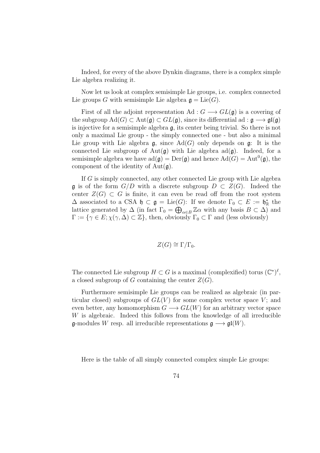Indeed, for every of the above Dynkin diagrams, there is a complex simple Lie algebra realizing it.

Now let us look at complex semisimple Lie groups, i.e. complex connected Lie groups G with semisimple Lie algebra  $\mathfrak{g} = \mathrm{Lie}(G)$ .

First of all the adjoint representation Ad :  $G \longrightarrow GL(\mathfrak{g})$  is a covering of the subgroup  $\text{Ad}(G) \subset \text{Aut}(\mathfrak{g}) \subset GL(\mathfrak{g})$ , since its differential ad :  $\mathfrak{g} \longrightarrow \mathfrak{gl}(\mathfrak{g})$ is injective for a semisimple algebra  $\mathfrak{g}$ , its center being trivial. So there is not only a maximal Lie group - the simply connected one - but also a minimal Lie group with Lie algebra  $\mathfrak{g}$ , since Ad(G) only depends on  $\mathfrak{g}$ : It is the connected Lie subgroup of Aut( $\mathfrak{g}$ ) with Lie algebra ad( $\mathfrak{g}$ ). Indeed, for a semisimple algebra we have  $\text{ad}(\mathfrak{g}) = \text{Der}(\mathfrak{g})$  and hence  $\text{Ad}(G) = \text{Aut}^0(\mathfrak{g})$ , the component of the identity of  $Aut(\mathfrak{g})$ .

If G is simply connected, any other connected Lie group with Lie algebra g is of the form  $G/D$  with a discrete subgroup  $D \subset Z(G)$ . Indeed the center  $Z(G) \subset G$  is finite, it can even be read off from the root system  $\Delta$  associated to a CSA  $\mathfrak{h} \subset \mathfrak{g} = \mathrm{Lie}(G)$ : If we denote  $\Gamma_0 \subset E := \mathfrak{h}_{\mathbb{R}}^*$  the lattice generated by  $\Delta$  (in fact  $\Gamma_0 = \bigoplus_{\alpha \in B} \mathbb{Z} \alpha$  with any basis  $B \subset \Delta$ ) and  $\Gamma := \{ \gamma \in E; \chi(\gamma, \Delta) \subset \mathbb{Z} \},\$  then, obviously  $\Gamma_0 \subset \Gamma$  and (less obviously)

$$
Z(G) \cong \Gamma/\Gamma_0.
$$

The connected Lie subgroup  $H \subset G$  is a maximal (complexified) torus  $(\mathbb{C}^*)^{\ell}$ , a closed subgroup of G containing the center  $Z(G)$ .

Furthermore semisimple Lie groups can be realized as algebraic (in particular closed) subgroups of  $GL(V)$  for some complex vector space V; and even better, any homomorphism  $G \longrightarrow GL(W)$  for an arbitrary vector space W is algebraic. Indeed this follows from the knowledge of all irreducible  $\mathfrak{g}\text{-modules }W$  resp. all irreducible representations  $\mathfrak{g}\longrightarrow \mathfrak{gl}(W)$ .

Here is the table of all simply connected complex simple Lie groups: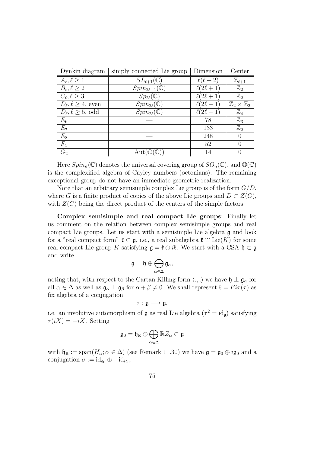| Dynkin diagram                 | simply connected Lie group   | Dimension       | Center                           |
|--------------------------------|------------------------------|-----------------|----------------------------------|
| $A_{\ell}, \ell \geq 1$        | $SL_{\ell+1}(\mathbb{C})$    | $\ell(\ell+2)$  | $\mathbb{Z}_{\ell+1}$            |
| $B_{\ell}, \ell \geq 2$        | $Spin_{2\ell+1}(\mathbb{C})$ | $\ell(2\ell+1)$ | $\mathbb{Z}_2$                   |
| $C_{\ell}, \ell > 3$           | $Sp_{2\ell}(\mathbb{C})$     | $\ell(2\ell+1)$ | $\mathbb{Z}_2$                   |
| $D_{\ell}, \ell \geq 4$ , even | $Spin_{2\ell}(\mathbb{C})$   | $\ell(2\ell-1)$ | $\mathbb{Z}_2\times\mathbb{Z}_2$ |
| $D_{\ell}, \ell \geq 5$ , odd  | $Spin_{2\ell}(\mathbb{C})$   | $\ell(2\ell-1)$ | $\mathbb{Z}_4$                   |
| $E_6$                          |                              | 78              | $\mathbb{Z}_3$                   |
| $E_7$                          |                              | 133             | $\mathbb{Z}_2$                   |
| $E_8$                          |                              | 248             | $\left( \right)$                 |
| $F_4$                          |                              | 52              | $\mathcal{O}$                    |
| G <sub>2</sub>                 | Aut(                         | 14              | 0                                |

Here  $Spin_n(\mathbb{C})$  denotes the universal covering group of  $SO_n(\mathbb{C})$ , and  $\mathbb{O}(\mathbb{C})$ is the complexified algebra of Cayley numbers (octonians). The remaining exceptional group do not have an immediate geometric realization.

Note that an arbitrary semisimple complex Lie group is of the form  $G/D$ , where G is a finite product of copies of the above Lie groups and  $D \subset Z(G)$ , with  $Z(G)$  being the direct product of the centers of the simple factors.

Complex semisimple and real compact Lie groups: Finally let us comment on the relation between complex semisimple groups and real compact Lie groups. Let us start with a semisimple Lie algebra g and look for a "real compact form"  $\mathfrak{k} \subset \mathfrak{g}$ , i.e., a real subalgebra  $\mathfrak{k} \cong \text{Lie}(K)$  for some real compact Lie group K satisfying  $\mathfrak{g} = \mathfrak{k} \oplus i\mathfrak{k}$ . We start with a CSA  $\mathfrak{h} \subset \mathfrak{g}$ and write

$$
\mathfrak{g}=\mathfrak{h}\oplus\bigoplus_{\alpha\in\Delta}\mathfrak{g}_{\alpha},
$$

noting that, with respect to the Cartan Killing form  $\langle ., . \rangle$  we have  $\mathfrak{h} \perp \mathfrak{g}_{\alpha}$  for all  $\alpha \in \Delta$  as well as  $\mathfrak{g}_{\alpha} \perp \mathfrak{g}_{\beta}$  for  $\alpha + \beta \neq 0$ . We shall represent  $\mathfrak{k} = Fix(\tau)$  as fix algebra of a conjugation

$$
\tau:\mathfrak{g}\longrightarrow \mathfrak{g},
$$

i.e. an involutive automorphism of  $\mathfrak g$  as real Lie algebra  $(\tau^2 = id_{\mathfrak g})$  satisfying  $\tau(iX) = -iX$ . Setting

$$
\mathfrak{g}_0 = \mathfrak{h}_\mathbb{R} \oplus \bigoplus_{\alpha \in \Delta} \mathbb{R} Z_\alpha \subset \mathfrak{g}
$$

with  $\mathfrak{h}_{\mathbb{R}} := \text{span}(H_{\alpha}; \alpha \in \Delta)$  (see Remark 11.30) we have  $\mathfrak{g} = \mathfrak{g}_0 \oplus i\mathfrak{g}_0$  and a conjugation  $\sigma := \mathrm{id}_{\mathfrak{g}_0} \oplus -\mathrm{id}_{\mathfrak{ig}_0}.$